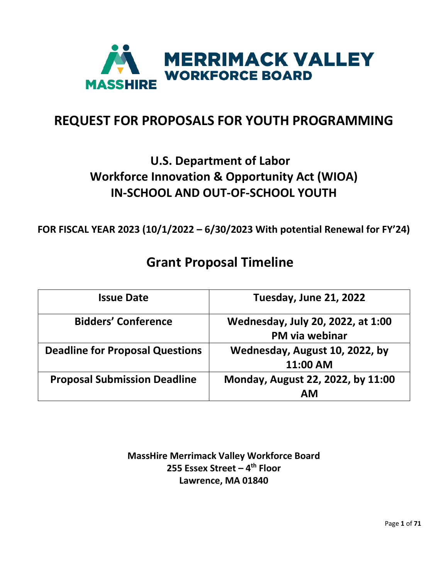

# **REQUEST FOR PROPOSALS FOR YOUTH PROGRAMMING**

# **U.S. Department of Labor Workforce Innovation & Opportunity Act (WIOA) IN-SCHOOL AND OUT-OF-SCHOOL YOUTH**

**FOR FISCAL YEAR 2023 (10/1/2022 – 6/30/2023 With potential Renewal for FY'24)**

# **Grant Proposal Timeline**

| <b>Issue Date</b>                      | Tuesday, June 21, 2022                              |
|----------------------------------------|-----------------------------------------------------|
| <b>Bidders' Conference</b>             | Wednesday, July 20, 2022, at 1:00<br>PM via webinar |
| <b>Deadline for Proposal Questions</b> | Wednesday, August 10, 2022, by<br>11:00 AM          |
| <b>Proposal Submission Deadline</b>    | Monday, August 22, 2022, by 11:00<br>ΑM             |

**MassHire Merrimack Valley Workforce Board 255 Essex Street – 4th Floor Lawrence, MA 01840**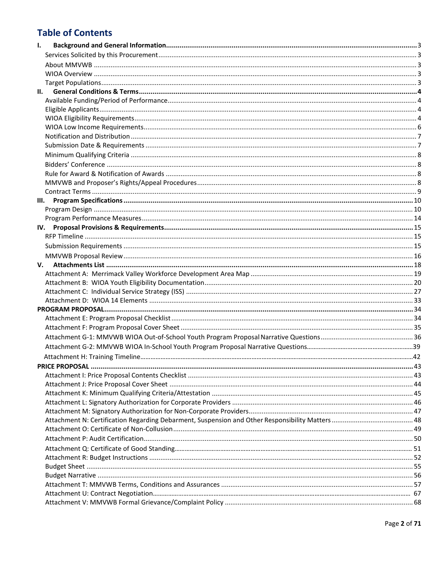## **Table of Contents**

| ı. |  |
|----|--|
|    |  |
|    |  |
|    |  |
|    |  |
| н. |  |
|    |  |
|    |  |
|    |  |
|    |  |
|    |  |
|    |  |
|    |  |
|    |  |
|    |  |
|    |  |
|    |  |
|    |  |
|    |  |
|    |  |
|    |  |
|    |  |
|    |  |
|    |  |
| v. |  |
|    |  |
|    |  |
|    |  |
|    |  |
|    |  |
|    |  |
|    |  |
|    |  |
|    |  |
|    |  |
|    |  |
|    |  |
|    |  |
|    |  |
|    |  |
|    |  |
|    |  |
|    |  |
|    |  |
|    |  |
|    |  |
|    |  |
|    |  |
|    |  |
|    |  |
|    |  |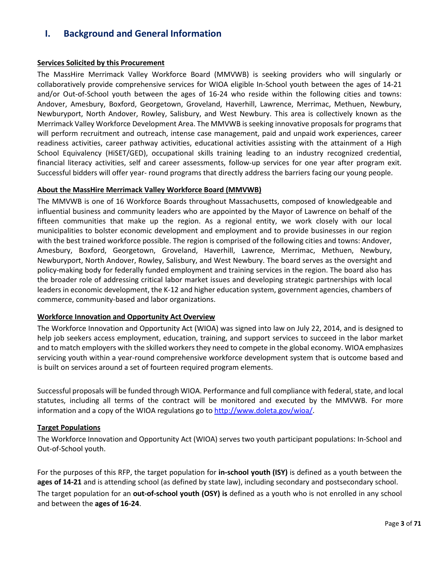## <span id="page-2-0"></span>**I. Background and General Information**

## <span id="page-2-1"></span>**Services Solicited by this Procurement**

The MassHire Merrimack Valley Workforce Board (MMVWB) is seeking providers who will singularly or collaboratively provide comprehensive services for WIOA eligible In-School youth between the ages of 14-21 and/or Out-of-School youth between the ages of 16-24 who reside within the following cities and towns: Andover, Amesbury, Boxford, Georgetown, Groveland, Haverhill, Lawrence, Merrimac, Methuen, Newbury, Newburyport, North Andover, Rowley, Salisbury, and West Newbury. This area is collectively known as the Merrimack Valley Workforce Development Area. The MMVWB is seeking innovative proposals for programs that will perform recruitment and outreach, intense case management, paid and unpaid work experiences, career readiness activities, career pathway activities, educational activities assisting with the attainment of a High School Equivalency (HiSET/GED), occupational skills training leading to an industry recognized credential, financial literacy activities, self and career assessments, follow-up services for one year after program exit. Successful bidders will offer year- round programs that directly address the barriers facing our young people.

## <span id="page-2-2"></span>**About the MassHire Merrimack Valley Workforce Board (MMVWB)**

The MMVWB is one of 16 Workforce Boards throughout Massachusetts, composed of knowledgeable and influential business and community leaders who are appointed by the Mayor of Lawrence on behalf of the fifteen communities that make up the region. As a regional entity, we work closely with our local municipalities to bolster economic development and employment and to provide businesses in our region with the best trained workforce possible. The region is comprised of the following cities and towns: Andover, Amesbury, Boxford, Georgetown, Groveland, Haverhill, Lawrence, Merrimac, Methuen, Newbury, Newburyport, North Andover, Rowley, Salisbury, and West Newbury. The board serves as the oversight and policy-making body for federally funded employment and training services in the region. The board also has the broader role of addressing critical labor market issues and developing strategic partnerships with local leaders in economic development, the K-12 and higher education system, government agencies, chambers of commerce, community-based and labor organizations.

## **Workforce Innovation and Opportunity Act Overview**

The Workforce Innovation and Opportunity Act (WIOA) was signed into law on July 22, 2014, and is designed to help job seekers access employment, education, training, and support services to succeed in the labor market and to match employers with the skilled workers they need to compete in the global economy. WIOA emphasizes servicing youth within a year-round comprehensive workforce development system that is outcome based and is built on services around a set of fourteen required program elements.

Successful proposals will be funded through WIOA. Performance and full compliance with federal, state, and local statutes, including all terms of the contract will be monitored and executed by the MMVWB. For more information and a copy of the WIOA regulations go to [http://www.doleta.gov/wioa/.](http://www.doleta.gov/wioa/)

## <span id="page-2-3"></span>**Target Populations**

The Workforce Innovation and Opportunity Act (WIOA) serves two youth participant populations: In-School and Out-of-School youth.

For the purposes of this RFP, the target population for **in-school youth (ISY)** is defined as a youth between the **ages of 14-21** and is attending school (as defined by state law), including secondary and postsecondary school. The target population for an **out-of-school youth (OSY) is** defined as a youth who is not enrolled in any school and between the **ages of 16-24**.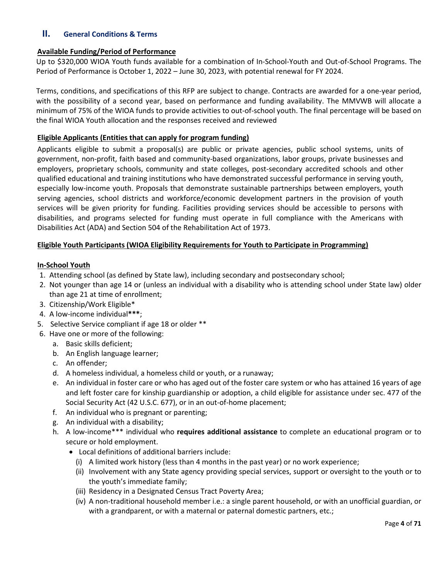## <span id="page-3-0"></span>**II. General Conditions & Terms**

### <span id="page-3-1"></span>**Available Funding/Period of Performance**

Up to \$320,000 WIOA Youth funds available for a combination of In-School-Youth and Out-of-School Programs. The Period of Performance is October 1, 2022 – June 30, 2023, with potential renewal for FY 2024.

Terms, conditions, and specifications of this RFP are subject to change. Contracts are awarded for a one-year period, with the possibility of a second year, based on performance and funding availability. The MMVWB will allocate a minimum of 75% of the WIOA funds to provide activities to out-of-school youth. The final percentage will be based on the final WIOA Youth allocation and the responses received and reviewed

### **Eligible Applicants (Entities that can apply for program funding)**

<span id="page-3-2"></span>Applicants eligible to submit a proposal(s) are public or private agencies, public school systems, units of government, non-profit, faith based and community-based organizations, labor groups, private businesses and employers, proprietary schools, community and state colleges, post-secondary accredited schools and other qualified educational and training institutions who have demonstrated successful performance in serving youth, especially low-income youth. Proposals that demonstrate sustainable partnerships between employers, youth serving agencies, school districts and workforce/economic development partners in the provision of youth services will be given priority for funding. Facilities providing services should be accessible to persons with disabilities, and programs selected for funding must operate in full compliance with the Americans with Disabilities Act (ADA) and Section 504 of the Rehabilitation Act of 1973.

### **Eligible Youth Participants (WIOA Eligibility Requirements for Youth to Participate in Programming)**

### **In-School Youth**

- 1. Attending school (as defined by State law), including secondary and postsecondary school;
- 2. Not younger than age 14 or (unless an individual with a disability who is attending school under State law) older than age 21 at time of enrollment;
- 3. Citizenship/Work Eligible\*
- 4. A low-income individual**\*\*\***;
- 5. Selective Service compliant if age 18 or older \*\*
- 6. Have one or more of the following:
	- a. Basic skills deficient;
	- b. An English language learner;
	- c. An offender;
	- d. A homeless individual, a homeless child or youth, or a runaway;
	- e. An individual in foster care or who has aged out of the foster care system or who has attained 16 years of age and left foster care for kinship guardianship or adoption, a child eligible for assistance under sec. 477 of the Social Security Act (42 U.S.C. 677), or in an out-of-home placement;
	- f. An individual who is pregnant or parenting;
	- g. An individual with a disability;
	- h. A low-income\*\*\* individual who **requires additional assistance** to complete an educational program or to secure or hold employment.
		- Local definitions of additional barriers include:
			- (i) A limited work history (less than 4 months in the past year) or no work experience;
			- (ii) Involvement with any State agency providing special services, support or oversight to the youth or to the youth's immediate family;
			- (iii) Residency in a Designated Census Tract Poverty Area;
			- (iv) A non-traditional household member i.e.: a single parent household, or with an unofficial guardian, or with a grandparent, or with a maternal or paternal domestic partners, etc.;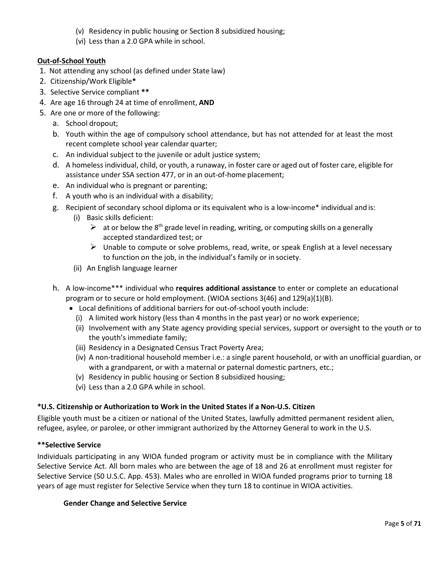- (v) Residency in public housing or Section 8 subsidized housing;
- (vi) Less than a 2.0 GPA while in school.

## **Out-of-School Youth**

- 1. Not attending any school (as defined under State law)
- 2. Citizenship/Work Eligible**\***
- 3. Selective Service compliant **\*\***
- 4. Are age 16 through 24 at time of enrollment, **AND**
- 5. Are one or more of the following:
	- a. School dropout;
	- b. Youth within the age of compulsory school attendance, but has not attended for at least the most recent complete school year calendar quarter;
	- c. An individual subject to the juvenile or adult justice system;
	- d. A homeless individual, child, or youth, a runaway, in foster care or aged out of foster care, eligible for assistance under SSA section 477, or in an out-of-home placement;
	- e. An individual who is pregnant or parenting;
	- f. A youth who is an individual with a disability;
	- g. Recipient of secondary school diploma or its equivalent who is a low-income\* individual and is:
		- (i) Basic skills deficient:
			- $\triangleright$  at or below the 8<sup>th</sup> grade level in reading, writing, or computing skills on a generally accepted standardized test; or
			- $\triangleright$  Unable to compute or solve problems, read, write, or speak English at a level necessary to function on the job, in the individual's family or in society.
		- (ii) An English language learner
	- h. A low-income\*\*\* individual who **requires additional assistance** to enter or complete an educational program or to secure or hold employment. (WIOA sections 3(46) and 129(a)(1)(B).
		- Local definitions of additional barriers for out-of-school youth include:
			- (i) A limited work history (less than 4 months in the past year) or no work experience;
			- (ii) Involvement with any State agency providing special services, support or oversight to the youth or to the youth's immediate family;
			- (iii) Residency in a Designated Census Tract Poverty Area;
			- (iv) A non-traditional household member i.e.: a single parent household, or with an unofficial guardian, or with a grandparent, or with a maternal or paternal domestic partners, etc.;
			- (v) Residency in public housing or Section 8 subsidized housing;
			- (vi) Less than a 2.0 GPA while in school.

## **\*U.S. Citizenship or Authorization to Work in the United States if a Non-U.S. Citizen**

Eligible youth must be a citizen or national of the United States, lawfully admitted permanent resident alien, refugee, asylee, or parolee, or other immigrant authorized by the Attorney General to work in the U.S.

## **\*\*Selective Service**

Individuals participating in any WIOA funded program or activity must be in compliance with the Military Selective Service Act. All born males who are between the age of 18 and 26 at enrollment must register for Selective Service (50 U.S.C. App. 453). Males who are enrolled in WIOA funded programs prior to turning 18 years of age must register for Selective Service when they turn 18 to continue in WIOA activities.

## **Gender Change and Selective Service**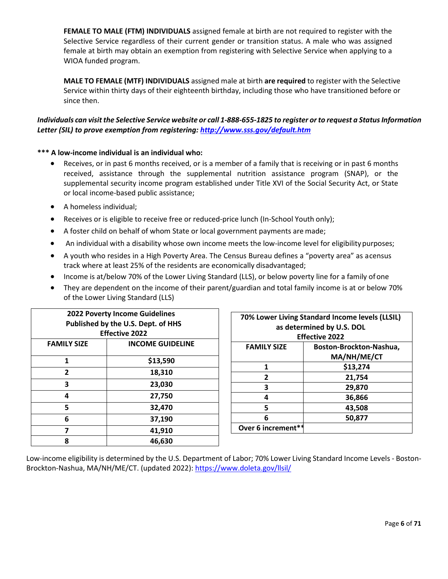**FEMALE TO MALE (FTM) INDIVIDUALS** assigned female at birth are not required to register with the Selective Service regardless of their current gender or transition status. A male who was assigned female at birth may obtain an exemption from registering with Selective Service when applying to a WIOA funded program.

**MALE TO FEMALE (MTF) INDIVIDUALS** assigned male at birth **are required** to register with the Selective Service within thirty days of their eighteenth birthday, including those who have transitioned before or since then.

## *Individuals can visit the Selective Service website or call 1-888-655-1825 to register or to request a Status Information Letter (SIL) to prove exemption from registering:<http://www.sss.gov/default.htm>*

## **\*\*\* A low-income individual is an individual who:**

- Receives, or in past 6 months received, or is a member of a family that is receiving or in past 6 months received, assistance through the supplemental nutrition assistance program (SNAP), or the supplemental security income program established under Title XVI of the Social Security Act, or State or local income-based public assistance;
- A homeless individual;
- Receives or is eligible to receive free or reduced-price lunch (In-School Youth only);
- A foster child on behalf of whom State or local government payments are made;
- An individual with a disability whose own income meets the low-income level for eligibility purposes;
- A youth who resides in a High Poverty Area. The Census Bureau defines a "poverty area" as acensus track where at least 25% of the residents are economically disadvantaged;
- Income is at/below 70% of the Lower Living Standard (LLS), or below poverty line for a family ofone
- They are dependent on the income of their parent/guardian and total family income is at or below 70% of the Lower Living Standard (LLS)

| <b>2022 Poverty Income Guidelines</b> |                         |
|---------------------------------------|-------------------------|
| Published by the U.S. Dept. of HHS    |                         |
| <b>Effective 2022</b>                 |                         |
| <b>FAMILY SIZE</b>                    | <b>INCOME GUIDELINE</b> |
| 1                                     | \$13,590                |
|                                       |                         |
| $\overline{2}$                        | 18,310                  |
| 3                                     | 23,030                  |
| 4                                     | 27,750                  |
| 5                                     | 32,470                  |
| 6                                     | 37,190                  |
| 7                                     | 41,910                  |
| 8                                     | 46,630                  |

| 70% Lower Living Standard Income levels (LLSIL) |                         |
|-------------------------------------------------|-------------------------|
| as determined by U.S. DOL                       |                         |
| <b>Effective 2022</b>                           |                         |
| <b>FAMILY SIZE</b>                              | Boston-Brockton-Nashua, |
|                                                 | MA/NH/ME/CT             |
| 1                                               | \$13,274                |
| $\overline{2}$                                  | 21,754                  |
| 3                                               | 29,870                  |
| 4                                               | 36,866                  |
| 5                                               | 43,508                  |
| 6                                               | 50,877                  |
| Over 6 increment**                              |                         |

Low-income eligibility is determined by the U.S. Department of Labor; 70% Lower Living Standard Income Levels - Boston-Brockton-Nashua, MA/NH/ME/CT. (updated 2022):<https://www.doleta.gov/llsil/>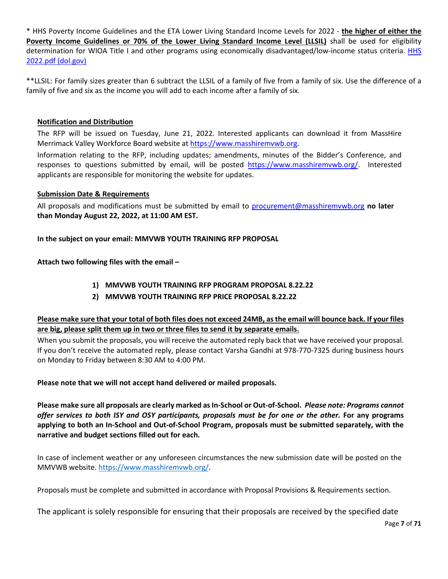\* HHS Poverty Income Guidelines and the ETA Lower Living Standard Income Levels for 2022 - **the higher of either the Poverty Income Guidelines or 70% of the Lower Living Standard Income Level (LLSIL)** shall be used for eligibility determination for WIOA Title I and other programs using economically disadvantaged/low-income status criteria. HHS [2022.pdf \(dol.gov\)](https://www.dol.gov/sites/dolgov/files/ETA/llsil/pdfs/HHS_2022.pdf)

\*\*LLSIL: For family sizes greater than 6 subtract the LLSIL of a family of five from a family of six. Use the difference of a family of five and six as the income you will add to each income after a family of six.

## **Notification and Distribution**

The RFP will be issued on Tuesday, June 21, 2022. Interested applicants can download it from MassHire Merrimack Valley Workforce Board website at [https://www.masshiremvwb.org.](https://www.masshiremvwb.org/)

Information relating to the RFP, including updates; amendments, minutes of the Bidder's Conference, and responses to questions submitted by email, will be posted [https://www.masshiremvwb.org/.](https://www.masshiremvwb.org/) Interested applicants are responsible for monitoring the website for updates.

## **Submission Date & Requirements**

All proposals and modifications must be submitted by email to [procurement@masshiremvwb.org](mailto:procurement@masshiremvwb.org) **no later than Monday August 22, 2022, at 11:00 AM EST.**

**In the subject on your email: MMVWB YOUTH TRAINING RFP PROPOSAL**

**Attach two following files with the email –**

- **1) MMVWB YOUTH TRAINING RFP PROGRAM PROPOSAL 8.22.22**
- **2) MMVWB YOUTH TRAINING RFP PRICE PROPOSAL 8.22.22**

## **Please make sure that your total of both files does not exceed 24MB, as the email will bounce back. If your files are big, please split them up in two or three files to send it by separate emails.**

When you submit the proposals, you will receive the automated reply back that we have received your proposal. If you don't receive the automated reply, please contact Varsha Gandhi at 978-770-7325 during business hours on Monday to Friday between 8:30 AM to 4:00 PM.

**Please note that we will not accept hand delivered or mailed proposals.**

**Please make sure all proposals are clearly marked as In-School or Out-of-School.** *Please note: Programs cannot offer services to both ISY and OSY participants, proposals must be for one or the other.* **For any programs applying to both an In-School and Out-of-School Program, proposals must be submitted separately, with the narrative and budget sections filled out for each.**

In case of inclement weather or any unforeseen circumstances the new submission date will be posted on the MMVWB website[. https://www.masshiremvwb.org/.](https://www.masshiremvwb.org/)

Proposals must be complete and submitted in accordance with Proposal Provisions & Requirements section.

The applicant is solely responsible for ensuring that their proposals are received by the specified date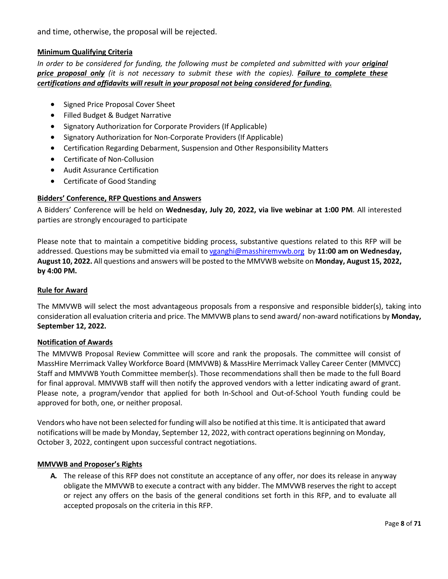and time, otherwise, the proposal will be rejected.

## **Minimum Qualifying Criteria**

In order to be considered for funding, the following must be completed and submitted with your *original price proposal only (it is not necessary to submit these with the copies). Failure to complete these certifications and affidavits will result in your proposal not being considered for funding.*

- Signed Price Proposal Cover Sheet
- Filled Budget & Budget Narrative
- Signatory Authorization for Corporate Providers (If Applicable)
- Signatory Authorization for Non-Corporate Providers (If Applicable)
- Certification Regarding Debarment, Suspension and Other Responsibility Matters
- Certificate of Non-Collusion
- Audit Assurance Certification
- Certificate of Good Standing

## **Bidders' Conference, RFP Questions and Answers**

A Bidders' Conference will be held on **Wednesday, July 20, 2022, via live webinar at 1:00 PM**. All interested parties are strongly encouraged to participate

Please note that to maintain a competitive bidding process, substantive questions related to this RFP will be addressed. Questions may be submitted via email to [vganghi@masshiremvwb.org](mailto:vganghi@masshiremvwb.org) by **11:00 am on Wednesday, August 10, 2022.** All questions and answers will be posted to the MMVWB website on **Monday, August 15, 2022, by 4:00 PM.**

### **Rule for Award**

The MMVWB will select the most advantageous proposals from a responsive and responsible bidder(s), taking into consideration all evaluation criteria and price. The MMVWB plans to send award/ non-award notifications by **Monday, September 12, 2022.**

## <span id="page-7-0"></span>**Notification of Awards**

The MMVWB Proposal Review Committee will score and rank the proposals. The committee will consist of MassHire Merrimack Valley Workforce Board (MMVWB) & MassHire Merrimack Valley Career Center (MMVCC) Staff and MMVWB Youth Committee member(s). Those recommendations shall then be made to the full Board for final approval. MMVWB staff will then notify the approved vendors with a letter indicating award of grant. Please note, a program/vendor that applied for both In-School and Out-of-School Youth funding could be approved for both, one, or neither proposal.

Vendors who have not been selected for funding will also be notified at this time. It is anticipated that award notifications will be made by Monday, September 12, 2022, with contract operations beginning on Monday, October 3, 2022, contingent upon successful contract negotiations.

## <span id="page-7-1"></span>**MMVWB and Proposer's Rights**

**A.** The release of this RFP does not constitute an acceptance of any offer, nor does its release in anyway obligate the MMVWB to execute a contract with any bidder. The MMVWB reserves the right to accept or reject any offers on the basis of the general conditions set forth in this RFP, and to evaluate all accepted proposals on the criteria in this RFP.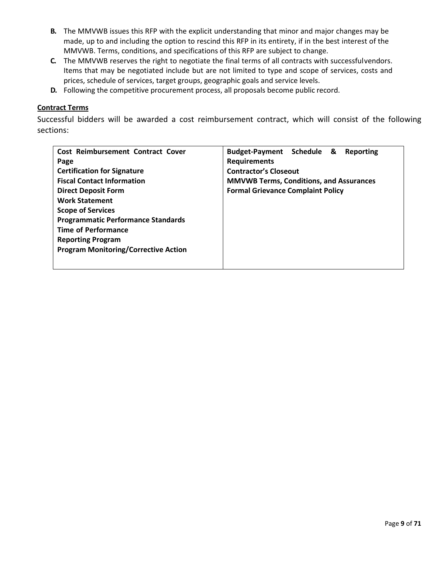- **B.** The MMVWB issues this RFP with the explicit understanding that minor and major changes may be made, up to and including the option to rescind this RFP in its entirety, if in the best interest of the MMVWB. Terms, conditions, and specifications of this RFP are subject to change.
- **C.** The MMVWB reserves the right to negotiate the final terms of all contracts with successfulvendors. Items that may be negotiated include but are not limited to type and scope of services, costs and prices, schedule of services, target groups, geographic goals and service levels.
- **D.** Following the competitive procurement process, all proposals become public record.

## <span id="page-8-0"></span>**Contract Terms**

Successful bidders will be awarded a cost reimbursement contract, which will consist of the following sections:

| Cost Reimbursement Contract Cover           | Budget-Payment Schedule &<br>Reporting         |  |
|---------------------------------------------|------------------------------------------------|--|
| Page                                        | <b>Requirements</b>                            |  |
| <b>Certification for Signature</b>          | <b>Contractor's Closeout</b>                   |  |
| <b>Fiscal Contact Information</b>           | <b>MMVWB Terms, Conditions, and Assurances</b> |  |
| <b>Direct Deposit Form</b>                  | <b>Formal Grievance Complaint Policy</b>       |  |
| <b>Work Statement</b>                       |                                                |  |
| <b>Scope of Services</b>                    |                                                |  |
| <b>Programmatic Performance Standards</b>   |                                                |  |
| <b>Time of Performance</b>                  |                                                |  |
| <b>Reporting Program</b>                    |                                                |  |
| <b>Program Monitoring/Corrective Action</b> |                                                |  |
|                                             |                                                |  |
|                                             |                                                |  |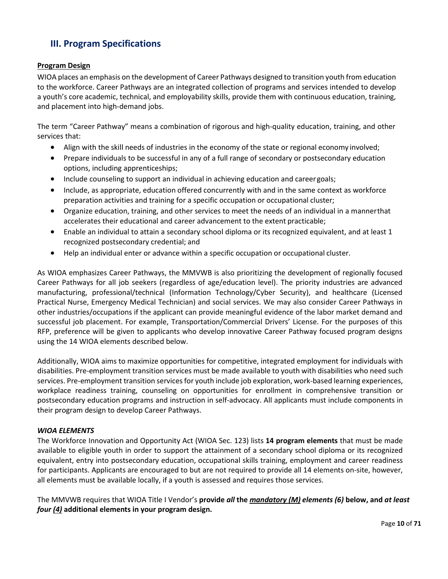## <span id="page-9-0"></span>**III. Program Specifications**

## <span id="page-9-1"></span>**Program Design**

WIOA places an emphasis on the development of Career Pathways designed to transition youth from education to the workforce. Career Pathways are an integrated collection of programs and services intended to develop a youth's core academic, technical, and employability skills, provide them with continuous education, training, and placement into high-demand jobs.

The term "Career Pathway" means a combination of rigorous and high-quality education, training, and other services that:

- Align with the skill needs of industries in the economy of the state or regional economy involved;
- Prepare individuals to be successful in any of a full range of secondary or postsecondary education options, including apprenticeships;
- Include counseling to support an individual in achieving education and careergoals;
- Include, as appropriate, education offered concurrently with and in the same context as workforce preparation activities and training for a specific occupation or occupational cluster;
- Organize education, training, and other services to meet the needs of an individual in a mannerthat accelerates their educational and career advancement to the extent practicable;
- Enable an individual to attain a secondary school diploma or its recognized equivalent, and at least 1 recognized postsecondary credential; and
- Help an individual enter or advance within a specific occupation or occupational cluster.

As WIOA emphasizes Career Pathways, the MMVWB is also prioritizing the development of regionally focused Career Pathways for all job seekers (regardless of age/education level). The priority industries are advanced manufacturing, professional/technical (Information Technology/Cyber Security), and healthcare (Licensed Practical Nurse, Emergency Medical Technician) and social services. We may also consider Career Pathways in other industries/occupations if the applicant can provide meaningful evidence of the labor market demand and successful job placement. For example, Transportation/Commercial Drivers' License. For the purposes of this RFP, preference will be given to applicants who develop innovative Career Pathway focused program designs using the 14 WIOA elements described below.

Additionally, WIOA aims to maximize opportunities for competitive, integrated employment for individuals with disabilities. Pre-employment transition services must be made available to youth with disabilities who need such services. Pre-employment transition services for youth include job exploration, work-based learning experiences, workplace readiness training, counseling on opportunities for enrollment in comprehensive transition or postsecondary education programs and instruction in self-advocacy. All applicants must include components in their program design to develop Career Pathways.

## *WIOA ELEMENTS*

The Workforce Innovation and Opportunity Act (WIOA Sec. 123) lists **14 program elements** that must be made available to eligible youth in order to support the attainment of a secondary school diploma or its recognized equivalent, entry into postsecondary education, occupational skills training, employment and career readiness for participants. Applicants are encouraged to but are not required to provide all 14 elements on-site, however, all elements must be available locally, if a youth is assessed and requires those services.

The MMVWB requires that WIOA Title I Vendor's **provide** *all* **the** *mandatory (M) elements (6)* **below, and** *at least four (4)* **additional elements in your program design.**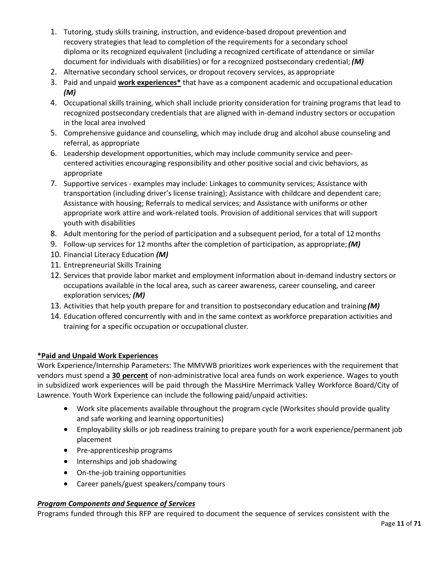- 1. Tutoring, study skills training, instruction, and evidence-based dropout prevention and recovery strategies that lead to completion of the requirements for a secondary school diploma or its recognized equivalent (including a recognized certificate of attendance or similar document for individuals with disabilities) or for a recognized postsecondary credential; *(M)*
- 2. Alternative secondary school services, or dropout recovery services, as appropriate
- 3. Paid and unpaid **work experiences\*** that have as a component academic and occupational education *(M)*
- 4. Occupational skills training, which shall include priority consideration for training programs that lead to recognized postsecondary credentials that are aligned with in-demand industry sectors or occupation in the local area involved
- 5. Comprehensive guidance and counseling, which may include drug and alcohol abuse counseling and referral, as appropriate
- 6. Leadership development opportunities, which may include community service and peercentered activities encouraging responsibility and other positive social and civic behaviors, as appropriate
- 7. Supportive services examples may include: Linkages to community services; Assistance with transportation (including driver's license training); Assistance with childcare and dependent care; Assistance with housing; Referrals to medical services; and Assistance with uniforms or other appropriate work attire and work-related tools. Provision of additional services that will support youth with disabilities
- 8. Adult mentoring for the period of participation and a subsequent period, for a total of 12months
- 9. Follow-up services for 12 months after the completion of participation, as appropriate;*(M)*
- 10. Financial Literacy Education *(M)*
- 11. Entrepreneurial Skills Training
- 12. Services that provide labor market and employment information about in-demand industry sectors or occupations available in the local area, such as career awareness, career counseling, and career exploration services*; (M)*
- 13. Activities that help youth prepare for and transition to postsecondary education and training *(M)*
- 14. Education offered concurrently with and in the same context as workforce preparation activities and training for a specific occupation or occupational cluster*.*

## **\*Paid and Unpaid Work Experiences**

Work Experience/Internship Parameters: The MMVWB prioritizes work experiences with the requirement that vendors must spend a **30 percent** of non-administrative local area funds on work experience. Wages to youth in subsidized work experiences will be paid through the MassHire Merrimack Valley Workforce Board/City of Lawrence. Youth Work Experience can include the following paid/unpaid activities:

- Work site placements available throughout the program cycle (Worksites should provide quality and safe working and learning opportunities)
- Employability skills or job readiness training to prepare youth for a work experience/permanent job placement
- Pre-apprenticeship programs
- Internships and job shadowing
- On-the-job training opportunities
- Career panels/guest speakers/company tours

## *Program Components and Sequence of Services*

Programs funded through this RFP are required to document the sequence of services consistent with the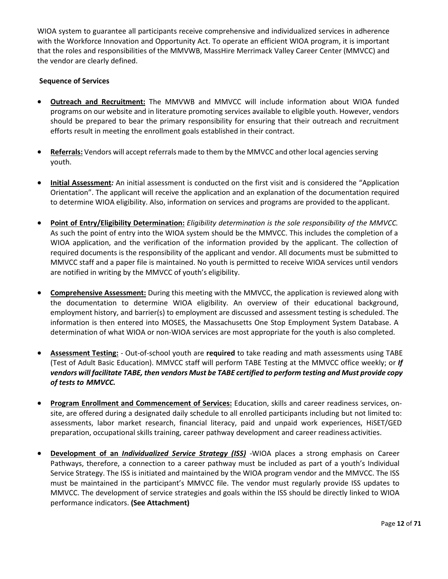WIOA system to guarantee all participants receive comprehensive and individualized services in adherence with the Workforce Innovation and Opportunity Act. To operate an efficient WIOA program, it is important that the roles and responsibilities of the MMVWB, MassHire Merrimack Valley Career Center (MMVCC) and the vendor are clearly defined.

## **Sequence of Services**

- **Outreach and Recruitment:** The MMVWB and MMVCC will include information about WIOA funded programs on our website and in literature promoting services available to eligible youth. However, vendors should be prepared to bear the primary responsibility for ensuring that their outreach and recruitment efforts result in meeting the enrollment goals established in their contract.
- **Referrals:** Vendors will accept referrals made to them by the MMVCC and other local agencies serving youth.
- **Initial Assessment***:* An initial assessment is conducted on the first visit and is considered the "Application Orientation". The applicant will receive the application and an explanation of the documentation required to determine WIOA eligibility. Also, information on services and programs are provided to the applicant.
- **Point of Entry/Eligibility Determination:** *Eligibility determination is the sole responsibility of the MMVCC.*  As such the point of entry into the WIOA system should be the MMVCC. This includes the completion of a WIOA application, and the verification of the information provided by the applicant. The collection of required documents is the responsibility of the applicant and vendor. All documents must be submitted to MMVCC staff and a paper file is maintained. No youth is permitted to receive WIOA services until vendors are notified in writing by the MMVCC of youth's eligibility.
- **Comprehensive Assessment:** During this meeting with the MMVCC, the application is reviewed along with the documentation to determine WIOA eligibility. An overview of their educational background, employment history, and barrier(s) to employment are discussed and assessment testing is scheduled. The information is then entered into MOSES, the Massachusetts One Stop Employment System Database. A determination of what WIOA or non-WIOA services are most appropriate for the youth is also completed.
- **Assessment Testing:** Out-of-school youth are **required** to take reading and math assessments using TABE (Test of Adult Basic Education). MMVCC staff will perform TABE Testing at the MMVCC office weekly; or *If vendors will facilitate TABE, then vendors Must be TABE certified to perform testing and Must provide copy of tests to MMVCC.*
- **Program Enrollment and Commencement of Services:** Education, skills and career readiness services, onsite, are offered during a designated daily schedule to all enrolled participants including but not limited to: assessments, labor market research, financial literacy, paid and unpaid work experiences, HiSET/GED preparation, occupational skills training, career pathway development and career readiness activities.
- **Development of an** *Individualized Service Strategy (ISS)* -WIOA places a strong emphasis on Career Pathways, therefore, a connection to a career pathway must be included as part of a youth's Individual Service Strategy. The ISS is initiated and maintained by the WIOA program vendor and the MMVCC. The ISS must be maintained in the participant's MMVCC file. The vendor must regularly provide ISS updates to MMVCC. The development of service strategies and goals within the ISS should be directly linked to WIOA performance indicators. **(See Attachment)**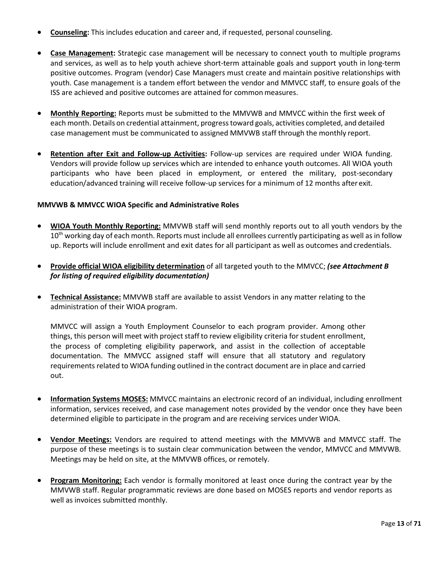- **Counseling:** This includes education and career and, if requested, personal counseling.
- **Case Management:** Strategic case management will be necessary to connect youth to multiple programs and services, as well as to help youth achieve short-term attainable goals and support youth in long-term positive outcomes. Program (vendor) Case Managers must create and maintain positive relationships with youth. Case management is a tandem effort between the vendor and MMVCC staff, to ensure goals of the ISS are achieved and positive outcomes are attained for common measures.
- **Monthly Reporting:** Reports must be submitted to the MMVWB and MMVCC within the first week of each month. Details on credential attainment, progress toward goals, activities completed, and detailed case management must be communicated to assigned MMVWB staff through the monthly report.
- **Retention after Exit and Follow-up Activities:** Follow-up services are required under WIOA funding. Vendors will provide follow up services which are intended to enhance youth outcomes. All WIOA youth participants who have been placed in employment, or entered the military, post-secondary education/advanced training will receive follow-up services for a minimum of 12 months after exit.

### **MMVWB & MMVCC WIOA Specific and Administrative Roles**

- **WIOA Youth Monthly Reporting:** MMVWB staff will send monthly reports out to all youth vendors by the  $10<sup>th</sup>$  working day of each month. Reports must include all enrollees currently participating as well as in follow up. Reports will include enrollment and exit dates for all participant as well as outcomes and credentials.
- **Provide official WIOA eligibility determination** of all targeted youth to the MMVCC; *(see Attachment B for listing of required eligibility documentation)*
- **Technical Assistance:** MMVWB staff are available to assist Vendors in any matter relating to the administration of their WIOA program.

MMVCC will assign a Youth Employment Counselor to each program provider. Among other things, this person will meet with project staff to review eligibility criteria for student enrollment, the process of completing eligibility paperwork, and assist in the collection of acceptable documentation. The MMVCC assigned staff will ensure that all statutory and regulatory requirements related to WIOA funding outlined in the contract document are in place and carried out.

- **Information Systems MOSES:** MMVCC maintains an electronic record of an individual, including enrollment information, services received, and case management notes provided by the vendor once they have been determined eligible to participate in the program and are receiving services under WIOA.
- **Vendor Meetings:** Vendors are required to attend meetings with the MMVWB and MMVCC staff. The purpose of these meetings is to sustain clear communication between the vendor, MMVCC and MMVWB. Meetings may be held on site, at the MMVWB offices, or remotely.
- **Program Monitoring:** Each vendor is formally monitored at least once during the contract year by the MMVWB staff. Regular programmatic reviews are done based on MOSES reports and vendor reports as well as invoices submitted monthly.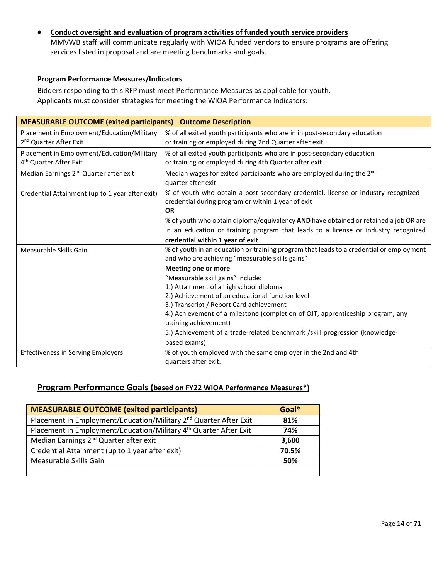• **Conduct oversight and evaluation of program activities of funded youth service providers** MMVWB staff will communicate regularly with WIOA funded vendors to ensure programs are offering services listed in proposal and are meeting benchmarks and goals.

## <span id="page-13-0"></span>**Program Performance Measures/Indicators**

Bidders responding to this RFP must meet Performance Measures as applicable for youth. Applicants must consider strategies for meeting the WIOA Performance Indicators:

| <b>MEASURABLE OUTCOME (exited participants)</b>                                  | <b>Outcome Description</b>                                                                                                                                                                                            |
|----------------------------------------------------------------------------------|-----------------------------------------------------------------------------------------------------------------------------------------------------------------------------------------------------------------------|
| Placement in Employment/Education/Military<br>2 <sup>nd</sup> Quarter After Exit | % of all exited youth participants who are in in post-secondary education<br>or training or employed during 2nd Quarter after exit.                                                                                   |
| Placement in Employment/Education/Military<br>4 <sup>th</sup> Quarter After Exit | % of all exited youth participants who are in post-secondary education<br>or training or employed during 4th Quarter after exit                                                                                       |
| Median Earnings 2 <sup>nd</sup> Quarter after exit                               | Median wages for exited participants who are employed during the 2 <sup>nd</sup><br>quarter after exit                                                                                                                |
| Credential Attainment (up to 1 year after exit)                                  | % of youth who obtain a post-secondary credential, license or industry recognized<br>credential during program or within 1 year of exit<br><b>OR</b>                                                                  |
|                                                                                  | % of youth who obtain diploma/equivalency <b>AND</b> have obtained or retained a job OR are<br>in an education or training program that leads to a license or industry recognized<br>credential within 1 year of exit |
| Measurable Skills Gain                                                           | % of youth in an education or training program that leads to a credential or employment<br>and who are achieving "measurable skills gains"                                                                            |
|                                                                                  | <b>Meeting one or more</b>                                                                                                                                                                                            |
|                                                                                  | "Measurable skill gains" include:                                                                                                                                                                                     |
|                                                                                  | 1.) Attainment of a high school diploma                                                                                                                                                                               |
|                                                                                  | 2.) Achievement of an educational function level                                                                                                                                                                      |
|                                                                                  | 3.) Transcript / Report Card achievement                                                                                                                                                                              |
|                                                                                  | 4.) Achievement of a milestone (completion of OJT, apprenticeship program, any<br>training achievement)                                                                                                               |
|                                                                                  | 5.) Achievement of a trade-related benchmark /skill progression (knowledge-                                                                                                                                           |
|                                                                                  | based exams)                                                                                                                                                                                                          |
| <b>Effectiveness in Serving Employers</b>                                        | % of youth employed with the same employer in the 2nd and 4th                                                                                                                                                         |
|                                                                                  | quarters after exit.                                                                                                                                                                                                  |

## <span id="page-13-1"></span>**Program Performance Goals (based on FY22 WIOA Performance Measures\*)**

| <b>MEASURABLE OUTCOME (exited participants)</b>                               | Goal* |
|-------------------------------------------------------------------------------|-------|
| Placement in Employment/Education/Military 2 <sup>nd</sup> Quarter After Exit | 81%   |
| Placement in Employment/Education/Military 4 <sup>th</sup> Quarter After Exit | 74%   |
| Median Earnings 2 <sup>nd</sup> Quarter after exit                            | 3,600 |
| Credential Attainment (up to 1 year after exit)                               | 70.5% |
| Measurable Skills Gain                                                        | 50%   |
|                                                                               |       |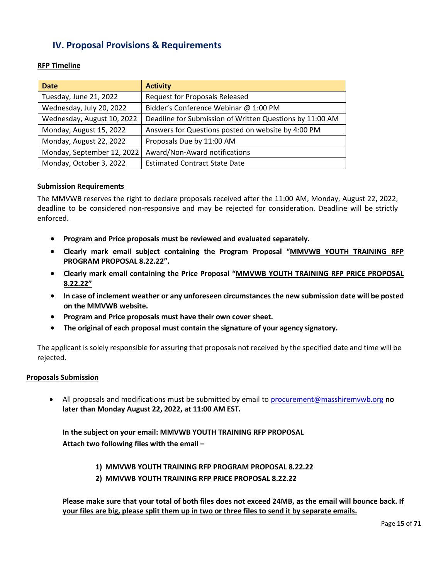## **IV. Proposal Provisions & Requirements**

<span id="page-14-0"></span>**RFP Timeline**

| <b>Date</b>                | <b>Activity</b>                                          |
|----------------------------|----------------------------------------------------------|
| Tuesday, June 21, 2022     | <b>Request for Proposals Released</b>                    |
| Wednesday, July 20, 2022   | Bidder's Conference Webinar @ 1:00 PM                    |
| Wednesday, August 10, 2022 | Deadline for Submission of Written Questions by 11:00 AM |
| Monday, August 15, 2022    | Answers for Questions posted on website by 4:00 PM       |
| Monday, August 22, 2022    | Proposals Due by 11:00 AM                                |
| Monday, September 12, 2022 | Award/Non-Award notifications                            |
| Monday, October 3, 2022    | <b>Estimated Contract State Date</b>                     |

## **Submission Requirements**

The MMVWB reserves the right to declare proposals received after the 11:00 AM, Monday, August 22, 2022, deadline to be considered non-responsive and may be rejected for consideration. Deadline will be strictly enforced.

- **Program and Price proposals must be reviewed and evaluated separately.**
- **Clearly mark email subject containing the Program Proposal "MMVWB YOUTH TRAINING RFP PROGRAM PROPOSAL 8.22.22".**
- **Clearly mark email containing the Price Proposal "MMVWB YOUTH TRAINING RFP PRICE PROPOSAL 8.22.22"**
- **In case of inclement weather or any unforeseen circumstances the new submission date will be posted on the MMVWB website.**
- **Program and Price proposals must have their own cover sheet.**
- **The original of each proposal must contain the signature of your agency signatory.**

The applicant is solely responsible for assuring that proposals not received by the specified date and time will be rejected.

## **Proposals Submission**

• All proposals and modifications must be submitted by email to [procurement@masshiremvwb.org](mailto:procurement@masshiremvwb.org) **no later than Monday August 22, 2022, at 11:00 AM EST.**

**In the subject on your email: MMVWB YOUTH TRAINING RFP PROPOSAL Attach two following files with the email –**

- **1) MMVWB YOUTH TRAINING RFP PROGRAM PROPOSAL 8.22.22**
- **2) MMVWB YOUTH TRAINING RFP PRICE PROPOSAL 8.22.22**

**Please make sure that your total of both files does not exceed 24MB, as the email will bounce back. If your files are big, please split them up in two or three files to send it by separate emails.**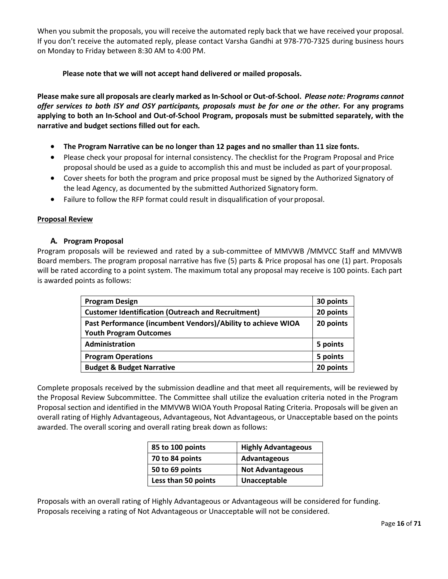When you submit the proposals, you will receive the automated reply back that we have received your proposal. If you don't receive the automated reply, please contact Varsha Gandhi at 978-770-7325 during business hours on Monday to Friday between 8:30 AM to 4:00 PM.

**Please note that we will not accept hand delivered or mailed proposals.**

**Please make sure all proposals are clearly marked as In-School or Out-of-School.** *Please note: Programs cannot offer services to both ISY and OSY participants, proposals must be for one or the other.* **For any programs applying to both an In-School and Out-of-School Program, proposals must be submitted separately, with the narrative and budget sections filled out for each.**

- **The Program Narrative can be no longer than 12 pages and no smaller than 11 size fonts.**
- Please check your proposal for internal consistency. The checklist for the Program Proposal and Price proposal should be used as a guide to accomplish this and must be included as part of yourproposal.
- Cover sheets for both the program and price proposal must be signed by the Authorized Signatory of the lead Agency, as documented by the submitted Authorized Signatory form.
- Failure to follow the RFP format could result in disqualification of yourproposal.

### **Proposal Review**

### **A. Program Proposal**

Program proposals will be reviewed and rated by a sub-committee of MMVWB /MMVCC Staff and MMVWB Board members. The program proposal narrative has five (5) parts & Price proposal has one (1) part. Proposals will be rated according to a point system. The maximum total any proposal may receive is 100 points. Each part is awarded points as follows:

<span id="page-15-0"></span>

| <b>Program Design</b>                                        | 30 points |
|--------------------------------------------------------------|-----------|
| <b>Customer Identification (Outreach and Recruitment)</b>    | 20 points |
| Past Performance (incumbent Vendors)/Ability to achieve WIOA | 20 points |
| <b>Youth Program Outcomes</b>                                |           |
| Administration                                               | 5 points  |
| <b>Program Operations</b>                                    | 5 points  |
| <b>Budget &amp; Budget Narrative</b>                         | 20 points |

Complete proposals received by the submission deadline and that meet all requirements, will be reviewed by the Proposal Review Subcommittee. The Committee shall utilize the evaluation criteria noted in the Program Proposal section and identified in the MMVWB WIOA Youth Proposal Rating Criteria. Proposals will be given an overall rating of Highly Advantageous, Advantageous, Not Advantageous, or Unacceptable based on the points awarded. The overall scoring and overall rating break down as follows:

| 85 to 100 points    | <b>Highly Advantageous</b> |
|---------------------|----------------------------|
| 70 to 84 points     | Advantageous               |
| 50 to 69 points     | <b>Not Advantageous</b>    |
| Less than 50 points | Unacceptable               |

Proposals with an overall rating of Highly Advantageous or Advantageous will be considered for funding. Proposals receiving a rating of Not Advantageous or Unacceptable will not be considered.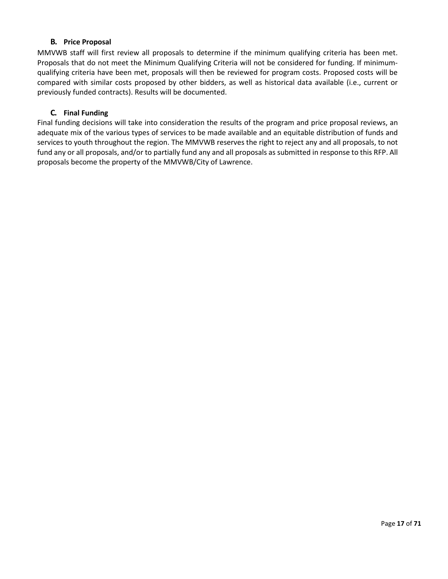## **B. Price Proposal**

MMVWB staff will first review all proposals to determine if the minimum qualifying criteria has been met. Proposals that do not meet the Minimum Qualifying Criteria will not be considered for funding. If minimumqualifying criteria have been met, proposals will then be reviewed for program costs. Proposed costs will be compared with similar costs proposed by other bidders, as well as historical data available (i.e., current or previously funded contracts). Results will be documented.

## **C. Final Funding**

Final funding decisions will take into consideration the results of the program and price proposal reviews, an adequate mix of the various types of services to be made available and an equitable distribution of funds and services to youth throughout the region. The MMVWB reserves the right to reject any and all proposals, to not fund any or all proposals, and/or to partially fund any and all proposals as submitted in response to this RFP. All proposals become the property of the MMVWB/City of Lawrence.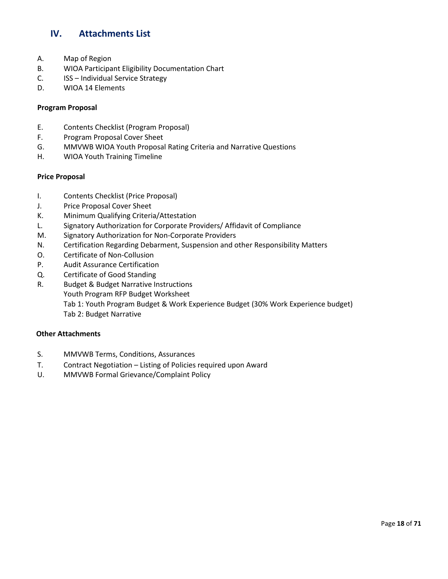## <span id="page-17-0"></span>**IV. Attachments List**

- A. Map of Region
- B. WIOA Participant Eligibility Documentation Chart
- C. ISS Individual Service Strategy
- D. WIOA 14 Elements

### **Program Proposal**

- E. Contents Checklist (Program Proposal)
- F. Program Proposal Cover Sheet
- G. MMVWB WIOA Youth Proposal Rating Criteria and Narrative Questions
- H. WIOA Youth Training Timeline

### **Price Proposal**

- I. Contents Checklist (Price Proposal)
- J. Price Proposal Cover Sheet
- K. Minimum Qualifying Criteria/Attestation
- L. Signatory Authorization for Corporate Providers/ Affidavit of Compliance
- M. Signatory Authorization for Non-Corporate Providers
- N. Certification Regarding Debarment, Suspension and other Responsibility Matters
- O. Certificate of Non-Collusion
- P. Audit Assurance Certification
- Q. Certificate of Good Standing
- R. Budget & Budget Narrative Instructions
	- Youth Program RFP Budget Worksheet
		- Tab 1: Youth Program Budget & Work Experience Budget (30% Work Experience budget) Tab 2: Budget Narrative

## **Other Attachments**

- S. MMVWB Terms, Conditions, Assurances
- T. Contract Negotiation Listing of Policies required upon Award
- U. MMVWB Formal Grievance/Complaint Policy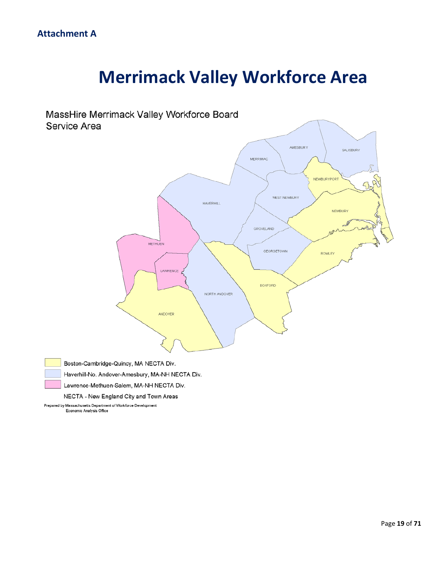# **Merrimack Valley Workforce Area**



Economic Analysis Office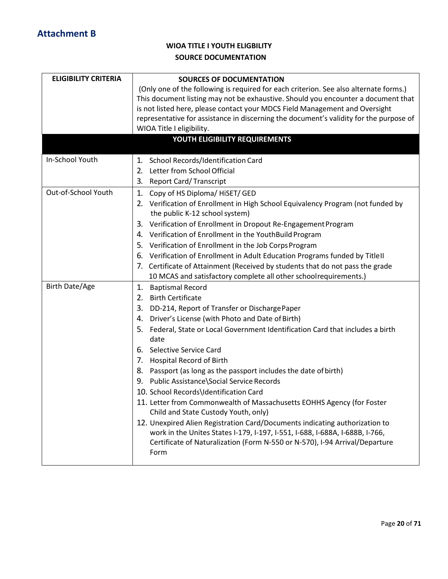## **WIOA TITLE I YOUTH ELIGBILITY SOURCE DOCUMENTATION**

| <b>ELIGIBILITY CRITERIA</b> | <b>SOURCES OF DOCUMENTATION</b><br>(Only one of the following is required for each criterion. See also alternate forms.)<br>This document listing may not be exhaustive. Should you encounter a document that<br>is not listed here, please contact your MDCS Field Management and Oversight<br>representative for assistance in discerning the document's validity for the purpose of<br>WIOA Title I eligibility.                                                                                                                                                                                                                                                                                                                                                                                                                                                           |  |
|-----------------------------|-------------------------------------------------------------------------------------------------------------------------------------------------------------------------------------------------------------------------------------------------------------------------------------------------------------------------------------------------------------------------------------------------------------------------------------------------------------------------------------------------------------------------------------------------------------------------------------------------------------------------------------------------------------------------------------------------------------------------------------------------------------------------------------------------------------------------------------------------------------------------------|--|
|                             | YOUTH ELIGIBILITY REQUIREMENTS                                                                                                                                                                                                                                                                                                                                                                                                                                                                                                                                                                                                                                                                                                                                                                                                                                                |  |
| In-School Youth             | 1. School Records/Identification Card<br>Letter from School Official<br>2.<br><b>Report Card/Transcript</b><br>3.                                                                                                                                                                                                                                                                                                                                                                                                                                                                                                                                                                                                                                                                                                                                                             |  |
| Out-of-School Youth         | Copy of HS Diploma/ HiSET/ GED<br>1.<br>2. Verification of Enrollment in High School Equivalency Program (not funded by<br>the public K-12 school system)<br>Verification of Enrollment in Dropout Re-Engagement Program<br>3.<br>4. Verification of Enrollment in the YouthBuild Program<br>5. Verification of Enrollment in the Job Corps Program<br>Verification of Enrollment in Adult Education Programs funded by Title II<br>6.<br>7. Certificate of Attainment (Received by students that do not pass the grade<br>10 MCAS and satisfactory complete all other schoolrequirements.)                                                                                                                                                                                                                                                                                   |  |
| <b>Birth Date/Age</b>       | <b>Baptismal Record</b><br>1.<br><b>Birth Certificate</b><br>2.<br>DD-214, Report of Transfer or DischargePaper<br>3.<br>Driver's License (with Photo and Date of Birth)<br>4.<br>Federal, State or Local Government Identification Card that includes a birth<br>5.<br>date<br>6. Selective Service Card<br>7. Hospital Record of Birth<br>8. Passport (as long as the passport includes the date of birth)<br>9. Public Assistance\Social Service Records<br>10. School Records\Identification Card<br>11. Letter from Commonwealth of Massachusetts EOHHS Agency (for Foster<br>Child and State Custody Youth, only)<br>12. Unexpired Alien Registration Card/Documents indicating authorization to<br>work in the Unites States I-179, I-197, I-551, I-688, I-688A, I-688B, I-766,<br>Certificate of Naturalization (Form N-550 or N-570), I-94 Arrival/Departure<br>Form |  |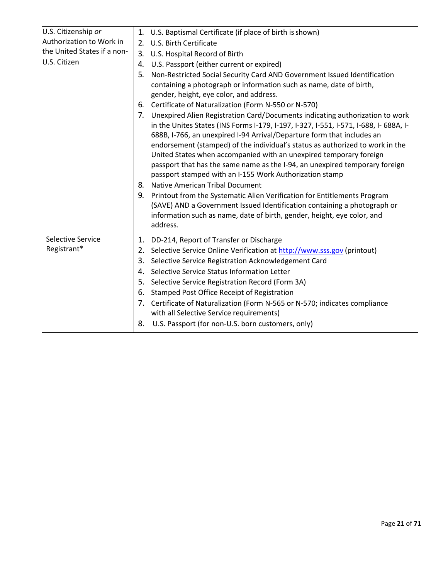| U.S. Citizenship or         |                | 1. U.S. Baptismal Certificate (if place of birth is shown)                                                                                                                                                                                                                                                                                                                                                                                                                                                                                                                                                                                                                                                                                                                                                            |
|-----------------------------|----------------|-----------------------------------------------------------------------------------------------------------------------------------------------------------------------------------------------------------------------------------------------------------------------------------------------------------------------------------------------------------------------------------------------------------------------------------------------------------------------------------------------------------------------------------------------------------------------------------------------------------------------------------------------------------------------------------------------------------------------------------------------------------------------------------------------------------------------|
| Authorization to Work in    | 2.             | U.S. Birth Certificate                                                                                                                                                                                                                                                                                                                                                                                                                                                                                                                                                                                                                                                                                                                                                                                                |
| the United States if a non- | 3.             | U.S. Hospital Record of Birth                                                                                                                                                                                                                                                                                                                                                                                                                                                                                                                                                                                                                                                                                                                                                                                         |
| U.S. Citizen                | 4.             | U.S. Passport (either current or expired)                                                                                                                                                                                                                                                                                                                                                                                                                                                                                                                                                                                                                                                                                                                                                                             |
|                             | 5.             | Non-Restricted Social Security Card AND Government Issued Identification<br>containing a photograph or information such as name, date of birth,<br>gender, height, eye color, and address.                                                                                                                                                                                                                                                                                                                                                                                                                                                                                                                                                                                                                            |
|                             | 6.             | Certificate of Naturalization (Form N-550 or N-570)                                                                                                                                                                                                                                                                                                                                                                                                                                                                                                                                                                                                                                                                                                                                                                   |
|                             | 7.<br>8.<br>9. | Unexpired Alien Registration Card/Documents indicating authorization to work<br>in the Unites States (INS Forms I-179, I-197, I-327, I-551, I-571, I-688, I-688A, I-<br>688B, I-766, an unexpired I-94 Arrival/Departure form that includes an<br>endorsement (stamped) of the individual's status as authorized to work in the<br>United States when accompanied with an unexpired temporary foreign<br>passport that has the same name as the I-94, an unexpired temporary foreign<br>passport stamped with an I-155 Work Authorization stamp<br>Native American Tribal Document<br>Printout from the Systematic Alien Verification for Entitlements Program<br>(SAVE) AND a Government Issued Identification containing a photograph or<br>information such as name, date of birth, gender, height, eye color, and |
|                             |                | address.                                                                                                                                                                                                                                                                                                                                                                                                                                                                                                                                                                                                                                                                                                                                                                                                              |
| Selective Service           | 1.             | DD-214, Report of Transfer or Discharge                                                                                                                                                                                                                                                                                                                                                                                                                                                                                                                                                                                                                                                                                                                                                                               |
| Registrant*                 | 2.             | Selective Service Online Verification at http://www.sss.gov (printout)                                                                                                                                                                                                                                                                                                                                                                                                                                                                                                                                                                                                                                                                                                                                                |
|                             | 3.             | Selective Service Registration Acknowledgement Card                                                                                                                                                                                                                                                                                                                                                                                                                                                                                                                                                                                                                                                                                                                                                                   |
|                             | 4.             | Selective Service Status Information Letter                                                                                                                                                                                                                                                                                                                                                                                                                                                                                                                                                                                                                                                                                                                                                                           |
|                             | 5.             | Selective Service Registration Record (Form 3A)                                                                                                                                                                                                                                                                                                                                                                                                                                                                                                                                                                                                                                                                                                                                                                       |
|                             | 6.             | Stamped Post Office Receipt of Registration                                                                                                                                                                                                                                                                                                                                                                                                                                                                                                                                                                                                                                                                                                                                                                           |
|                             |                | 7. Certificate of Naturalization (Form N-565 or N-570; indicates compliance                                                                                                                                                                                                                                                                                                                                                                                                                                                                                                                                                                                                                                                                                                                                           |
|                             |                | with all Selective Service requirements)                                                                                                                                                                                                                                                                                                                                                                                                                                                                                                                                                                                                                                                                                                                                                                              |
|                             | 8.             | U.S. Passport (for non-U.S. born customers, only)                                                                                                                                                                                                                                                                                                                                                                                                                                                                                                                                                                                                                                                                                                                                                                     |
|                             |                |                                                                                                                                                                                                                                                                                                                                                                                                                                                                                                                                                                                                                                                                                                                                                                                                                       |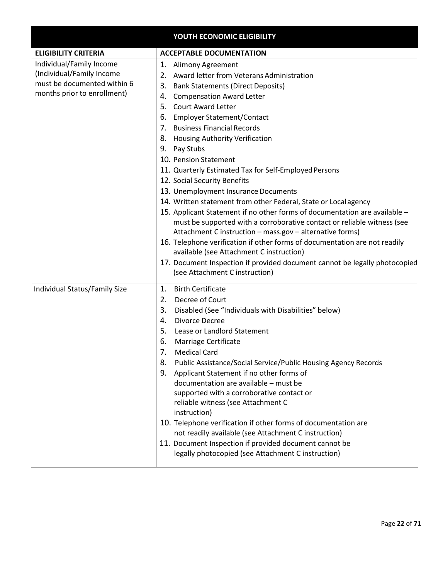|                                                                                                                     | YOUTH ECONOMIC ELIGIBILITY                                                                                                                                                                                                                                                                                                                                                                                                                                                                                                                                                                                                                                                                                                                                                                                                                                                                                                                                                                                                                                        |
|---------------------------------------------------------------------------------------------------------------------|-------------------------------------------------------------------------------------------------------------------------------------------------------------------------------------------------------------------------------------------------------------------------------------------------------------------------------------------------------------------------------------------------------------------------------------------------------------------------------------------------------------------------------------------------------------------------------------------------------------------------------------------------------------------------------------------------------------------------------------------------------------------------------------------------------------------------------------------------------------------------------------------------------------------------------------------------------------------------------------------------------------------------------------------------------------------|
| <b>ELIGIBILITY CRITERIA</b>                                                                                         | <b>ACCEPTABLE DOCUMENTATION</b>                                                                                                                                                                                                                                                                                                                                                                                                                                                                                                                                                                                                                                                                                                                                                                                                                                                                                                                                                                                                                                   |
| Individual/Family Income<br>(Individual/Family Income<br>must be documented within 6<br>months prior to enrollment) | 1.<br><b>Alimony Agreement</b><br>Award letter from Veterans Administration<br>2.<br>3.<br><b>Bank Statements (Direct Deposits)</b><br><b>Compensation Award Letter</b><br>4.<br><b>Court Award Letter</b><br>5.<br><b>Employer Statement/Contact</b><br>6.<br><b>Business Financial Records</b><br>7.<br><b>Housing Authority Verification</b><br>8.<br>9. Pay Stubs<br>10. Pension Statement<br>11. Quarterly Estimated Tax for Self-Employed Persons<br>12. Social Security Benefits<br>13. Unemployment Insurance Documents<br>14. Written statement from other Federal, State or Local agency<br>15. Applicant Statement if no other forms of documentation are available -<br>must be supported with a corroborative contact or reliable witness (see<br>Attachment C instruction - mass.gov - alternative forms)<br>16. Telephone verification if other forms of documentation are not readily<br>available (see Attachment C instruction)<br>17. Document Inspection if provided document cannot be legally photocopied<br>(see Attachment C instruction) |
| Individual Status/Family Size                                                                                       | <b>Birth Certificate</b><br>1.<br>2.<br>Decree of Court<br>3.<br>Disabled (See "Individuals with Disabilities" below)<br>Divorce Decree<br>4.<br>5.<br>Lease or Landlord Statement<br>Marriage Certificate<br>6.<br>7.<br>Medical Card<br>Public Assistance/Social Service/Public Housing Agency Records<br>8.<br>Applicant Statement if no other forms of<br>9.<br>documentation are available - must be<br>supported with a corroborative contact or<br>reliable witness (see Attachment C<br>instruction)<br>10. Telephone verification if other forms of documentation are<br>not readily available (see Attachment C instruction)<br>11. Document Inspection if provided document cannot be<br>legally photocopied (see Attachment C instruction)                                                                                                                                                                                                                                                                                                            |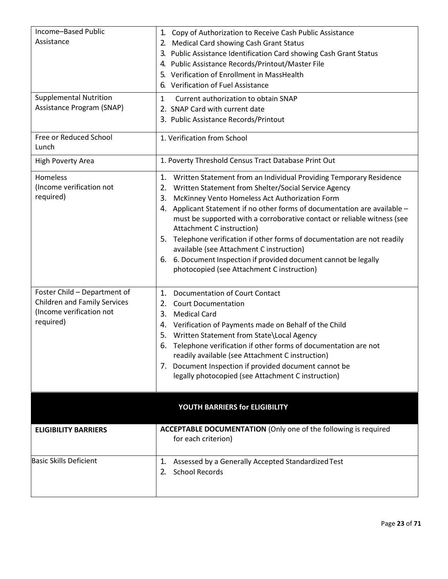| Income-Based Public<br>Assistance<br><b>Supplemental Nutrition</b>                                           | 1. Copy of Authorization to Receive Cash Public Assistance<br><b>Medical Card showing Cash Grant Status</b><br>2.<br>3. Public Assistance Identification Card showing Cash Grant Status<br>4. Public Assistance Records/Printout/Master File<br>5. Verification of Enrollment in MassHealth<br>6. Verification of Fuel Assistance<br>Current authorization to obtain SNAP<br>$\mathbf{1}$                                                                                                                                                                                                                                         |
|--------------------------------------------------------------------------------------------------------------|-----------------------------------------------------------------------------------------------------------------------------------------------------------------------------------------------------------------------------------------------------------------------------------------------------------------------------------------------------------------------------------------------------------------------------------------------------------------------------------------------------------------------------------------------------------------------------------------------------------------------------------|
| Assistance Program (SNAP)                                                                                    | 2. SNAP Card with current date<br>3. Public Assistance Records/Printout                                                                                                                                                                                                                                                                                                                                                                                                                                                                                                                                                           |
| Free or Reduced School<br>Lunch                                                                              | 1. Verification from School                                                                                                                                                                                                                                                                                                                                                                                                                                                                                                                                                                                                       |
| High Poverty Area                                                                                            | 1. Poverty Threshold Census Tract Database Print Out                                                                                                                                                                                                                                                                                                                                                                                                                                                                                                                                                                              |
| Homeless<br>(Income verification not<br>required)                                                            | 1. Written Statement from an Individual Providing Temporary Residence<br>Written Statement from Shelter/Social Service Agency<br>2.<br>McKinney Vento Homeless Act Authorization Form<br>3.<br>Applicant Statement if no other forms of documentation are available -<br>4.<br>must be supported with a corroborative contact or reliable witness (see<br>Attachment C instruction)<br>5. Telephone verification if other forms of documentation are not readily<br>available (see Attachment C instruction)<br>6. Document Inspection if provided document cannot be legally<br>6.<br>photocopied (see Attachment C instruction) |
| Foster Child - Department of<br><b>Children and Family Services</b><br>(Income verification not<br>required) | Documentation of Court Contact<br>1.<br><b>Court Documentation</b><br>2.<br>3.<br><b>Medical Card</b><br>Verification of Payments made on Behalf of the Child<br>4.<br>Written Statement from State\Local Agency<br>5.<br>Telephone verification if other forms of documentation are not<br>6.<br>readily available (see Attachment C instruction)<br>7. Document Inspection if provided document cannot be<br>legally photocopied (see Attachment C instruction)                                                                                                                                                                 |
|                                                                                                              | YOUTH BARRIERS for ELIGIBILITY                                                                                                                                                                                                                                                                                                                                                                                                                                                                                                                                                                                                    |
| <b>ELIGIBILITY BARRIERS</b>                                                                                  | <b>ACCEPTABLE DOCUMENTATION (Only one of the following is required</b><br>for each criterion)                                                                                                                                                                                                                                                                                                                                                                                                                                                                                                                                     |
| <b>Basic Skills Deficient</b>                                                                                | 1.<br>Assessed by a Generally Accepted Standardized Test<br><b>School Records</b><br>2.                                                                                                                                                                                                                                                                                                                                                                                                                                                                                                                                           |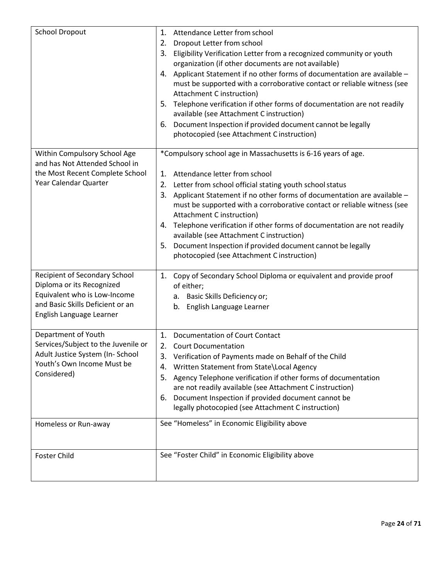| <b>School Dropout</b>                                                                                                                                      | 1.<br>Attendance Letter from school<br>Dropout Letter from school<br>2.<br>3.<br>Eligibility Verification Letter from a recognized community or youth<br>organization (if other documents are not available)<br>Applicant Statement if no other forms of documentation are available -<br>4.<br>must be supported with a corroborative contact or reliable witness (see<br>Attachment C instruction)<br>Telephone verification if other forms of documentation are not readily<br>5.<br>available (see Attachment C instruction)<br>Document Inspection if provided document cannot be legally<br>6.<br>photocopied (see Attachment C instruction) |
|------------------------------------------------------------------------------------------------------------------------------------------------------------|----------------------------------------------------------------------------------------------------------------------------------------------------------------------------------------------------------------------------------------------------------------------------------------------------------------------------------------------------------------------------------------------------------------------------------------------------------------------------------------------------------------------------------------------------------------------------------------------------------------------------------------------------|
| Within Compulsory School Age<br>and has Not Attended School in<br>the Most Recent Complete School<br>Year Calendar Quarter                                 | *Compulsory school age in Massachusetts is 6-16 years of age.<br>Attendance letter from school<br>1.<br>Letter from school official stating youth school status<br>2.<br>Applicant Statement if no other forms of documentation are available -<br>3.<br>must be supported with a corroborative contact or reliable witness (see<br>Attachment C instruction)<br>4. Telephone verification if other forms of documentation are not readily<br>available (see Attachment C instruction)<br>5. Document Inspection if provided document cannot be legally<br>photocopied (see Attachment C instruction)                                              |
| Recipient of Secondary School<br>Diploma or its Recognized<br>Equivalent who is Low-Income<br>and Basic Skills Deficient or an<br>English Language Learner | Copy of Secondary School Diploma or equivalent and provide proof<br>1.<br>of either;<br>a. Basic Skills Deficiency or;<br>English Language Learner<br>b.                                                                                                                                                                                                                                                                                                                                                                                                                                                                                           |
| Department of Youth<br>Services/Subject to the Juvenile or<br>Adult Justice System (In- School<br>Youth's Own Income Must be<br>Considered)                | 1. Documentation of Court Contact<br>2. Court Documentation<br>3. Verification of Payments made on Behalf of the Child<br>Written Statement from State\Local Agency<br>4.<br>Agency Telephone verification if other forms of documentation<br>5.<br>are not readily available (see Attachment C instruction)<br>6. Document Inspection if provided document cannot be<br>legally photocopied (see Attachment C instruction)                                                                                                                                                                                                                        |
| Homeless or Run-away                                                                                                                                       | See "Homeless" in Economic Eligibility above                                                                                                                                                                                                                                                                                                                                                                                                                                                                                                                                                                                                       |
| <b>Foster Child</b>                                                                                                                                        | See "Foster Child" in Economic Eligibility above                                                                                                                                                                                                                                                                                                                                                                                                                                                                                                                                                                                                   |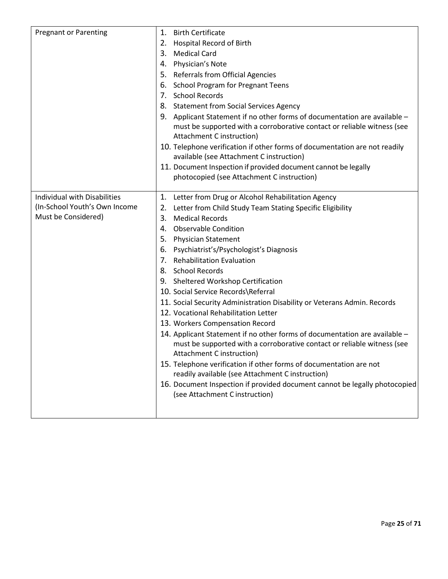| <b>Pregnant or Parenting</b>        | 1. Birth Certificate                                                       |
|-------------------------------------|----------------------------------------------------------------------------|
|                                     | <b>Hospital Record of Birth</b><br>2.                                      |
|                                     | <b>Medical Card</b><br>3.                                                  |
|                                     | 4. Physician's Note                                                        |
|                                     | 5. Referrals from Official Agencies                                        |
|                                     | <b>School Program for Pregnant Teens</b><br>6.                             |
|                                     | 7. School Records                                                          |
|                                     | 8. Statement from Social Services Agency                                   |
|                                     | 9. Applicant Statement if no other forms of documentation are available -  |
|                                     | must be supported with a corroborative contact or reliable witness (see    |
|                                     | Attachment C instruction)                                                  |
|                                     | 10. Telephone verification if other forms of documentation are not readily |
|                                     | available (see Attachment C instruction)                                   |
|                                     | 11. Document Inspection if provided document cannot be legally             |
|                                     | photocopied (see Attachment C instruction)                                 |
| <b>Individual with Disabilities</b> | 1. Letter from Drug or Alcohol Rehabilitation Agency                       |
| (In-School Youth's Own Income       | 2. Letter from Child Study Team Stating Specific Eligibility               |
| Must be Considered)                 | 3.<br><b>Medical Records</b>                                               |
|                                     | <b>Observable Condition</b><br>4.                                          |
|                                     | 5. Physician Statement                                                     |
|                                     | 6. Psychiatrist's/Psychologist's Diagnosis                                 |
|                                     | 7. Rehabilitation Evaluation                                               |
|                                     | 8. School Records                                                          |
|                                     | 9. Sheltered Workshop Certification                                        |
|                                     | 10. Social Service Records\Referral                                        |
|                                     | 11. Social Security Administration Disability or Veterans Admin. Records   |
|                                     | 12. Vocational Rehabilitation Letter                                       |
|                                     | 13. Workers Compensation Record                                            |
|                                     | 14. Applicant Statement if no other forms of documentation are available - |
|                                     | must be supported with a corroborative contact or reliable witness (see    |
|                                     | Attachment C instruction)                                                  |
|                                     | 15. Telephone verification if other forms of documentation are not         |
|                                     | readily available (see Attachment C instruction)                           |
|                                     | 16. Document Inspection if provided document cannot be legally photocopied |
|                                     | (see Attachment C instruction)                                             |
|                                     |                                                                            |
|                                     |                                                                            |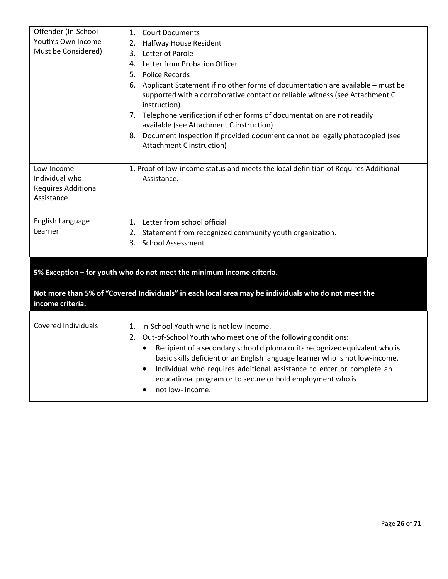| Offender (In-School<br>Youth's Own Income<br>Must be Considered)         | 1.<br><b>Court Documents</b><br>2. Halfway House Resident<br>3. Letter of Parole<br>4. Letter from Probation Officer<br>5. Police Records<br>6. Applicant Statement if no other forms of documentation are available - must be<br>supported with a corroborative contact or reliable witness (see Attachment C<br>instruction)                                                                                                                                                    |
|--------------------------------------------------------------------------|-----------------------------------------------------------------------------------------------------------------------------------------------------------------------------------------------------------------------------------------------------------------------------------------------------------------------------------------------------------------------------------------------------------------------------------------------------------------------------------|
|                                                                          | 7. Telephone verification if other forms of documentation are not readily<br>available (see Attachment C instruction)<br>8. Document Inspection if provided document cannot be legally photocopied (see<br>Attachment C instruction)                                                                                                                                                                                                                                              |
| Low-Income<br>Individual who<br><b>Requires Additional</b><br>Assistance | 1. Proof of low-income status and meets the local definition of Requires Additional<br>Assistance.                                                                                                                                                                                                                                                                                                                                                                                |
| English Language<br>Learner                                              | 1. Letter from school official<br>2. Statement from recognized community youth organization.<br>3. School Assessment                                                                                                                                                                                                                                                                                                                                                              |
|                                                                          | 5% Exception - for youth who do not meet the minimum income criteria.                                                                                                                                                                                                                                                                                                                                                                                                             |
| income criteria.                                                         | Not more than 5% of "Covered Individuals" in each local area may be individuals who do not meet the                                                                                                                                                                                                                                                                                                                                                                               |
| <b>Covered Individuals</b>                                               | 1. In-School Youth who is not low-income.<br>2.<br>Out-of-School Youth who meet one of the following conditions:<br>Recipient of a secondary school diploma or its recognized equivalent who is<br>$\bullet$<br>basic skills deficient or an English language learner who is not low-income.<br>Individual who requires additional assistance to enter or complete an<br>$\bullet$<br>educational program or to secure or hold employment who is<br>not low- income.<br>$\bullet$ |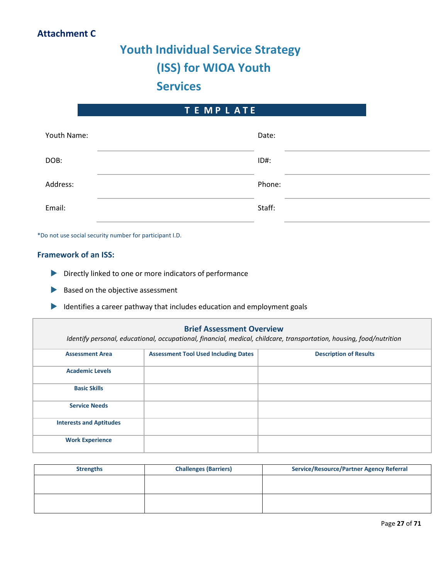## **Attachment C**

# **Youth Individual Service Strategy (ISS) for WIOA Youth Services**

## **T E M P L A T E**

| Youth Name: | Date:   |
|-------------|---------|
| DOB:        | $ID#$ : |
| Address:    | Phone:  |
| Email:      | Staff:  |

\*Do not use social security number for participant I.D.

## **Framework of an ISS:**

- Directly linked to one or more indicators of performance
- Based on the objective assessment
- Identifies a career pathway that includes education and employment goals

# **Brief Assessment Overview** *Identify personal, educational, occupational, financial, medical, childcare, transportation, housing, food/nutrition* **Assessment Area Assessment Tool Used Including Dates Description of Results Academic Levels Basic Skills Service Needs Interests and Aptitudes Work Experience**

| <b>Strengths</b> | <b>Challenges (Barriers)</b> | <b>Service/Resource/Partner Agency Referral</b> |
|------------------|------------------------------|-------------------------------------------------|
|                  |                              |                                                 |
|                  |                              |                                                 |
|                  |                              |                                                 |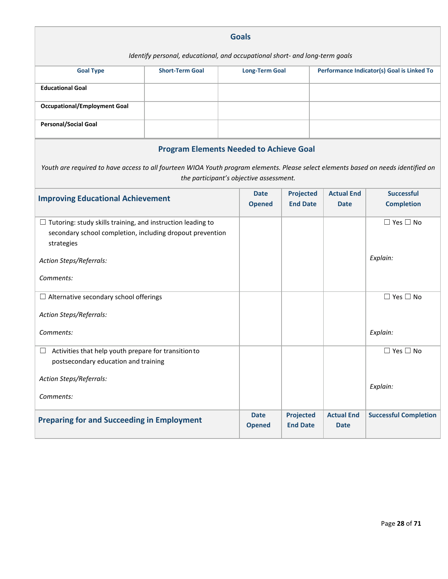| <b>Goals</b>                                                                                                                                  |                                                |  |                                         |                                     |                                  |                                            |
|-----------------------------------------------------------------------------------------------------------------------------------------------|------------------------------------------------|--|-----------------------------------------|-------------------------------------|----------------------------------|--------------------------------------------|
| Identify personal, educational, and occupational short- and long-term goals                                                                   |                                                |  |                                         |                                     |                                  |                                            |
| <b>Goal Type</b>                                                                                                                              | <b>Short-Term Goal</b>                         |  | <b>Long-Term Goal</b>                   |                                     |                                  | Performance Indicator(s) Goal is Linked To |
| <b>Educational Goal</b>                                                                                                                       |                                                |  |                                         |                                     |                                  |                                            |
| <b>Occupational/Employment Goal</b>                                                                                                           |                                                |  |                                         |                                     |                                  |                                            |
| <b>Personal/Social Goal</b>                                                                                                                   |                                                |  |                                         |                                     |                                  |                                            |
|                                                                                                                                               | <b>Program Elements Needed to Achieve Goal</b> |  |                                         |                                     |                                  |                                            |
| Youth are required to have access to all fourteen WIOA Youth program elements. Please select elements based on needs identified on            |                                                |  | the participant's objective assessment. |                                     |                                  |                                            |
| <b>Improving Educational Achievement</b>                                                                                                      |                                                |  | <b>Date</b><br><b>Opened</b>            | <b>Projected</b><br><b>End Date</b> | <b>Actual End</b><br><b>Date</b> | <b>Successful</b><br><b>Completion</b>     |
|                                                                                                                                               |                                                |  |                                         |                                     |                                  |                                            |
| $\Box$ Tutoring: study skills training, and instruction leading to<br>secondary school completion, including dropout prevention<br>strategies |                                                |  |                                         |                                     |                                  | $\Box$ Yes $\Box$ No                       |
| Action Steps/Referrals:                                                                                                                       |                                                |  |                                         |                                     |                                  | Explain:                                   |
| Comments:                                                                                                                                     |                                                |  |                                         |                                     |                                  |                                            |
| $\Box$ Alternative secondary school offerings                                                                                                 |                                                |  |                                         |                                     |                                  | $\Box$ Yes $\Box$ No                       |
| Action Steps/Referrals:                                                                                                                       |                                                |  |                                         |                                     |                                  |                                            |
| Comments:                                                                                                                                     |                                                |  |                                         |                                     |                                  | Explain:                                   |
| Activities that help youth prepare for transition to                                                                                          |                                                |  |                                         |                                     |                                  | $\Box$ Yes $\Box$ No                       |
| postsecondary education and training                                                                                                          |                                                |  |                                         |                                     |                                  |                                            |
| Action Steps/Referrals:                                                                                                                       |                                                |  |                                         |                                     |                                  | Explain:                                   |
| Comments:                                                                                                                                     |                                                |  |                                         |                                     |                                  |                                            |
| <b>Preparing for and Succeeding in Employment</b>                                                                                             |                                                |  | <b>Date</b><br><b>Opened</b>            | <b>Projected</b><br><b>End Date</b> | <b>Actual End</b><br><b>Date</b> | <b>Successful Completion</b>               |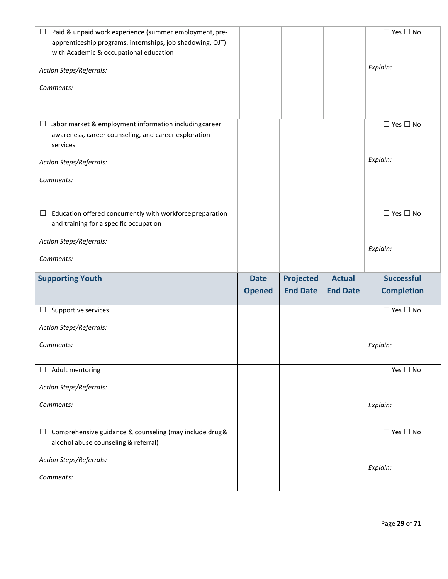| Paid & unpaid work experience (summer employment, pre-<br>apprenticeship programs, internships, job shadowing, OJT) |               |                  |                 | $\Box$ Yes $\Box$ No       |
|---------------------------------------------------------------------------------------------------------------------|---------------|------------------|-----------------|----------------------------|
| with Academic & occupational education                                                                              |               |                  |                 |                            |
| Action Steps/Referrals:                                                                                             |               |                  |                 | Explain:                   |
| Comments:                                                                                                           |               |                  |                 |                            |
|                                                                                                                     |               |                  |                 |                            |
| $\Box$ Labor market & employment information including career                                                       |               |                  |                 | $\Box$ Yes $\Box$ No       |
| awareness, career counseling, and career exploration<br>services                                                    |               |                  |                 |                            |
| Action Steps/Referrals:                                                                                             |               |                  |                 | Explain:                   |
| Comments:                                                                                                           |               |                  |                 |                            |
|                                                                                                                     |               |                  |                 |                            |
| Education offered concurrently with workforce preparation<br>$\Box$                                                 |               |                  |                 | $\Box$ Yes $\Box$ No       |
| and training for a specific occupation                                                                              |               |                  |                 |                            |
| Action Steps/Referrals:                                                                                             |               |                  |                 | Explain:                   |
| Comments:                                                                                                           |               |                  |                 |                            |
|                                                                                                                     |               |                  |                 |                            |
| <b>Supporting Youth</b>                                                                                             | <b>Date</b>   | <b>Projected</b> | <b>Actual</b>   | <b>Successful</b>          |
|                                                                                                                     | <b>Opened</b> | <b>End Date</b>  | <b>End Date</b> | <b>Completion</b>          |
| Supportive services                                                                                                 |               |                  |                 | $\square$ Yes $\square$ No |
| Action Steps/Referrals:                                                                                             |               |                  |                 |                            |
| Comments:                                                                                                           |               |                  |                 | Explain:                   |
| Adult mentoring<br>$\Box$                                                                                           |               |                  |                 | $\Box$ Yes $\Box$ No       |
| Action Steps/Referrals:                                                                                             |               |                  |                 |                            |
| Comments:                                                                                                           |               |                  |                 | Explain:                   |
|                                                                                                                     |               |                  |                 |                            |
| Comprehensive guidance & counseling (may include drug &<br>$\Box$<br>alcohol abuse counseling & referral)           |               |                  |                 | $\Box$ Yes $\Box$ No       |
| Action Steps/Referrals:                                                                                             |               |                  |                 | Explain:                   |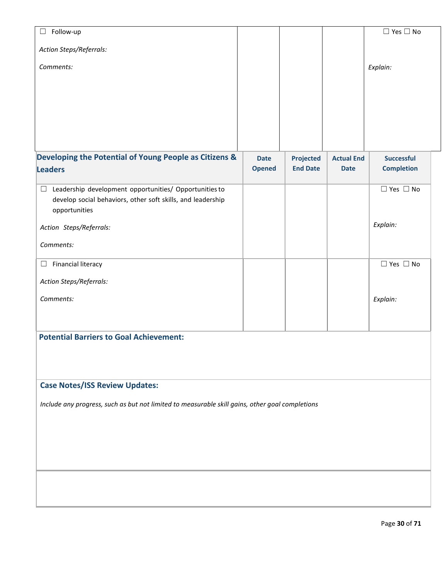| Follow-up<br>$\Box$                                                                             |               |                  |                   | $\square$ Yes $\square$ No |
|-------------------------------------------------------------------------------------------------|---------------|------------------|-------------------|----------------------------|
| Action Steps/Referrals:                                                                         |               |                  |                   |                            |
| Comments:                                                                                       |               |                  |                   | Explain:                   |
|                                                                                                 |               |                  |                   |                            |
|                                                                                                 |               |                  |                   |                            |
|                                                                                                 |               |                  |                   |                            |
|                                                                                                 |               |                  |                   |                            |
|                                                                                                 |               |                  |                   |                            |
| Developing the Potential of Young People as Citizens &                                          | <b>Date</b>   | <b>Projected</b> | <b>Actual End</b> | Successful                 |
| <b>Leaders</b>                                                                                  | <b>Opened</b> | <b>End Date</b>  | <b>Date</b>       | <b>Completion</b>          |
| Leadership development opportunities/ Opportunities to<br>$\Box$                                |               |                  |                   | $\Box$ Yes $\Box$ No       |
| develop social behaviors, other soft skills, and leadership                                     |               |                  |                   |                            |
| opportunities                                                                                   |               |                  |                   | Explain:                   |
| Action Steps/Referrals:                                                                         |               |                  |                   |                            |
| Comments:                                                                                       |               |                  |                   |                            |
| Financial literacy<br>$\Box$                                                                    |               |                  |                   | $\Box$ Yes $\Box$ No       |
| Action Steps/Referrals:                                                                         |               |                  |                   |                            |
| Comments:                                                                                       |               |                  |                   | Explain:                   |
|                                                                                                 |               |                  |                   |                            |
|                                                                                                 |               |                  |                   |                            |
| <b>Potential Barriers to Goal Achievement:</b>                                                  |               |                  |                   |                            |
|                                                                                                 |               |                  |                   |                            |
|                                                                                                 |               |                  |                   |                            |
| <b>Case Notes/ISS Review Updates:</b>                                                           |               |                  |                   |                            |
| Include any progress, such as but not limited to measurable skill gains, other goal completions |               |                  |                   |                            |
|                                                                                                 |               |                  |                   |                            |
|                                                                                                 |               |                  |                   |                            |
|                                                                                                 |               |                  |                   |                            |
|                                                                                                 |               |                  |                   |                            |
|                                                                                                 |               |                  |                   |                            |
|                                                                                                 |               |                  |                   |                            |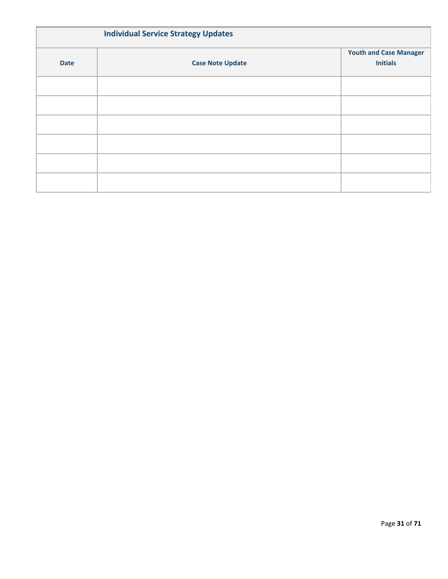| <b>Individual Service Strategy Updates</b> |                         |                                                  |  |  |
|--------------------------------------------|-------------------------|--------------------------------------------------|--|--|
| <b>Date</b>                                | <b>Case Note Update</b> | <b>Youth and Case Manager</b><br><b>Initials</b> |  |  |
|                                            |                         |                                                  |  |  |
|                                            |                         |                                                  |  |  |
|                                            |                         |                                                  |  |  |
|                                            |                         |                                                  |  |  |
|                                            |                         |                                                  |  |  |
|                                            |                         |                                                  |  |  |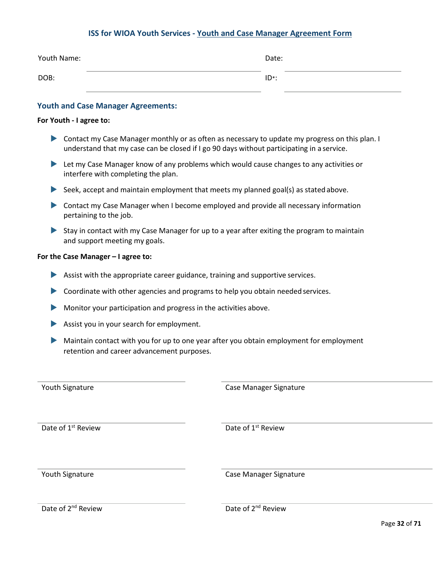## **ISS for WIOA Youth Services - Youth and Case Manager Agreement Form**

| Youth Name: | Date:    |  |
|-------------|----------|--|
| DOB:        | $ID^*$ : |  |

### **Youth and Case Manager Agreements:**

### **For Youth - I agree to:**

- Contact my Case Manager monthly or as often as necessary to update my progress on this plan. I understand that my case can be closed if I go 90 days without participating in a service.
- **Let my Case Manager know of any problems which would cause changes to any activities or** interfere with completing the plan.
- Seek, accept and maintain employment that meets my planned goal(s) as stated above.
- Contact my Case Manager when I become employed and provide all necessary information pertaining to the job.
- Stay in contact with my Case Manager for up to a year after exiting the program to maintain and support meeting my goals.

### **For the Case Manager – I agree to:**

- Assist with the appropriate career guidance, training and supportive services.
- $\triangleright$  Coordinate with other agencies and programs to help you obtain needed services.
- Monitor your participation and progress in the activities above.
- Assist you in your search for employment.
- Maintain contact with you for up to one year after you obtain employment for employment retention and career advancement purposes.

| Youth Signature                | Case Manager Signature         |
|--------------------------------|--------------------------------|
| Date of 1 <sup>st</sup> Review | Date of 1 <sup>st</sup> Review |
| Youth Signature                | <b>Case Manager Signature</b>  |

<span id="page-31-0"></span>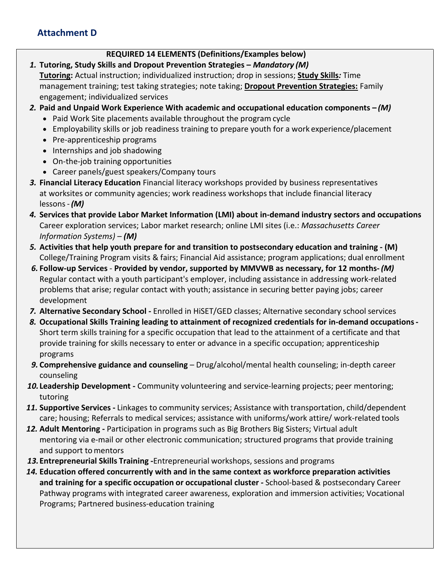## **Attachment D**

## **REQUIRED 14 ELEMENTS (Definitions/Examples below)**

- *1.* **Tutoring, Study Skills and Dropout Prevention Strategies –** *Mandatory (M)* **Tutoring:** Actual instruction; individualized instruction; drop in sessions; **Study Skills***:* Time management training; test taking strategies; note taking; **Dropout Prevention Strategies:** Family engagement; individualized services
- *2.* **Paid and Unpaid Work Experience With academic and occupational education components –** *(M)*
	- Paid Work Site placements available throughout the program cycle
	- Employability skills or job readiness training to prepare youth for a work experience/placement
	- Pre-apprenticeship programs
	- Internships and job shadowing
	- On-the-job training opportunities
	- Career panels/guest speakers/Company tours
- *3.* **Financial Literacy Education** Financial literacy workshops provided by business representatives at worksites or community agencies; work readiness workshops that include financial literacy lessons-*(M)*
- *4.* **Services that provide Labor Market Information (LMI) about in-demand industry sectors and occupations**  Career exploration services; Labor market research; online LMI sites (i.e.: *Massachusetts Career Information Systems) – (M)*
- *5.* **Activities that help youth prepare for and transition to postsecondary education and training - (M)**  College/Training Program visits & fairs; Financial Aid assistance; program applications; dual enrollment
- *6.* **Follow-up Services Provided by vendor, supported by MMVWB as necessary, for 12 months-** *(M)* Regular contact with a youth participant's employer, including assistance in addressing work-related problems that arise; regular contact with youth; assistance in securing better paying jobs; career development
- **7. Alternative Secondary School -** Enrolled in HiSET/GED classes; Alternative secondary school services
- *8.* **Occupational Skills Training leading to attainment of recognized credentials for in-demand occupations-**Short term skills training for a specific occupation that lead to the attainment of a certificate and that provide training for skills necessary to enter or advance in a specific occupation; apprenticeship programs
- *9.* **Comprehensive guidance and counseling**  Drug/alcohol/mental health counseling; in-depth career counseling
- *10.***Leadership Development -** Community volunteering and service-learning projects; peer mentoring; tutoring
- *11.* **Supportive Services -** Linkages to community services; Assistance with transportation, child/dependent care; housing; Referrals to medical services; assistance with uniforms/work attire/ work-related tools
- *12.* **Adult Mentoring -** Participation in programs such as Big Brothers Big Sisters; Virtual adult mentoring via e-mail or other electronic communication; structured programs that provide training and support to mentors
- *13.***Entrepreneurial Skills Training -**Entrepreneurial workshops, sessions and programs
- *14.* **Education offered concurrently with and in the same context as workforce preparation activities and training for a specific occupation or occupational cluster** *-* School-based & postsecondary Career Pathway programs with integrated career awareness, exploration and immersion activities; Vocational Programs; Partnered business-education training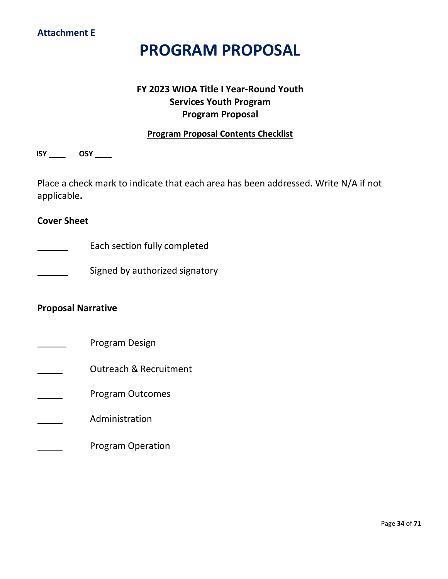## **Attachment E**

# **PROGRAM PROPOSAL**

## **FY 2023 WIOA Title I Year-Round Youth Services Youth Program Program Proposal**

## **Program Proposal Contents Checklist**

<span id="page-33-0"></span>**ISY \_\_\_\_ OSY \_\_\_\_**

Place a check mark to indicate that each area has been addressed. Write N/A if not applicable**.**

## **Cover Sheet**

Each section fully completed

Signed by authorized signatory

## **Proposal Narrative**

- Program Design
- Outreach & Recruitment
	- Program Outcomes

## Administration

Program Operation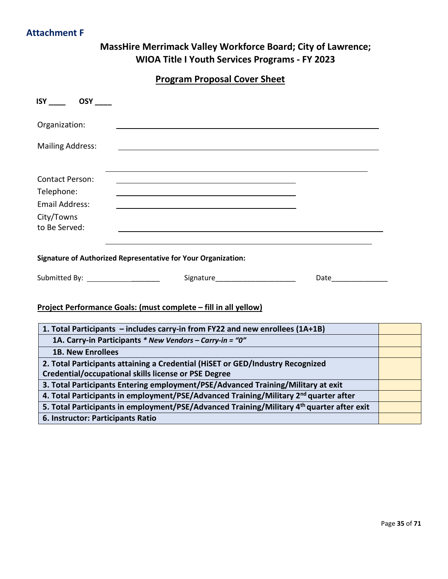## **Attachment F**

## **MassHire Merrimack Valley Workforce Board; City of Lawrence; WIOA Title I Youth Services Programs - FY 2023**

**Program Proposal Cover Sheet**

<span id="page-34-0"></span>

| <b>ISY</b> OSY                       |                                                                                                                                                 |                                                                                                               |  |
|--------------------------------------|-------------------------------------------------------------------------------------------------------------------------------------------------|---------------------------------------------------------------------------------------------------------------|--|
| Organization:                        |                                                                                                                                                 |                                                                                                               |  |
| <b>Mailing Address:</b>              | <u> 1989 - Johann Barn, mars ann an t-Amhainn an t-Amhainn an t-Amhainn an t-Amhainn an t-Amhainn an t-Amhainn a</u>                            |                                                                                                               |  |
| <b>Contact Person:</b>               |                                                                                                                                                 |                                                                                                               |  |
| Telephone:                           |                                                                                                                                                 |                                                                                                               |  |
| <b>Email Address:</b>                |                                                                                                                                                 |                                                                                                               |  |
| City/Towns                           |                                                                                                                                                 |                                                                                                               |  |
| to Be Served:                        |                                                                                                                                                 |                                                                                                               |  |
| Submitted By: ______________________ | <b>Signature of Authorized Representative for Your Organization:</b><br>Project Performance Goals: (must complete - fill in all yellow)         | Date and the state of the state of the state of the state of the state of the state of the state of the state |  |
|                                      | 1. Total Participants - includes carry-in from FY22 and new enrollees (1A+1B)                                                                   |                                                                                                               |  |
|                                      | 1A. Carry-in Participants * New Vendors - Carry-in = "0"                                                                                        |                                                                                                               |  |
| <b>1B. New Enrollees</b>             |                                                                                                                                                 |                                                                                                               |  |
|                                      | 2. Total Participants attaining a Credential (HiSET or GED/Industry Recognized                                                                  |                                                                                                               |  |
|                                      | <b>Credential/occupational skills license or PSE Degree</b><br>3. Total Participants Entering employment/PSE/Advanced Training/Military at exit |                                                                                                               |  |
|                                      | 4. Total Participants in employment/PSE/Advanced Training/Military 2 <sup>nd</sup> quarter after                                                |                                                                                                               |  |
|                                      | 5. Total Participants in employment/PSE/Advanced Training/Military 4 <sup>th</sup> quarter after exit                                           |                                                                                                               |  |
| 6. Instructor: Participants Ratio    |                                                                                                                                                 |                                                                                                               |  |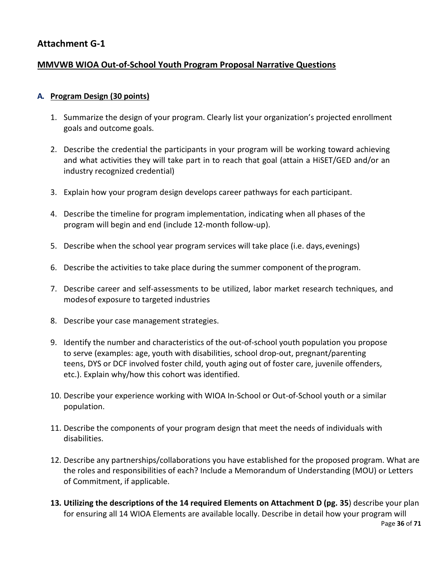## <span id="page-35-0"></span>**Attachment G-1**

## **MMVWB WIOA Out-of-School Youth Program Proposal Narrative Questions**

## **A. Program Design (30 points)**

- 1. Summarize the design of your program. Clearly list your organization's projected enrollment goals and outcome goals.
- 2. Describe the credential the participants in your program will be working toward achieving and what activities they will take part in to reach that goal (attain a HiSET/GED and/or an industry recognized credential)
- 3. Explain how your program design develops career pathways for each participant.
- 4. Describe the timeline for program implementation, indicating when all phases of the program will begin and end (include 12-month follow-up).
- 5. Describe when the school year program services will take place (i.e. days,evenings)
- 6. Describe the activities to take place during the summer component of theprogram.
- 7. Describe career and self-assessments to be utilized, labor market research techniques, and modesof exposure to targeted industries
- 8. Describe your case management strategies.
- 9. Identify the number and characteristics of the out-of-school youth population you propose to serve (examples: age, youth with disabilities, school drop-out, pregnant/parenting teens, DYS or DCF involved foster child, youth aging out of foster care, juvenile offenders, etc.). Explain why/how this cohort was identified.
- 10. Describe your experience working with WIOA In-School or Out-of-School youth or a similar population.
- 11. Describe the components of your program design that meet the needs of individuals with disabilities.
- 12. Describe any partnerships/collaborations you have established for the proposed program. What are the roles and responsibilities of each? Include a Memorandum of Understanding (MOU) or Letters of Commitment, if applicable.
- **13. Utilizing the descriptions of the 14 required Elements on Attachment D (pg. 35**) describe your plan for ensuring all 14 WIOA Elements are available locally. Describe in detail how your program will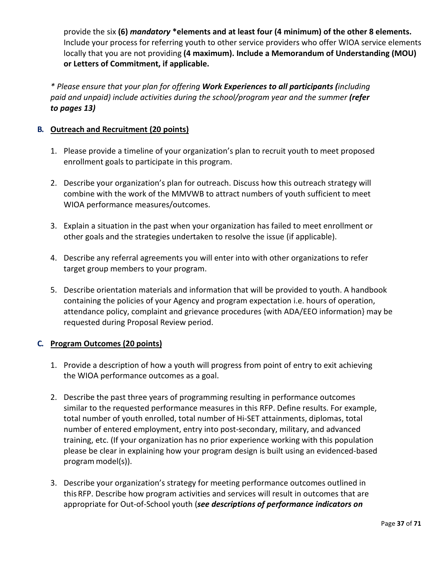provide the six **(6)** *mandatory* **\*elements and at least four (4 minimum) of the other 8 elements.**  Include your process for referring youth to other service providers who offer WIOA service elements locally that you are not providing **(4 maximum). Include a Memorandum of Understanding (MOU) or Letters of Commitment, if applicable.**

*\* Please ensure that your plan for offering Work Experiences to all participants (including*  paid and unpaid) include activities during the school/program year and the summer (refer *to pages 13)*

## **B. Outreach and Recruitment (20 points)**

- 1. Please provide a timeline of your organization's plan to recruit youth to meet proposed enrollment goals to participate in this program.
- 2. Describe your organization's plan for outreach. Discuss how this outreach strategy will combine with the work of the MMVWB to attract numbers of youth sufficient to meet WIOA performance measures/outcomes.
- 3. Explain a situation in the past when your organization has failed to meet enrollment or other goals and the strategies undertaken to resolve the issue (if applicable).
- 4. Describe any referral agreements you will enter into with other organizations to refer target group members to your program.
- 5. Describe orientation materials and information that will be provided to youth. A handbook containing the policies of your Agency and program expectation i.e. hours of operation, attendance policy, complaint and grievance procedures {with ADA/EEO information} may be requested during Proposal Review period.

## **C. Program Outcomes (20 points)**

- 1. Provide a description of how a youth will progress from point of entry to exit achieving the WIOA performance outcomes as a goal.
- 2. Describe the past three years of programming resulting in performance outcomes similar to the requested performance measures in this RFP. Define results. For example, total number of youth enrolled, total number of Hi-SET attainments, diplomas, total number of entered employment, entry into post-secondary, military, and advanced training, etc. (If your organization has no prior experience working with this population please be clear in explaining how your program design is built using an evidenced-based program model(s)).
- 3. Describe your organization's strategy for meeting performance outcomes outlined in this RFP. Describe how program activities and services will result in outcomes that are appropriate for Out-of-School youth (*see descriptions of performance indicators on*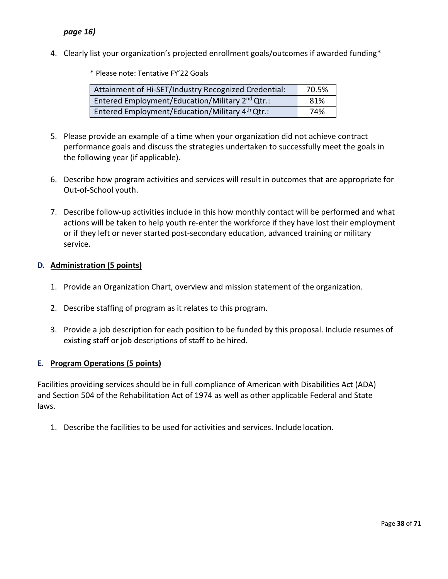## *page 16)*

4. Clearly list your organization's projected enrollment goals/outcomes if awarded funding\*

\* Please note: Tentative FY'22 Goals

| Attainment of Hi-SET/Industry Recognized Credential:        | 70.5% |
|-------------------------------------------------------------|-------|
| Entered Employment/Education/Military 2 <sup>nd</sup> Qtr.: | 81%   |
| Entered Employment/Education/Military 4 <sup>th</sup> Qtr.: | 74%   |

- 5. Please provide an example of a time when your organization did not achieve contract performance goals and discuss the strategies undertaken to successfully meet the goals in the following year (if applicable).
- 6. Describe how program activities and services will result in outcomes that are appropriate for Out-of-School youth.
- 7. Describe follow-up activities include in this how monthly contact will be performed and what actions will be taken to help youth re-enter the workforce if they have lost their employment or if they left or never started post-secondary education, advanced training or military service.

## **D. Administration (5 points)**

- 1. Provide an Organization Chart, overview and mission statement of the organization.
- 2. Describe staffing of program as it relates to this program.
- 3. Provide a job description for each position to be funded by this proposal. Include resumes of existing staff or job descriptions of staff to be hired.

## **E. Program Operations (5 points)**

Facilities providing services should be in full compliance of American with Disabilities Act (ADA) and Section 504 of the Rehabilitation Act of 1974 as well as other applicable Federal and State laws.

1. Describe the facilities to be used for activities and services. Include location.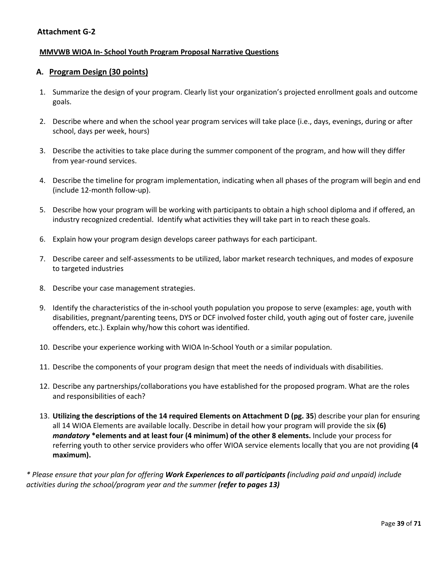## **Attachment G-2**

## **MMVWB WIOA In- School Youth Program Proposal Narrative Questions**

## **A. Program Design (30 points)**

- 1. Summarize the design of your program. Clearly list your organization's projected enrollment goals and outcome goals.
- 2. Describe where and when the school year program services will take place (i.e., days, evenings, during or after school, days per week, hours)
- 3. Describe the activities to take place during the summer component of the program, and how will they differ from year-round services.
- 4. Describe the timeline for program implementation, indicating when all phases of the program will begin and end (include 12-month follow-up).
- 5. Describe how your program will be working with participants to obtain a high school diploma and if offered, an industry recognized credential. Identify what activities they will take part in to reach these goals.
- 6. Explain how your program design develops career pathways for each participant.
- 7. Describe career and self-assessments to be utilized, labor market research techniques, and modes of exposure to targeted industries
- 8. Describe your case management strategies.
- 9. Identify the characteristics of the in-school youth population you propose to serve (examples: age, youth with disabilities, pregnant/parenting teens, DYS or DCF involved foster child, youth aging out of foster care, juvenile offenders, etc.). Explain why/how this cohort was identified.
- 10. Describe your experience working with WIOA In-School Youth or a similar population.
- 11. Describe the components of your program design that meet the needs of individuals with disabilities.
- 12. Describe any partnerships/collaborations you have established for the proposed program. What are the roles and responsibilities of each?
- 13. **Utilizing the descriptions of the 14 required Elements on Attachment D (pg. 35**) describe your plan for ensuring all 14 WIOA Elements are available locally. Describe in detail how your program will provide the six **(6)** *mandatory* **\*elements and at least four (4 minimum) of the other 8 elements.** Include your process for referring youth to other service providers who offer WIOA service elements locally that you are not providing **(4 maximum).**

*\* Please ensure that your plan for offering Work Experiences to all participants (including paid and unpaid) include activities during the school/program year and the summer (refer to pages 13)*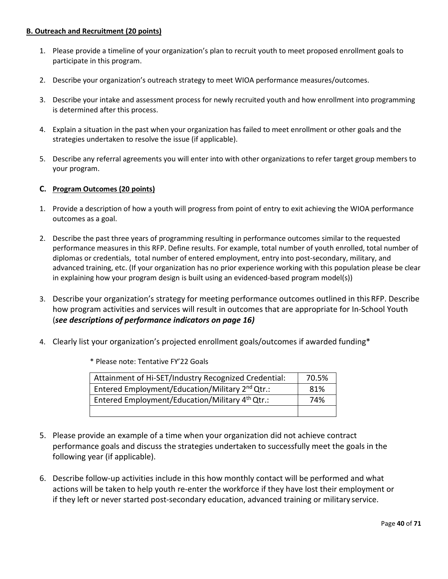## **B. Outreach and Recruitment (20 points)**

- 1. Please provide a timeline of your organization's plan to recruit youth to meet proposed enrollment goals to participate in this program.
- 2. Describe your organization's outreach strategy to meet WIOA performance measures/outcomes.
- 3. Describe your intake and assessment process for newly recruited youth and how enrollment into programming is determined after this process.
- 4. Explain a situation in the past when your organization has failed to meet enrollment or other goals and the strategies undertaken to resolve the issue (if applicable).
- 5. Describe any referral agreements you will enter into with other organizations to refer target group members to your program.

## **C. Program Outcomes (20 points)**

- 1. Provide a description of how a youth will progress from point of entry to exit achieving the WIOA performance outcomes as a goal.
- 2. Describe the past three years of programming resulting in performance outcomes similar to the requested performance measures in this RFP. Define results. For example, total number of youth enrolled, total number of diplomas or credentials, total number of entered employment, entry into post-secondary, military, and advanced training, etc. (If your organization has no prior experience working with this population please be clear in explaining how your program design is built using an evidenced-based program model(s))
- 3. Describe your organization's strategy for meeting performance outcomes outlined in this RFP. Describe how program activities and services will result in outcomes that are appropriate for In-School Youth (*see descriptions of performance indicators on page 16)*
- 4. Clearly list your organization's projected enrollment goals/outcomes if awarded funding\*

| Attainment of Hi-SET/Industry Recognized Credential:        | 70.5% |
|-------------------------------------------------------------|-------|
| Entered Employment/Education/Military 2 <sup>nd</sup> Qtr.: | 81%   |
| Entered Employment/Education/Military 4 <sup>th</sup> Qtr.: | 74%   |
|                                                             |       |

\* Please note: Tentative FY'22 Goals

- 5. Please provide an example of a time when your organization did not achieve contract performance goals and discuss the strategies undertaken to successfully meet the goals in the following year (if applicable).
- 6. Describe follow-up activities include in this how monthly contact will be performed and what actions will be taken to help youth re-enter the workforce if they have lost their employment or if they left or never started post-secondary education, advanced training or military service.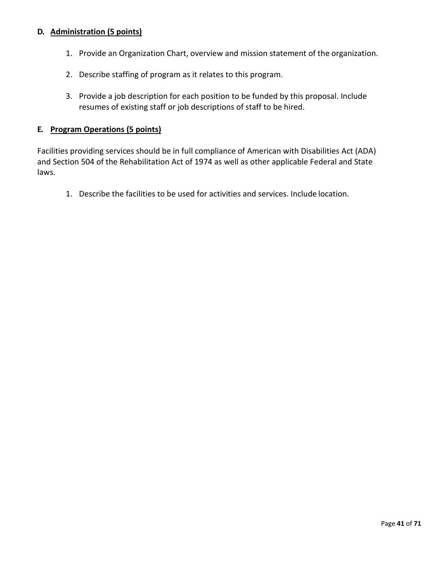## **D. Administration (5 points)**

- 1. Provide an Organization Chart, overview and mission statement of the organization.
- 2. Describe staffing of program as it relates to this program.
- 3. Provide a job description for each position to be funded by this proposal. Include resumes of existing staff or job descriptions of staff to be hired.

## **E. Program Operations (5 points)**

Facilities providing services should be in full compliance of American with Disabilities Act (ADA) and Section 504 of the Rehabilitation Act of 1974 as well as other applicable Federal and State laws.

1. Describe the facilities to be used for activities and services. Include location.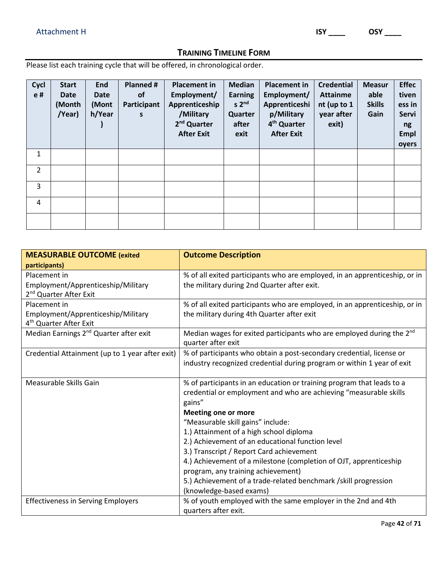## **TRAINING TIMELINE FORM**

Please list each training cycle that will be offered, in chronological order.

| Cycl<br>e#     | <b>Start</b><br><b>Date</b><br>(Month<br>/Year) | <b>End</b><br>Date<br>(Mont<br>h/Year | Planned #<br><b>of</b><br>Participant<br>S | <b>Placement in</b><br>Employment/<br>Apprenticeship<br>/Military<br>2 <sup>nd</sup> Quarter<br><b>After Exit</b> | <b>Median</b><br><b>Earning</b><br>s <sub>2<sup>nd</sup></sub><br>Quarter<br>after<br>exit | <b>Placement in</b><br>Employment/<br>Apprenticeshi<br>p/Military<br>4 <sup>th</sup> Quarter<br><b>After Exit</b> | <b>Credential</b><br><b>Attainme</b><br>nt (up to 1<br>year after<br>exit) | <b>Measur</b><br>able<br><b>Skills</b><br>Gain | <b>Effec</b><br>tiven<br>ess in<br>Servi<br>ng<br><b>Empl</b><br>oyers |
|----------------|-------------------------------------------------|---------------------------------------|--------------------------------------------|-------------------------------------------------------------------------------------------------------------------|--------------------------------------------------------------------------------------------|-------------------------------------------------------------------------------------------------------------------|----------------------------------------------------------------------------|------------------------------------------------|------------------------------------------------------------------------|
| 1              |                                                 |                                       |                                            |                                                                                                                   |                                                                                            |                                                                                                                   |                                                                            |                                                |                                                                        |
| $\overline{2}$ |                                                 |                                       |                                            |                                                                                                                   |                                                                                            |                                                                                                                   |                                                                            |                                                |                                                                        |
| 3              |                                                 |                                       |                                            |                                                                                                                   |                                                                                            |                                                                                                                   |                                                                            |                                                |                                                                        |
| 4              |                                                 |                                       |                                            |                                                                                                                   |                                                                                            |                                                                                                                   |                                                                            |                                                |                                                                        |
|                |                                                 |                                       |                                            |                                                                                                                   |                                                                                            |                                                                                                                   |                                                                            |                                                |                                                                        |

| <b>MEASURABLE OUTCOME (exited</b>                                                                         | <b>Outcome Description</b>                                                                                                                                                                                             |
|-----------------------------------------------------------------------------------------------------------|------------------------------------------------------------------------------------------------------------------------------------------------------------------------------------------------------------------------|
| participants)<br>Placement in<br>Employment/Apprenticeship/Military<br>2 <sup>nd</sup> Quarter After Exit | % of all exited participants who are employed, in an apprenticeship, or in<br>the military during 2nd Quarter after exit.                                                                                              |
| Placement in<br>Employment/Apprenticeship/Military<br>4 <sup>th</sup> Quarter After Exit                  | % of all exited participants who are employed, in an apprenticeship, or in<br>the military during 4th Quarter after exit                                                                                               |
| Median Earnings 2 <sup>nd</sup> Quarter after exit                                                        | Median wages for exited participants who are employed during the 2 <sup>nd</sup><br>quarter after exit                                                                                                                 |
| Credential Attainment (up to 1 year after exit)                                                           | % of participants who obtain a post-secondary credential, license or<br>industry recognized credential during program or within 1 year of exit                                                                         |
| Measurable Skills Gain                                                                                    | % of participants in an education or training program that leads to a<br>credential or employment and who are achieving "measurable skills<br>gains"<br><b>Meeting one or more</b>                                     |
|                                                                                                           | "Measurable skill gains" include:                                                                                                                                                                                      |
|                                                                                                           | 1.) Attainment of a high school diploma<br>2.) Achievement of an educational function level                                                                                                                            |
|                                                                                                           | 3.) Transcript / Report Card achievement<br>4.) Achievement of a milestone (completion of OJT, apprenticeship<br>program, any training achievement)<br>5.) Achievement of a trade-related benchmark /skill progression |
| <b>Effectiveness in Serving Employers</b>                                                                 | (knowledge-based exams)<br>% of youth employed with the same employer in the 2nd and 4th<br>quarters after exit.                                                                                                       |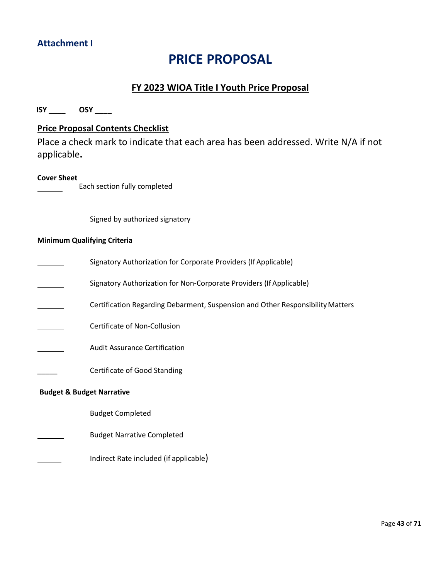## <span id="page-42-0"></span>**Attachment I**

# **PRICE PROPOSAL**

## **FY 2023 WIOA Title I Youth Price Proposal**

<span id="page-42-1"></span>**ISY \_\_\_\_ OSY \_\_\_\_ Price Proposal Contents Checklist** Place a check mark to indicate that each area has been addressed. Write N/A if not applicable**. Cover Sheet** Each section fully completed Signed by authorized signatory **Minimum Qualifying Criteria** Signatory Authorization for Corporate Providers (If Applicable) Signatory Authorization for Non-Corporate Providers (If Applicable) Certification Regarding Debarment, Suspension and Other ResponsibilityMatters Certificate of Non-Collusion Audit Assurance Certification \_\_\_\_\_ Certificate of Good Standing **Budget & Budget Narrative** Budget Completed Budget Narrative Completed Indirect Rate included (if applicable)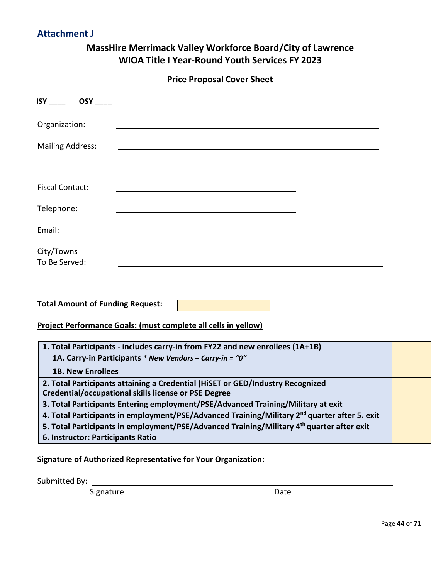## **Attachment J**

## **MassHire Merrimack Valley Workforce Board/City of Lawrence WIOA Title I Year-Round Youth Services FY 2023**

**Price Proposal Cover Sheet**

<span id="page-43-0"></span>

| <b>ISY</b> OSY                                                                                                                                |  |
|-----------------------------------------------------------------------------------------------------------------------------------------------|--|
| Organization:                                                                                                                                 |  |
| <b>Mailing Address:</b>                                                                                                                       |  |
|                                                                                                                                               |  |
| <b>Fiscal Contact:</b>                                                                                                                        |  |
| Telephone:                                                                                                                                    |  |
| Email:                                                                                                                                        |  |
| City/Towns<br>To Be Served:                                                                                                                   |  |
|                                                                                                                                               |  |
| <b>Total Amount of Funding Request:</b>                                                                                                       |  |
| Project Performance Goals: (must complete all cells in yellow)                                                                                |  |
| 1. Total Participants - includes carry-in from FY22 and new enrollees (1A+1B)                                                                 |  |
| 1A. Carry-in Participants * New Vendors - Carry-in = "0"                                                                                      |  |
| <b>1B. New Enrollees</b>                                                                                                                      |  |
| 2. Total Participants attaining a Credential (HiSET or GED/Industry Recognized<br><b>Credential/occupational skills license or PSE Degree</b> |  |
| 3. Total Participants Entering employment/PSE/Advanced Training/Military at exit                                                              |  |
| 4. Total Participants in employment/PSE/Advanced Training/Military 2 <sup>nd</sup> quarter after 5. exit                                      |  |
| 5. Total Participants in employment/PSE/Advanced Training/Military 4 <sup>th</sup> quarter after exit                                         |  |
| 6. Instructor: Participants Ratio                                                                                                             |  |

## **Signature of Authorized Representative for Your Organization:**

Submitted By:

Signature Date Date

<span id="page-43-1"></span>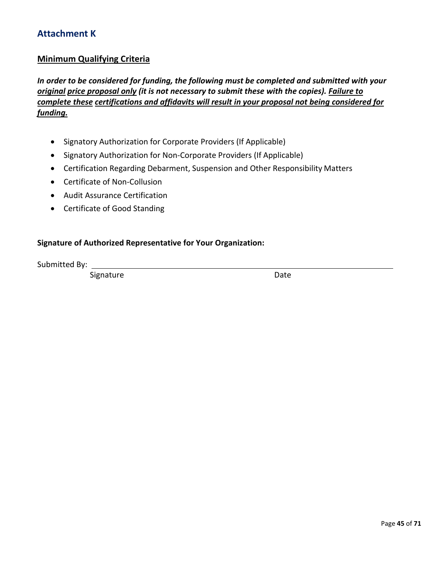## **Attachment K**

## **Minimum Qualifying Criteria**

*In order to be considered for funding, the following must be completed and submitted with your original price proposal only (it is not necessary to submit these with the copies). Failure to complete these certifications and affidavits will result in your proposal not being considered for funding.*

- Signatory Authorization for Corporate Providers (If Applicable)
- Signatory Authorization for Non-Corporate Providers (If Applicable)
- Certification Regarding Debarment, Suspension and Other Responsibility Matters
- Certificate of Non-Collusion
- Audit Assurance Certification
- Certificate of Good Standing

## **Signature of Authorized Representative for Your Organization:**

Submitted By:

Signature Date Date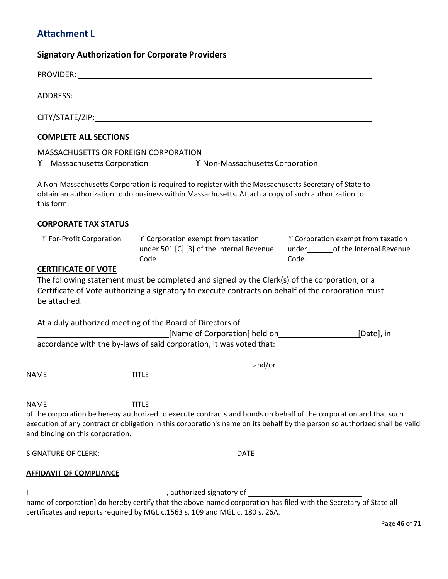## <span id="page-45-0"></span>**Attachment L**

## **Signatory Authorization for Corporate Providers**

|             | SIGNATURE OF CLERK: __________________________________<br><b>AFFIDAVIT OF COMPLIANCE</b> |                                                                                                                                                                                                                                                                  |                                             |
|-------------|------------------------------------------------------------------------------------------|------------------------------------------------------------------------------------------------------------------------------------------------------------------------------------------------------------------------------------------------------------------|---------------------------------------------|
| <b>NAME</b> | and binding on this corporation.                                                         | <b>TITLE</b><br>of the corporation be hereby authorized to execute contracts and bonds on behalf of the corporation and that such<br>execution of any contract or obligation in this corporation's name on its behalf by the person so authorized shall be valid |                                             |
| <b>NAME</b> |                                                                                          | and/or<br><b>TITLE</b>                                                                                                                                                                                                                                           |                                             |
|             |                                                                                          | accordance with the by-laws of said corporation, it was voted that:                                                                                                                                                                                              |                                             |
|             |                                                                                          | At a duly authorized meeting of the Board of Directors of<br>[Name of Corporation] held on                                                                                                                                                                       | [Date], in                                  |
|             | <b>CERTIFICATE OF VOTE</b><br>be attached.                                               | The following statement must be completed and signed by the Clerk(s) of the corporation, or a<br>Certificate of Vote authorizing a signatory to execute contracts on behalf of the corporation must                                                              |                                             |
|             | Y For-Profit Corporation                                                                 | $\Upsilon$ Corporation exempt from taxation<br>under 501 [C] [3] of the Internal Revenue<br>Code                                                                                                                                                                 | Y Corporation exempt from taxation<br>Code. |
|             | <b>CORPORATE TAX STATUS</b>                                                              |                                                                                                                                                                                                                                                                  |                                             |
|             | this form.                                                                               | A Non-Massachusetts Corporation is required to register with the Massachusetts Secretary of State to<br>obtain an authorization to do business within Massachusetts. Attach a copy of such authorization to                                                      |                                             |
|             | <b>MASSACHUSETTS OR FOREIGN CORPORATION</b><br>$\Upsilon$ Massachusetts Corporation      | Y Non-Massachusetts Corporation                                                                                                                                                                                                                                  |                                             |
|             | <b>COMPLETE ALL SECTIONS</b>                                                             |                                                                                                                                                                                                                                                                  |                                             |
|             |                                                                                          |                                                                                                                                                                                                                                                                  |                                             |
|             |                                                                                          |                                                                                                                                                                                                                                                                  |                                             |
|             |                                                                                          |                                                                                                                                                                                                                                                                  |                                             |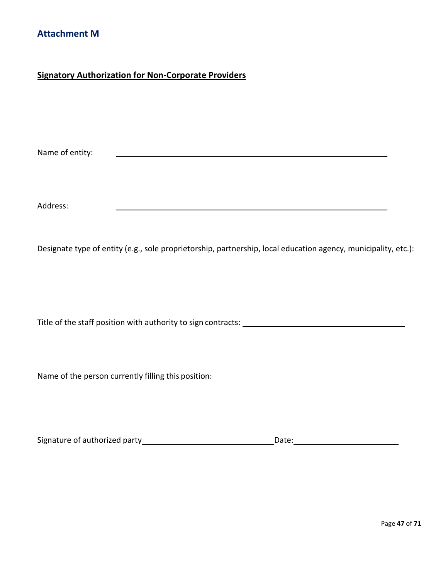## <span id="page-46-0"></span>**Signatory Authorization for Non-Corporate Providers**

Name of entity:

Address:

Designate type of entity (e.g., sole proprietorship, partnership, local education agency, municipality, etc.):

Title of the staff position with authority to sign contracts:

Name of the person currently filling this position:

| Signature of authorized party | Date: |
|-------------------------------|-------|
|                               |       |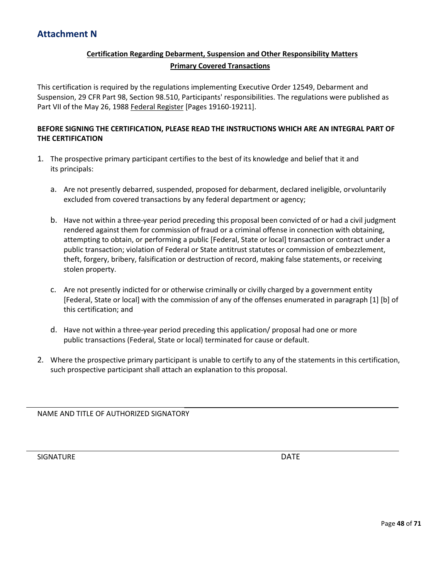## **Certification Regarding Debarment, Suspension and Other Responsibility Matters Primary Covered Transactions**

<span id="page-47-0"></span>This certification is required by the regulations implementing Executive Order 12549, Debarment and Suspension, 29 CFR Part 98, Section 98.510, Participants' responsibilities. The regulations were published as Part VII of the May 26, 1988 Federal Register [Pages 19160-19211].

## **BEFORE SIGNING THE CERTIFICATION, PLEASE READ THE INSTRUCTIONS WHICH ARE AN INTEGRAL PART OF THE CERTIFICATION**

- 1. The prospective primary participant certifies to the best of its knowledge and belief that it and its principals:
	- a. Are not presently debarred, suspended, proposed for debarment, declared ineligible, orvoluntarily excluded from covered transactions by any federal department or agency;
	- b. Have not within a three-year period preceding this proposal been convicted of or had a civil judgment rendered against them for commission of fraud or a criminal offense in connection with obtaining, attempting to obtain, or performing a public [Federal, State or local] transaction or contract under a public transaction; violation of Federal or State antitrust statutes or commission of embezzlement, theft, forgery, bribery, falsification or destruction of record, making false statements, or receiving stolen property.
	- c. Are not presently indicted for or otherwise criminally or civilly charged by a government entity [Federal, State or local] with the commission of any of the offenses enumerated in paragraph [1] [b] of this certification; and
	- d. Have not within a three-year period preceding this application/ proposal had one or more public transactions (Federal, State or local) terminated for cause or default.
- 2. Where the prospective primary participant is unable to certify to any of the statements in this certification, such prospective participant shall attach an explanation to this proposal.

NAME AND TITLE OF AUTHORIZED SIGNATORY

SIGNATURE **DATE**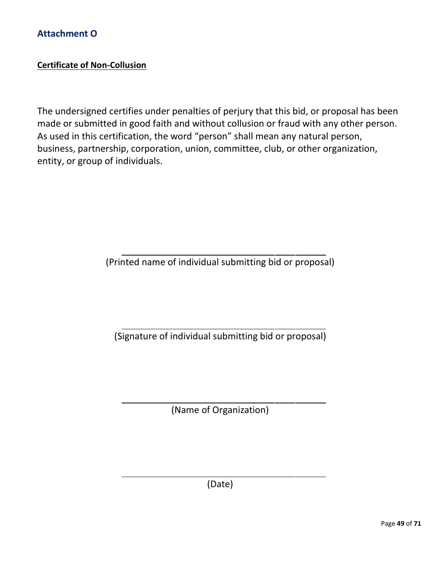## **Certificate of Non-Collusion**

The undersigned certifies under penalties of perjury that this bid, or proposal has been made or submitted in good faith and without collusion or fraud with any other person. As used in this certification, the word "person" shall mean any natural person, business, partnership, corporation, union, committee, club, or other organization, entity, or group of individuals.

(Printed name of individual submitting bid or proposal)

(Signature of individual submitting bid or proposal)

(Name of Organization)

(Date)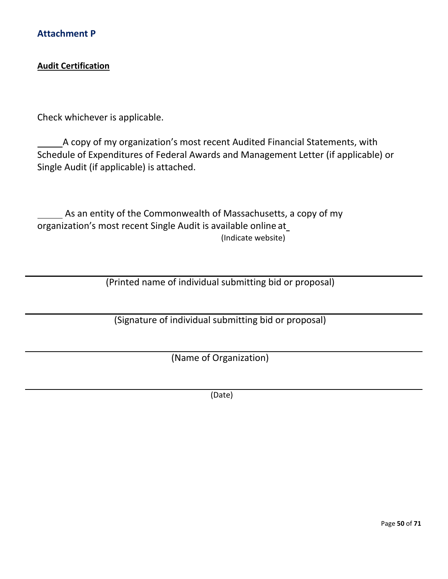## <span id="page-49-0"></span>**Audit Certification**

Check whichever is applicable.

A copy of my organization's most recent Audited Financial Statements, with Schedule of Expenditures of Federal Awards and Management Letter (if applicable) or Single Audit (if applicable) is attached.

As an entity of the Commonwealth of Massachusetts, a copy of my organization's most recent Single Audit is available online at (Indicate website)

(Printed name of individual submitting bid or proposal)

(Signature of individual submitting bid or proposal)

(Name of Organization)

(Date)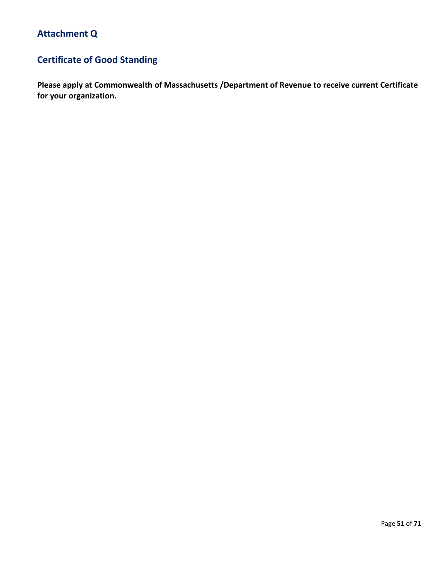# **Certificate of Good Standing**

**Please apply at Commonwealth of Massachusetts /Department of Revenue to receive current Certificate for your organization.**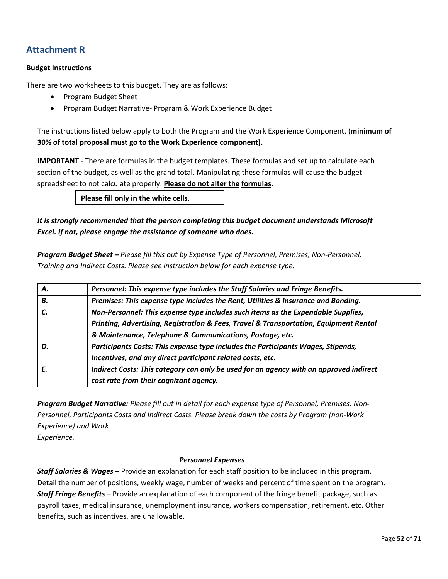## **Attachment R**

## **Budget Instructions**

There are two worksheets to this budget. They are as follows:

- Program Budget Sheet
- Program Budget Narrative- Program & Work Experience Budget

The instructions listed below apply to both the Program and the Work Experience Component. (**minimum of 30% of total proposal must go to the Work Experience component).**

**IMPORTAN**T - There are formulas in the budget templates. These formulas and set up to calculate each section of the budget, as well as the grand total. Manipulating these formulas will cause the budget spreadsheet to not calculate properly. **Please do not alter the formulas.**

**Please fill only in the white cells.**

## *It is strongly recommended that the person completing this budget document understands Microsoft Excel. If not, please engage the assistance of someone who does.*

*Program Budget Sheet – Please fill this out by Expense Type of Personnel, Premises, Non-Personnel, Training and Indirect Costs. Please see instruction below for each expense type.*

| Α. | Personnel: This expense type includes the Staff Salaries and Fringe Benefits.          |  |  |
|----|----------------------------------------------------------------------------------------|--|--|
| В. | Premises: This expense type includes the Rent, Utilities & Insurance and Bonding.      |  |  |
| C. | Non-Personnel: This expense type includes such items as the Expendable Supplies,       |  |  |
|    | Printing, Advertising, Registration & Fees, Travel & Transportation, Equipment Rental  |  |  |
|    | & Maintenance, Telephone & Communications, Postage, etc.                               |  |  |
| D. | Participants Costs: This expense type includes the Participants Wages, Stipends,       |  |  |
|    | Incentives, and any direct participant related costs, etc.                             |  |  |
| E. | Indirect Costs: This category can only be used for an agency with an approved indirect |  |  |
|    | cost rate from their cognizant agency.                                                 |  |  |

*Program Budget Narrative: Please fill out in detail for each expense type of Personnel, Premises, Non-Personnel, Participants Costs and Indirect Costs. Please break down the costs by Program (non-Work Experience) and Work* 

*Experience.*

## *Personnel Expenses*

*Staff Salaries & Wages –* Provide an explanation for each staff position to be included in this program. Detail the number of positions, weekly wage, number of weeks and percent of time spent on the program. *Staff Fringe Benefits –* Provide an explanation of each component of the fringe benefit package, such as payroll taxes, medical insurance, unemployment insurance, workers compensation, retirement, etc. Other benefits, such as incentives, are unallowable.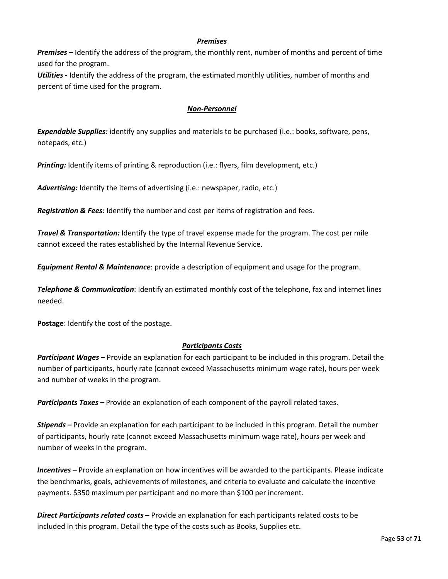## *Premises*

*Premises –* Identify the address of the program, the monthly rent, number of months and percent of time used for the program.

*Utilities -* Identify the address of the program, the estimated monthly utilities, number of months and percent of time used for the program.

## *Non-Personnel*

*Expendable Supplies:* identify any supplies and materials to be purchased (i.e.: books, software, pens, notepads, etc.)

*Printing:* Identify items of printing & reproduction (i.e.: flyers, film development, etc.)

Advertising: Identify the items of advertising (i.e.: newspaper, radio, etc.)

*Registration & Fees:* Identify the number and cost per items of registration and fees.

*Travel & Transportation:* Identify the type of travel expense made for the program. The cost per mile cannot exceed the rates established by the Internal Revenue Service.

*Equipment Rental & Maintenance*: provide a description of equipment and usage for the program.

*Telephone & Communication*: Identify an estimated monthly cost of the telephone, fax and internet lines needed.

**Postage**: Identify the cost of the postage.

## *Participants Costs*

*Participant Wages –* Provide an explanation for each participant to be included in this program. Detail the number of participants, hourly rate (cannot exceed Massachusetts minimum wage rate), hours per week and number of weeks in the program.

*Participants Taxes –* Provide an explanation of each component of the payroll related taxes.

*Stipends –* Provide an explanation for each participant to be included in this program. Detail the number of participants, hourly rate (cannot exceed Massachusetts minimum wage rate), hours per week and number of weeks in the program.

*Incentives –* Provide an explanation on how incentives will be awarded to the participants. Please indicate the benchmarks, goals, achievements of milestones, and criteria to evaluate and calculate the incentive payments. \$350 maximum per participant and no more than \$100 per increment.

*Direct Participants related costs –* Provide an explanation for each participants related costs to be included in this program. Detail the type of the costs such as Books, Supplies etc.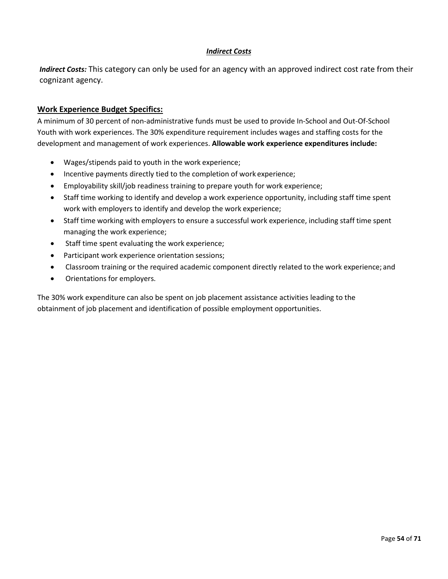## *Indirect Costs*

*Indirect Costs:* This category can only be used for an agency with an approved indirect cost rate from their cognizant agency.

## **Work Experience Budget Specifics:**

A minimum of 30 percent of non-administrative funds must be used to provide In-School and Out-Of-School Youth with work experiences. The 30% expenditure requirement includes wages and staffing costs for the development and management of work experiences. **Allowable work experience expenditures include:**

- Wages/stipends paid to youth in the work experience;
- Incentive payments directly tied to the completion of work experience;
- Employability skill/job readiness training to prepare youth for work experience;
- Staff time working to identify and develop a work experience opportunity, including staff time spent work with employers to identify and develop the work experience;
- Staff time working with employers to ensure a successful work experience, including staff time spent managing the work experience;
- Staff time spent evaluating the work experience;
- Participant work experience orientation sessions;
- Classroom training or the required academic component directly related to the work experience; and
- Orientations for employers.

The 30% work expenditure can also be spent on job placement assistance activities leading to the obtainment of job placement and identification of possible employment opportunities.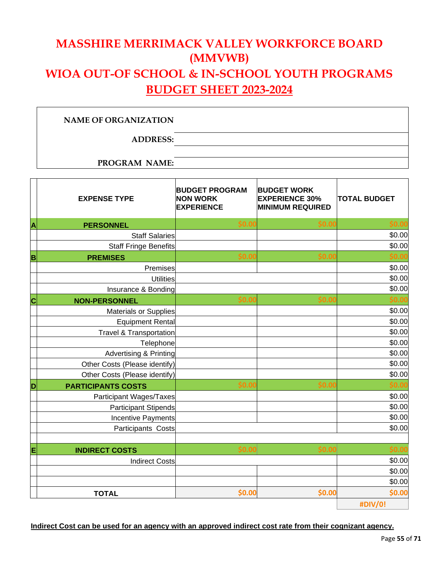# **MASSHIRE MERRIMACK VALLEY WORKFORCE BOARD (MMVWB) WIOA OUT-OF SCHOOL & IN-SCHOOL YOUTH PROGRAMS BUDGET SHEET 2023-2024**

## **NAME OF ORGANIZATION**

**ADDRESS:**

**PROGRAM NAME:**

|   | <b>EXPENSE TYPE</b>                | <b>BUDGET PROGRAM</b><br><b>NON WORK</b><br><b>EXPERIENCE</b> | <b>BUDGET WORK</b><br><b>EXPERIENCE 30%</b><br><b>MINIMUM REQUIRED</b> | <b>TOTAL BUDGET</b> |
|---|------------------------------------|---------------------------------------------------------------|------------------------------------------------------------------------|---------------------|
| A | <b>PERSONNEL</b>                   | \$0.00                                                        | \$0.00                                                                 | \$0.00              |
|   | <b>Staff Salaries</b>              |                                                               |                                                                        | \$0.00              |
|   | <b>Staff Fringe Benefits</b>       |                                                               |                                                                        | \$0.00              |
| B | <b>PREMISES</b>                    | \$0.00                                                        | \$0.00                                                                 | \$0.00              |
|   | Premises                           |                                                               |                                                                        | \$0.00              |
|   | <b>Utilities</b>                   |                                                               |                                                                        | \$0.00              |
|   | Insurance & Bonding                |                                                               |                                                                        | \$0.00              |
| Ċ | <b>NON-PERSONNEL</b>               | \$0.00                                                        | \$0.00                                                                 | \$0.00              |
|   | <b>Materials or Supplies</b>       |                                                               |                                                                        | \$0.00              |
|   | <b>Equipment Rental</b>            |                                                               |                                                                        | \$0.00              |
|   | <b>Travel &amp; Transportation</b> |                                                               |                                                                        | \$0.00              |
|   | Telephone                          |                                                               |                                                                        | \$0.00              |
|   | <b>Advertising &amp; Printing</b>  |                                                               |                                                                        | \$0.00              |
|   | Other Costs (Please identify)      |                                                               |                                                                        | \$0.00              |
|   | Other Costs (Please identify)      |                                                               |                                                                        | \$0.00              |
| D | <b>PARTICIPANTS COSTS</b>          | \$0.00                                                        | \$0.00                                                                 | \$0.00              |
|   | Participant Wages/Taxes            |                                                               |                                                                        | \$0.00              |
|   | <b>Participant Stipends</b>        |                                                               |                                                                        | \$0.00              |
|   | <b>Incentive Payments</b>          |                                                               |                                                                        | \$0.00              |
|   | Participants Costs                 |                                                               |                                                                        | \$0.00              |
|   |                                    |                                                               |                                                                        |                     |
| Ε | <b>INDIRECT COSTS</b>              | \$0.00                                                        | \$0.00                                                                 | \$0.00              |
|   | <b>Indirect Costs</b>              |                                                               |                                                                        | \$0.00              |
|   |                                    |                                                               |                                                                        | \$0.00              |
|   |                                    |                                                               |                                                                        | \$0.00              |
|   | <b>TOTAL</b>                       | \$0.00                                                        | \$0.00                                                                 | \$0.00              |
|   |                                    |                                                               |                                                                        | #DIV/0!             |

**Indirect Cost can be used for an agency with an approved indirect cost rate from their cognizant agency.**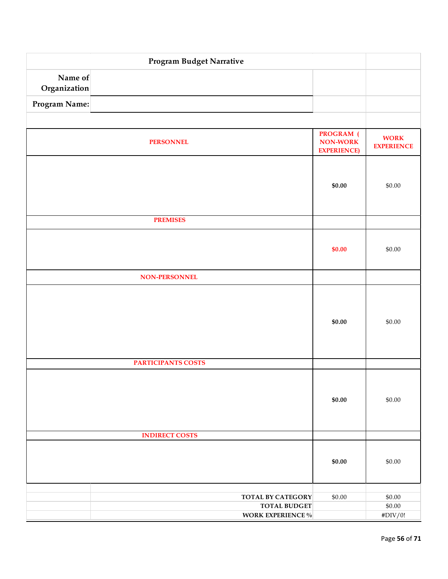| Program Budget Narrative |                           |                                                            |                                  |  |
|--------------------------|---------------------------|------------------------------------------------------------|----------------------------------|--|
| Name of<br>Organization  |                           |                                                            |                                  |  |
| Program Name:            |                           |                                                            |                                  |  |
|                          |                           |                                                            |                                  |  |
|                          | <b>PERSONNEL</b>          | <b>PROGRAM</b> (<br><b>NON-WORK</b><br><b>EXPERIENCE</b> ) | <b>WORK</b><br><b>EXPERIENCE</b> |  |
|                          |                           | \$0.00                                                     | \$0.00                           |  |
|                          | <b>PREMISES</b>           |                                                            |                                  |  |
|                          |                           | \$0.00                                                     | \$0.00                           |  |
|                          | NON-PERSONNEL             |                                                            |                                  |  |
|                          |                           | \$0.00                                                     | \$0.00                           |  |
|                          | <b>PARTICIPANTS COSTS</b> |                                                            |                                  |  |
|                          |                           | \$0.00                                                     | \$0.00                           |  |
|                          | <b>INDIRECT COSTS</b>     |                                                            |                                  |  |
|                          |                           | \$0.00                                                     | \$0.00                           |  |
|                          | <b>TOTAL BY CATEGORY</b>  | \$0.00                                                     | \$0.00                           |  |
|                          | <b>TOTAL BUDGET</b>       |                                                            | \$0.00                           |  |
|                          | WORK EXPERIENCE $\%$      |                                                            | $\#\mathrm{DIV}/0!$              |  |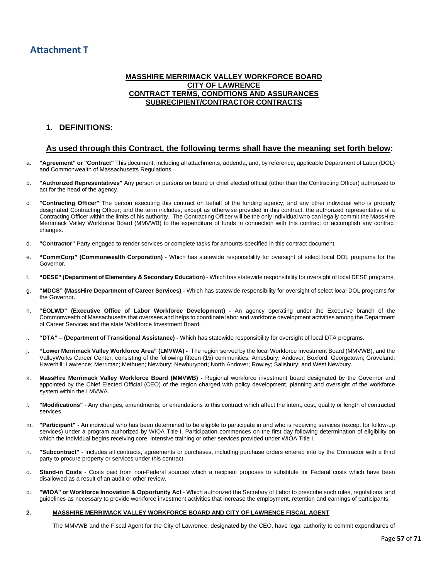### **MASSHIRE MERRIMACK VALLEY WORKFORCE BOARD CITY OF LAWRENCE CONTRACT TERMS, CONDITIONS AND ASSURANCES SUBRECIPIENT/CONTRACTOR CONTRACTS**

## **1. DEFINITIONS:**

## **As used through this Contract, the following terms shall have the meaning set forth below:**

- a. **"Agreement" or "Contract"** This document, including all attachments, addenda, and, by reference, applicable Department of Labor (DOL) and Commonwealth of Massachusetts Regulations.
- b. **"Authorized Representatives"** Any person or persons on board or chief elected official (other than the Contracting Officer) authorized to act for the head of the agency.
- c. **"Contracting Officer"** The person executing this contract on behalf of the funding agency, and any other individual who is properly designated Contracting Officer; and the term includes, except as otherwise provided in this contract, the authorized representative of a Contracting Officer within the limits of his authority. The Contracting Officer will be the only individual who can legally commit the MassHire Merrimack Valley Workforce Board (MMVWB) to the expenditure of funds in connection with this contract or accomplish any contract changes.
- d. **"Contractor"** Party engaged to render services or complete tasks for amounts specified in this contract document.
- e. **"CommCorp" (Commonwealth Corporation)** Which has statewide responsibility for oversight of select local DOL programs for the Governor.
- f. **"DESE" (Department of Elementary & Secondary Education)** Which has statewide responsibility for oversight of local DESE programs.
- g. **"MDCS" (MassHire Department of Career Services) -** Which has statewide responsibility for oversight of select local DOL programs for the Governor.
- h. **"EOLWD" (Executive Office of Labor Workforce Development) -** An agency operating under the Executive branch of the Commonwealth of Massachusetts that oversees and helps to coordinate labor and workforce development activities among the Department of Career Services and the state Workforce Investment Board.
- i. **"DTA" (Department of Transitional Assistance) -** Which has statewide responsibility for oversight of local DTA programs.
- j. **"Lower Merrimack Valley Workforce Area" (LMVWA) -** The region served by the local Workforce Investment Board (MMVWB), and the ValleyWorks Career Center, consisting of the following fifteen (15) communities: Amesbury; Andover; Boxford; Georgetown; Groveland; Haverhill; Lawrence; Merrimac; Methuen; Newbury; Newburyport; North Andover; Rowley; Salisbury; and West Newbury.
- k. **MassHire Merrimack Valley Workforce Board (MMVWB) -** Regional workforce investment board designated by the Governor and appointed by the Chief Elected Official (CEO) of the region charged with policy development, planning and oversight of the workforce system within the LMVWA.
- l. **"Modifications"** Any changes, amendments, or emendations to this contract which affect the intent, cost, quality or length of contracted services.
- m. **"Participant"** An individual who has been determined to be eligible to participate in and who is receiving services (except for follow-up services) under a program authorized by WIOA Title I. Participation commences on the first day following determination of eligibility on which the individual begins receiving core, intensive training or other services provided under WIOA Title I.
- n. **"Subcontract"** Includes all contracts, agreements or purchases, including purchase orders entered into by the Contractor with a third party to procure property or services under this contract.
- o. **Stand-in Costs** Costs paid from non-Federal sources which a recipient proposes to substitute for Federal costs which have been disallowed as a result of an audit or other review.
- p. **"WIOA" or Workforce Innovation & Opportunity Act**  Which authorized the Secretary of Labor to prescribe such rules, regulations, and guidelines as necessary to provide workforce investment activities that increase the employment, retention and earnings of participants.

#### **2. MASSHIRE MERRIMACK VALLEY WORKFORCE BOARD AND CITY OF LAWRENCE FISCAL AGENT**

The MMVWB and the Fiscal Agent for the City of Lawrence, designated by the CEO, have legal authority to commit expenditures of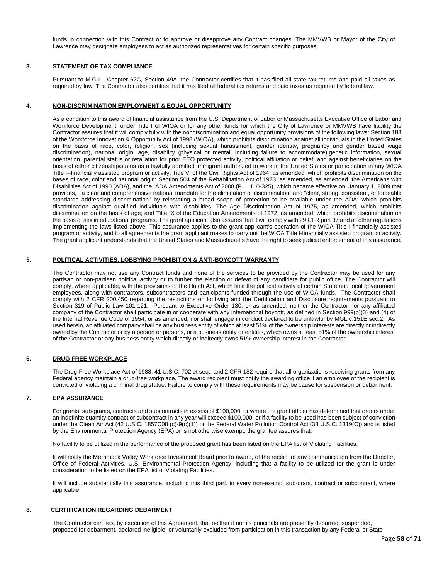funds in connection with this Contract or to approve or disapprove any Contract changes. The MMVWB or Mayor of the City of Lawrence may designate employees to act as authorized representatives for certain specific purposes.

#### **3. STATEMENT OF TAX COMPLIANCE**

Pursuant to M.G.L., Chapter 62C, Section 49A, the Contractor certifies that it has filed all state tax returns and paid all taxes as required by law. The Contractor also certifies that it has filed all federal tax returns and paid taxes as required by federal law.

#### **4. NON-DISCRIMINATION EMPLOYMENT & EQUAL OPPORTUNITY**

As a condition to this award of financial assistance from the U.S. Department of Labor or Massachusetts Executive Office of Labor and Workforce Development, under Title I of WIOA or for any other funds for which the City of Lawrence or MMVWB have liability the Contractor assures that it will comply fully with the nondiscrimination and equal opportunity provisions of the following laws: Section 188 of the Workforce Innovation & Opportunity Act of 1998 (WIOA), which prohibits discrimination against all individuals in the United States on the basis of race, color, religion, sex (including sexual harassment, gender identity, pregnancy and gender based wage discrimination), national origin, age, disability (physical or mental, including failure to accommodate),genetic information, sexual orientation, parental status or retaliation for prior EEO protected activity, political affiliation or belief, and against beneficiaries on the basis of either citizenship/status as a lawfully admitted immigrant authorized to work in the United States or participation in any WIOA Title I--financially assisted program or activity; Title VI of the Civil Rights Act of 1964, as amended, which prohibits discrimination on the bases of race, color and national origin; Section 504 of the Rehabilitation Act of 1973, as amended, as amended, the Americans with Disabilities Act of 1990 (ADA), and the ADA Amendments Act of 2008 (P.L. 110-325), which became effective on January 1, 2009 that provides, "a clear and comprehensive national mandate for the elimination of discrimination" and "clear, strong, consistent, enforceable standards addressing discrimination" by reinstating a broad scope of protection to be available under the ADA; which prohibits discrimination against qualified individuals with disabilities; The Age Discrimination Act of 1975, as amended, which prohibits discrimination on the basis of age; and Title IX of the Education Amendments of 1972, as amended, which prohibits discrimination on the basis of sex in educational programs. The grant applicant also assures that it will comply with 29 CFR part 37 and all other regulations implementing the laws listed above. This assurance applies to the grant applicant's operation of the WIOA Title I-financially assisted program or activity, and to all agreements the grant applicant makes to carry out the WIOA Title I-financially assisted program or activity. The grant applicant understands that the United States and Massachusetts have the right to seek judicial enforcement of this assurance.

#### **5. POLITICAL ACTIVITIES, LOBBYING PROHIBITION & ANTI-BOYCOTT WARRANTY**

The Contractor may not use any Contract funds and none of the services to be provided by the Contractor may be used for any partisan or non-partisan political activity or to further the election or defeat of any candidate for public office. The Contractor will comply, where applicable, with the provisions of the Hatch Act, which limit the political activity of certain State and local government employees, along with contractors, subcontractors and participants funded through the use of WIOA funds. The Contractor shall comply with 2 CFR 200.450 regarding the restrictions on lobbying and the Certification and Disclosure requirements pursuant to Section 319 of Public Law 101-121. Pursuant to Executive Order 130, or as amended, neither the Contractor nor any affiliated company of the Contractor shall participate in or cooperate with any international boycott, as defined in Section 999(b)(3) and (4) of the Internal Revenue Code of 1954, or as amended; nor shall engage in conduct declared to be unlawful by MGL c.151E sec.2. As used herein, an affiliated company shall be any business entity of which at least 51% of the ownership interests are directly or indirectly owned by the Contractor or by a person or persons, or a business entity or entities, which owns at least 51% of the ownership interest of the Contractor or any business entity which directly or indirectly owns 51% ownership interest in the Contractor.

#### **6. DRUG FREE WORKPLACE**

The Drug-Free Workplace Act of 1988, 41 U.S.C. 702 et seq., and 2 CFR 182 require that all organizations receiving grants from any Federal agency maintain a drug-free workplace. The award recipient must notify the awarding office if an employee of the recipient is convicted of violating a criminal drug statue. Failure to comply with these requirements may be cause for suspension or debarment.

### **7. EPA ASSURANCE**

For grants, sub-grants, contracts and subcontracts in excess of \$100,000, or where the grant officer has determined that orders under an indefinite quantity contract or subcontract in any year will exceed \$100,000, or if a facility to be used has been subject of conviction under the Clean Air Act (42 U.S.C. 1857C08 (c)-9(c)(1)) or the Federal Water Pollution Control Act (33 U.S.C. 1319(C)) and is listed by the Environmental Protection Agency (EPA) or is not otherwise exempt, the grantee assures that:

No facility to be utilized in the performance of the proposed grant has been listed on the EPA list of Violating Facilities.

It will notify the Merrimack Valley Workforce Investment Board prior to award, of the receipt of any communication from the Director, Office of Federal Activities, U.S. Environmental Protection Agency, including that a facility to be utilized for the grant is under consideration to be listed on the EPA list of Violating Facilities.

It will include substantially this assurance, including this third part, in every non-exempt sub-grant, contract or subcontract, where applicable.

#### **8. CERTIFICATION REGARDING DEBARMENT**

The Contractor certifies, by execution of this Agreement, that neither it nor its principals are presently debarred, suspended, proposed for debarment, declared ineligible, or voluntarily excluded from participation in this transaction by any Federal or State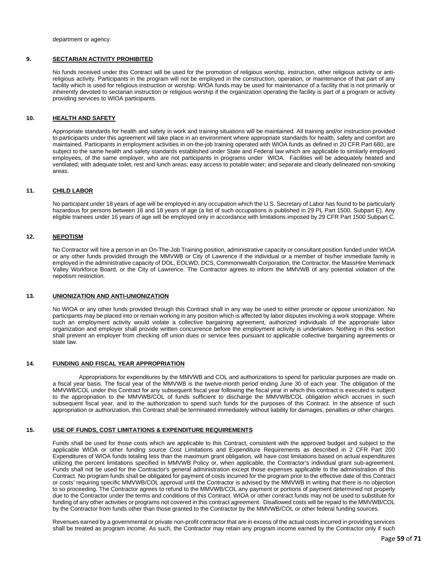department or agency.

### **9. SECTARIAN ACTIVITY PROHIBITED**

No funds received under this Contract will be used for the promotion of religious worship, instruction, other religious activity or antireligious activity. Participants in the program will not be employed in the construction, operation, or maintenance of that part of any facility which is used for religious instruction or worship. WIOA funds may be used for maintenance of a facility that is not primarily or inherently devoted to sectarian instruction or religious worship if the organization operating the facility is part of a program or activity providing services to WIOA participants.

#### **10. HEALTH AND SAFETY**

Appropriate standards for health and safety in work and training situations will be maintained. All training and/or instruction provided to participants under this agreement will take place in an environment where appropriate standards for health, safety and comfort are maintained. Participants in employment activities in on-the-job training operated with WIOA funds as defined in 20 CFR Part 680, are subject to the same health and safety standards established under State and Federal law which are applicable to similarly employed employees, of the same employer, who are not participants in programs under WIOA. Facilities will be adequately heated and ventilated; with adequate toilet, rest and lunch areas; easy access to potable water; and separate and clearly delineated non-smoking areas.

#### **11. CHILD LABOR**

No participant under 18 years of age will be employed in any occupation which the U.S. Secretary of Labor has found to be particularly hazardous for persons between 16 and 18 years of age (a list of such occupations is published in 29 PL Part 1500, Subpart E). Any eligible trainees under 16 years of age will be employed only in accordance with limitations imposed by 29 CFR Part 1500 Subpart C.

#### **12. NEPOTISM**

No Contractor will hire a person in an On-The-Job Training position, administrative capacity or consultant position funded under WIOA or any other funds provided through the MMVWB or City of Lawrence if the individual or a member of his/her immediate family is employed in the administrative capacity of DOL, EOLWD, DCS, Commonwealth Corporation, the Contractor, the MassHire Merrimack Valley Workforce Board, or the City of Lawrence. The Contractor agrees to inform the MMVWB of any potential violation of the nepotism restriction.

#### **13. UNIONIZATION AND ANTI-UNIONIZATION**

No WIOA or any other funds provided through this Contract shall in any way be used to either promote or oppose unionization. No participants may be placed into or remain working in any position which is affected by labor disputes involving a work stoppage. Where such an employment activity would violate a collective bargaining agreement, authorized individuals of the appropriate labor organization and employer shall provide written concurrence before the employment activity is undertaken. Nothing in this section shall prevent an employer from checking off union dues or service fees pursuant to applicable collective bargaining agreements or state law.

#### **14. FUNDING AND FISCAL YEAR APPROPRIATION**

Appropriations for expenditures by the MMVWB and COL and authorizations to spend for particular purposes are made on a fiscal year basis. The fiscal year of the MMVWB is the twelve-month period ending June 30 of each year. The obligation of the MMVWB/COL under this Contract for any subsequent fiscal year following the fiscal year in which this contract is executed is subject to the appropriation to the MMVWB/COL of funds sufficient to discharge the MMVWB/COL obligation which accrues in such subsequent fiscal year, and to the authorization to spend such funds for the purposes of this Contract. In the absence of such appropriation or authorization, this Contract shall be terminated immediately without liability for damages, penalties or other charges.

#### **15. USE OF FUNDS, COST LIMITATIONS & EXPENDITURE REQUIREMENTS**

Funds shall be used for those costs which are applicable to this Contract, consistent with the approved budget and subject to the applicable WIOA or other funding source Cost Limitations and Expenditure Requirements as described in 2 CFR Part 200 Expenditures of WIOA funds totaling less than the maximum grant obligation, will have cost limitations based on actual expenditures utilizing the percent limitations specified in MMVWB Policy or, when applicable, the Contractor's individual grant sub-agreement. Funds shall not be used for the Contractor's general administration except those expenses applicable to the administration of this Contract. No program funds shall be obligated for payment of costs incurred for the program prior to the effective date of this Contract or costs' requiring specific MMVWB/COL approval until the Contractor is advised by the MMVWB in writing that there is no objection to so proceeding. The Contractor agrees to refund to the MMVWB/COL any payment or portions of payment determined not properly due to the Contractor under the terms and conditions of this Contract. WIOA or other contract funds may not be used to substitute for funding of any other activities or programs not covered in this contract agreement. Disallowed costs will be repaid to the MMVWB/COL by the Contractor from funds other than those granted to the Contractor by the MMVWB/COL or other federal funding sources.

Revenues earned by a governmental or private non-profit contractor that are in excess of the actual costs incurred in providing services shall be treated as program income. As such, the Contractor may retain any program income earned by the Contractor only if such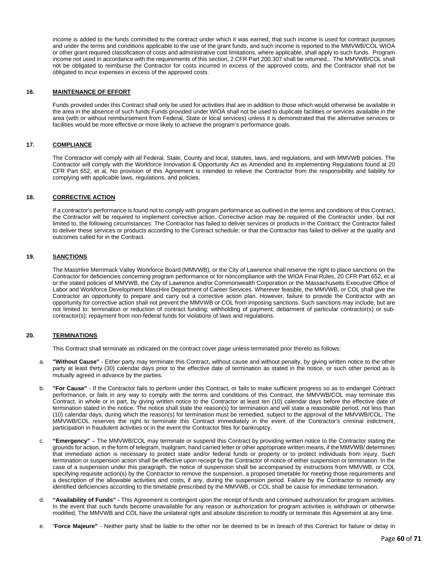income is added to the funds committed to the contract under which it was earned, that such income is used for contract purposes and under the terms and conditions applicable to the use of the grant funds, and such income is reported to the MMVWB/COL WIOA or other grant required classification of costs and administrative cost limitations, where applicable, shall apply to such funds. Program income not used in accordance with the requirements of this section, 2 CFR Part 200.307 shall be returned... The MMVWB/COL shall not be obligated to reimburse the Contractor for costs incurred in excess of the approved costs, and the Contractor shall not be obligated to incur expenses in excess of the approved costs.

#### **16. MAINTENANCE OF EFFORT**

Funds provided under this Contract shall only be used for activities that are in addition to those which would otherwise be available in the area in the absence of such funds Funds provided under WIOA shall not be used to duplicate facilities or services available in the area (with or without reimbursement from Federal, State or local services) unless it is demonstrated that the alternative services or facilities would be more effective or more likely to achieve the program's performance goals.

#### **17. COMPLIANCE**

The Contractor will comply with all Federal, State, County and local, statutes, laws, and regulations, and with MMVWB policies. The Contractor will comply with the Workforce Innovation & Opportunity Act as Amended and its implementing Regulations found at 20 CFR Part 652, et al, No provision of this Agreement is intended to relieve the Contractor from the responsibility and liability for complying with applicable laws, regulations, and policies.

#### **18. CORRECTIVE ACTION**

If a contractor's performance is found not to comply with program performance as outlined in the terms and conditions of this Contract, the Contractor will be required to implement corrective action. Corrective action may be required of the Contractor under, but not limited to, the following circumstances: The Contractor has failed to deliver services or products in the Contract; the Contractor failed to deliver these services or products according to the Contract schedule; or that the Contractor has failed to deliver at the quality and outcomes called for in the Contract.

### **19. SANCTIONS**

The MassHire Merrimack Valley Workforce Board (MMVWB), or the City of Lawrence shall reserve the right to place sanctions on the Contractor for deficiencies concerning program performance or for noncompliance with the WIOA Final Rules, 20 CFR Part 652, et al or the stated policies of MMVWB, the City of Lawrence and/or Commonwealth Corporation or the Massachusetts Executive Office of Labor and Workforce Development MassHire Department of Career Services. Wherever feasible, the MMVWB, or COL shall give the Contractor an opportunity to prepare and carry out a corrective action plan. However, failure to provide the Contractor with an opportunity for corrective action shall not prevent the MMVWB or COL from imposing sanctions. Such sanctions may include, but are not limited to: termination or reduction of contract funding; withholding of payment; debarment of particular contractor(s) or subcontractor(s); repayment from non-federal funds for violations of laws and regulations.

#### **20. TERMINATIONS**

This Contract shall terminate as indicated on the contract cover page unless terminated prior thereto as follows:

- a. **"Without Cause"** Either party may terminate this Contract, without cause and without penalty, by giving written notice to the other party at least thirty (30) calendar days prior to the effective date of termination as stated in the notice, or such other period as is mutually agreed in advance by the parties.
- b. **"For Cause"** If the Contractor fails to perform under this Contract, or fails to make sufficient progress so as to endanger Contract performance, or fails in any way to comply with the terms and conditions of this Contract, the MMVWB/COL may terminate this Contract, in whole or in part, by giving written notice to the Contractor at least ten (10) calendar days before the effective date of termination stated in the notice. The notice shall state the reason(s) for termination and will state a reasonable period, not less than (10) calendar days, during which the reason(s) for termination must be remedied, subject to the approval of the MMVWB/COL. The MMVWB/COL reserves the right to terminate this Contract immediately in the event of the Contractor's criminal indictment, participation in fraudulent activities or in the event the Contractor files for bankruptcy.
- c. **"Emergency"** The MMVWB/COL may terminate or suspend this Contract by providing written notice to the Contractor stating the grounds for action, in the form of telegram, mailgram, hand carried letter or other appropriate written means, if the MMVWB/ determines that immediate action is necessary to protect state and/or federal funds or property or to protect individuals from injury. Such termination or suspension action shall be effective upon receipt by the Contractor of notice of either suspension or termination. In the case of a suspension under this paragraph, the notice of suspension shall be accompanied by instructions from MMVWB, or COL specifying requisite action(s) by the Contractor to remove the suspension, a proposed timetable for meeting those requirements and a description of the allowable activities and costs, if any, during the suspension period. Failure by the Contractor to remedy any identified deficiencies according to the timetable prescribed by the MMVWB, or COL shall be cause for immediate termination.
- d. **"Availability of Funds" -** This Agreement is contingent upon the receipt of funds and continued authorization for program activities. In the event that such funds become unavailable for any reason or authorization for program activities is withdrawn or otherwise modified, The MMVWB and COL have the unilateral right and absolute discretion to modify or terminate this Agreement at any time.
- e. "**Force Majeure"** Neither party shall be liable to the other nor be deemed to be in breach of this Contract for failure or delay in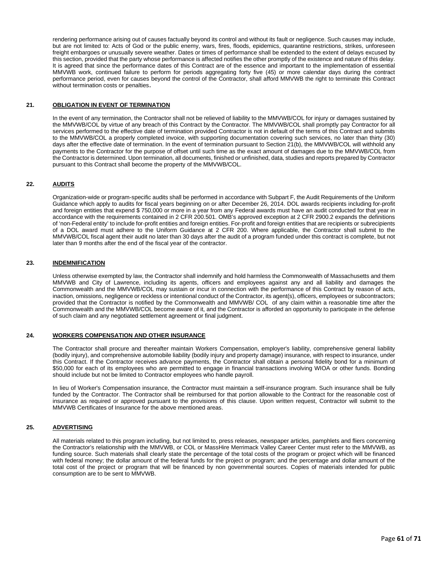rendering performance arising out of causes factually beyond its control and without its fault or negligence. Such causes may include, but are not limited to: Acts of God or the public enemy, wars, fires, floods, epidemics, quarantine restrictions, strikes, unforeseen freight embargoes or unusually severe weather. Dates or times of performance shall be extended to the extent of delays excused by this section, provided that the party whose performance is affected notifies the other promptly of the existence and nature of this delay. It is agreed that since the performance dates of this Contract are of the essence and important to the implementation of essential MMVWB work, continued failure to perform for periods aggregating forty five (45) or more calendar days during the contract performance period, even for causes beyond the control of the Contractor, shall afford MMVWB the right to terminate this Contract without termination costs or penalties.

### **21. OBLIGATION IN EVENT OF TERMINATION**

In the event of any termination, the Contractor shall not be relieved of liability to the MMVWB/COL for injury or damages sustained by the MMVWB/COL by virtue of any breach of this Contract by the Contractor. The MMVWB/COL shall promptly pay Contractor for all services performed to the effective date of termination provided Contractor is not in default of the terms of this Contract and submits to the MMVWB/COL a properly completed invoice, with supporting documentation covering such services, no later than thirty (30) days after the effective date of termination. In the event of termination pursuant to Section 21(b), the MMVWB/COL will withhold any payments to the Contractor for the purpose of offset until such time as the exact amount of damages due to the MMVWB/COL from the Contractor is determined. Upon termination, all documents, finished or unfinished, data, studies and reports prepared by Contractor pursuant to this Contract shall become the property of the MMVWB/COL.

### **22. AUDITS**

Organization-wide or program-specific audits shall be performed in accordance with Subpart F, the Audit Requirements of the Uniform Guidance which apply to audits for fiscal years beginning on or after December 26, 2014. DOL awards recipients including for-profit and foreign entities that expend \$ 750,000 or more in a year from any Federal awards must have an audit conducted for that year in accordance with the requirements contained in 2 CFR 200.501. OMB's approved exception at 2 CFR 2900.2 expands the definitions of 'non-Federal entity' to include for-profit entities and foreign entities. For-profit and foreign entities that are recipients or subrecipients of a DOL award must adhere to the Uniform Guidance at 2 CFR 200. Where applicable, the Contractor shall submit to the MMVWB/COL fiscal agent their audit no later than 30 days after the audit of a program funded under this contract is complete, but not later than 9 months after the end of the fiscal year of the contractor.

#### **23. INDEMNIFICATION**

Unless otherwise exempted by law, the Contractor shall indemnify and hold harmless the Commonwealth of Massachusetts and them MMVWB and City of Lawrence, including its agents, officers and employees against any and all liability and damages the Commonwealth and the MMVWB/COL may sustain or incur in connection with the performance of this Contract by reason of acts, inaction, omissions, negligence or reckless or intentional conduct of the Contractor, its agent(s), officers, employees or subcontractors; provided that the Contractor is notified by the Commonwealth and MMVWB/ COL of any claim within a reasonable time after the Commonwealth and the MMVWB/COL become aware of it, and the Contractor is afforded an opportunity to participate in the defense of such claim and any negotiated settlement agreement or final judgment.

#### **24. WORKERS COMPENSATION AND OTHER INSURANCE**

The Contractor shall procure and thereafter maintain Workers Compensation, employer's liability, comprehensive general liability (bodily injury), and comprehensive automobile liability (bodily injury and property damage) insurance, with respect to insurance, under this Contract. If the Contractor receives advance payments, the Contractor shall obtain a personal fidelity bond for a minimum of \$50,000 for each of its employees who are permitted to engage in financial transactions involving WIOA or other funds. Bonding should include but not be limited to Contractor employees who handle payroll.

In lieu of Worker's Compensation insurance, the Contractor must maintain a self-insurance program. Such insurance shall be fully funded by the Contractor. The Contractor shall be reimbursed for that portion allowable to the Contract for the reasonable cost of insurance as required or approved pursuant to the provisions of this clause. Upon written request, Contractor will submit to the MMVWB Certificates of Insurance for the above mentioned areas.

### **25. ADVERTISING**

All materials related to this program including, but not limited to, press releases, newspaper articles, pamphlets and fliers concerning the Contractor's relationship with the MMVWB, or COL or MassHire Merrimack Valley Career Center must refer to the MMVWB, as funding source. Such materials shall clearly state the percentage of the total costs of the program or project which will be financed with federal money; the dollar amount of the federal funds for the project or program; and the percentage and dollar amount of the total cost of the project or program that will be financed by non governmental sources. Copies of materials intended for public consumption are to be sent to MMVWB.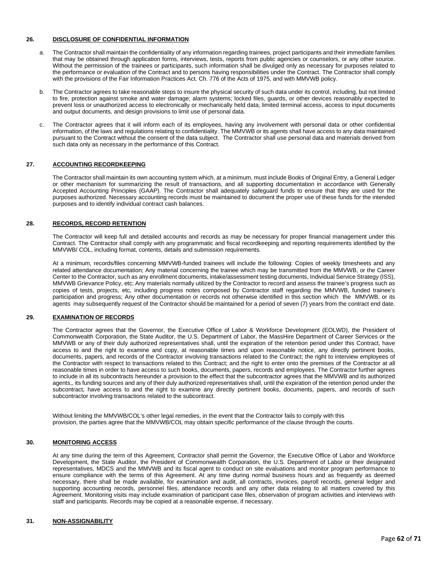### **26. DISCLOSURE OF CONFIDENTIAL INFORMATION**

- a. The Contractor shall maintain the confidentiality of any information regarding trainees, project participants and their immediate families that may be obtained through application forms, interviews, tests, reports from public agencies or counselors, or any other source. Without the permission of the trainees or participants, such information shall be divulged only as necessary for purposes related to the performance or evaluation of the Contract and to persons having responsibilities under the Contract. The Contractor shall comply with the provisions of the Fair Information Practices Act. Ch. 776 of the Acts of 1975, and with MMVWB policy.
- b. The Contractor agrees to take reasonable steps to insure the physical security of such data under its control, including, but not limited to fire, protection against smoke and water damage; alarm systems; locked files, guards, or other devices reasonably expected to prevent loss or unauthorized access to electronically or mechanically held data; limited terminal access, access to input documents and output documents, and design provisions to limit use of personal data.
- c. The Contractor agrees that it will inform each of its employees, having any involvement with personal data or other confidential information, of the laws and regulations relating to confidentiality. The MMVWB or its agents shall have access to any data maintained pursuant to the Contract without the consent of the data subject. The Contractor shall use personal data and materials derived from such data only as necessary in the performance of this Contract.

#### **27. ACCOUNTING RECORDKEEPING**

The Contractor shall maintain its own accounting system which, at a minimum, must include Books of Original Entry, a General Ledger or other mechanism for summarizing the result of transactions, and all supporting documentation in accordance with Generally Accepted Accounting Principles (GAAP). The Contractor shall adequately safeguard funds to ensure that they are used for the purposes authorized. Necessary accounting records must be maintained to document the proper use of these funds for the intended purposes and to identify individual contract cash balances.

#### **28. RECORDS, RECORD RETENTION**

The Contractor will keep full and detailed accounts and records as may be necessary for proper financial management under this Contract. The Contractor shall comply with any programmatic and fiscal recordkeeping and reporting requirements identified by the MMVWB/ COL, including format, contents, details and submission requirements.

At a minimum, records/files concerning MMVWB-funded trainees will include the following: Copies of weekly timesheets and any related attendance documentation; Any material concerning the trainee which may be transmitted from the MMVWB, or the Career Center to the Contractor, such as any enrollment documents, intake/assessment testing documents, Individual Service Strategy (ISS), MMVWB Grievance Policy, etc; Any materials normally utilized by the Contractor to record and assess the trainee's progress such as copies of tests, projects, etc, including progress notes composed by Contractor staff regarding the MMVWB, funded trainee's participation and progress; Any other documentation or records not otherwise identified in this section which the MMVWB, or its agents may subsequently request of the Contractor should be maintained for a period of seven (7) years from the contract end date.

### **29. EXAMINATION OF RECORDS**

The Contractor agrees that the Governor, the Executive Office of Labor & Workforce Development (EOLWD), the President of Commonwealth Corporation, the State Auditor, the U.S. Department of Labor, the MassHire Department of Career Services or the MMVWB or any of their duly authorized representatives shall, until the expiration of the retention period under this Contract, have access to and the right to examine and copy, at reasonable times and upon reasonable notice, any directly pertinent books, documents, papers, and records of the Contractor involving transactions related to the Contract; the right to interview employees of the Contractor with respect to transactions related to this Contract; and the right to enter onto the premises of the Contractor at all reasonable times in order to have access to such books, documents, papers, records and employees. The Contractor further agrees to include in all its subcontracts hereunder a provision to the effect that the subcontractor agrees that the MMVWB and its authorized agents,, its funding sources and any of their duly authorized representatives shall, until the expiration of the retention period under the subcontract, have access to and the right to examine any directly pertinent books, documents, papers, and records of such subcontractor involving transactions related to the subcontract.

Without limiting the MMVWB/COL's other legal remedies, in the event that the Contractor fails to comply with this provision, the parties agree that the MMVWB/COL may obtain specific performance of the clause through the courts.

#### **30. MONITORING ACCESS**

At any time during the term of this Agreement, Contractor shall permit the Governor, the Executive Office of Labor and Workforce Development, the State Auditor, the President of Commonwealth Corporation, the U.S. Department of Labor or their designated representatives, MDCS and the MMVWB and its fiscal agent to conduct on site evaluations and monitor program performance to ensure compliance with the terms of this Agreement. At any time during normal business hours and as frequently as deemed necessary, there shall be made available, for examination and audit, all contracts, invoices, payroll records, general ledger and supporting accounting records, personnel files, attendance records and any other data relating to all matters covered by this Agreement. Monitoring visits may include examination of participant case files, observation of program activities and interviews with staff and participants. Records may be copied at a reasonable expense, if necessary.

#### **31. NON-ASSIGNABILITY**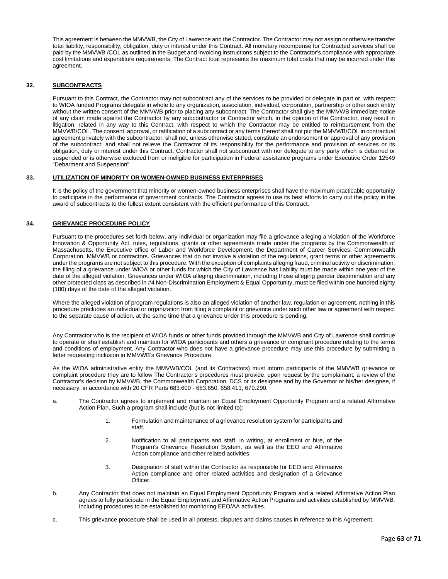This agreement is between the MMVWB, the City of Lawrence and the Contractor. The Contractor may not assign or otherwise transfer total liability, responsibility, obligation, duty or interest under this Contract. All monetary recompense for Contracted services shall be paid by the MMVWB /COL as outlined in the Budget and invoicing instructions subject to the Contractor's compliance with appropriate cost limitations and expenditure requirements. The Contract total represents the maximum total costs that may be incurred under this agreement.

### **32. SUBCONTRACTS**

Pursuant to this Contract, the Contractor may not subcontract any of the services to be provided or delegate in part or, with respect to WIOA funded Programs delegate in whole to any organization, association, individual, corporation, partnership or other such entity without the written consent of the MMVWB prior to placing any subcontract. The Contractor shall give the MMVWB immediate notice of any claim made against the Contractor by any subcontractor or Contractor which, in the opinion of the Contractor, may result in litigation, related in any way to this Contract, with respect to which the Contractor may be entitled to reimbursement from the MMVWB/COL. The consent, approval, or ratification of a subcontract or any terms thereof shall not put the MMVWB/COL in contractual agreement privately with the subcontractor; shall not, unless otherwise stated, constitute an endorsement or approval of any provision of the subcontract; and shall not relieve the Contractor of its responsibility for the performance and provision of services or its obligation, duty or interest under this Contract. Contractor shall not subcontract with nor delegate to any party which is debarred or suspended or is otherwise excluded from or ineligible for participation in Federal assistance programs under Executive Order 12549 "Debarment and Suspension"

#### **33. UTILIZATION OF MINORITY OR WOMEN-OWNED BUSINESS ENTERPRISES**

It is the policy of the government that minority or women-owned business enterprises shall have the maximum practicable opportunity to participate in the performance of government contracts. The Contractor agrees to use its best efforts to carry out the policy in the award of subcontracts to the fullest extent consistent with the efficient performance of this Contract.

### **34. GRIEVANCE PROCEDURE POLICY**

Pursuant to the procedures set forth below, any individual or organization may file a grievance alleging a violation of the Workforce Innovation & Opportunity Act, rules, regulations, grants or other agreements made under the programs by the Commonwealth of Massachusetts, the Executive office of Labor and Workforce Development, the Department of Career Services, Commonwealth Corporation, MMVWB or contractors. Grievances that do not involve a violation of the regulations, grant terms or other agreements under the programs are not subject to this procedure. With the exception of complaints alleging fraud, criminal activity or discrimination, the filing of a grievance under WIOA or other funds for which the City of Lawrence has liability must be made within one year of the date of the alleged violation. Grievances under WIOA alleging discrimination, including those alleging gender discrimination and any other protected class as described in #4 Non-Discrimination Employment & Equal Opportunity, must be filed within one hundred eighty (180) days of the date of the alleged violation.

Where the alleged violation of program regulations is also an alleged violation of another law, regulation or agreement, nothing in this procedure precludes an individual or organization from filing a complaint or grievance under such other law or agreement with respect to the separate cause of action, at the same time that a grievance under this procedure is pending.

Any Contractor who is the recipient of WIOA funds or other funds provided through the MMVWB and City of Lawrence shall continue to operate or shall establish and maintain for WIOA participants and others a grievance or complaint procedure relating to the terms and conditions of employment. Any Contractor who does not have a grievance procedure may use this procedure by submitting a letter requesting inclusion in MMVWB's Grievance Procedure.

As the WIOA administrative entity the MMVWB/COL (and its Contractors) must inform participants of the MMVWB grievance or complaint procedure they are to follow The Contractor's procedures must provide, upon request by the complainant, a review of the Contractor's decision by MMVWB, the Commonwealth Corporation, DCS or its designee and by the Governor or his/her designee, if necessary, in accordance with 20 CFR Parts 683.600 - 683.650, 658.411, 679.290.

- a. The Contractor agrees to implement and maintain an Equal Employment Opportunity Program and a related Affirmative Action Plan. Such a program shall include (but is not limited to):
	- 1. Formulation and maintenance of a grievance resolution system for participants and staff.
	- 2. Notification to all participants and staff, in writing, at enrollment or hire, of the Program's Grievance Resolution System, as well as the EEO and Affirmative Action compliance and other related activities.
	- 3. Designation of staff within the Contractor as responsible for EEO and Affirmative Action compliance and other related activities and designation of a Grievance Officer.
- b. Any Contractor that does not maintain an Equal Employment Opportunity Program and a related Affirmative Action Plan agrees to fully participate in the Equal Employment and Affirmative Action Programs and activities established by MMVWB, including procedures to be established for monitoring EEO/AA activities.
- c. This grievance procedure shall be used in all protests, disputes and claims causes in reference to this Agreement.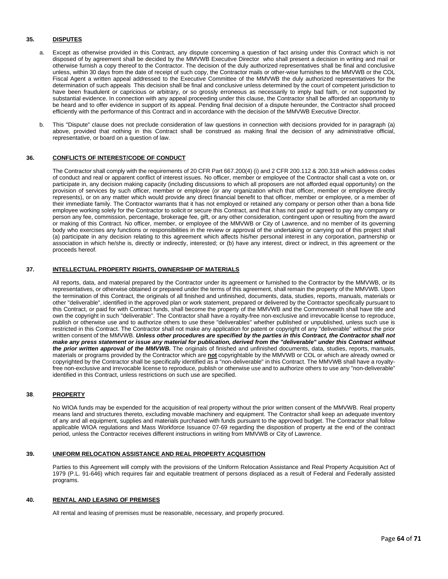### **35. DISPUTES**

- a. Except as otherwise provided in this Contract, any dispute concerning a question of fact arising under this Contract which is not disposed of by agreement shall be decided by the MMVWB Executive Director who shall present a decision in writing and mail or otherwise furnish a copy thereof to the Contractor. The decision of the duly authorized representatives shall be final and conclusive unless, within 30 days from the date of receipt of such copy, the Contractor mails or other-wise furnishes to the MMVWB or the COL Fiscal Agent a written appeal addressed to the Executive Committee of the MMVWB the duly authorized representatives for the determination of such appeals This decision shall be final and conclusive unless determined by the court of competent jurisdiction to have been fraudulent or capricious or arbitrary, or so grossly erroneous as necessarily to imply bad faith, or not supported by substantial evidence. In connection with any appeal proceeding under this clause, the Contractor shall be afforded an opportunity to be heard and to offer evidence in support of its appeal. Pending final decision of a dispute hereunder, the Contractor shall proceed efficiently with the performance of this Contract and in accordance with the decision of the MMVWB Executive Director.
- b. This "Dispute" clause does not preclude consideration of law questions in connection with decisions provided for in paragraph (a) above, provided that nothing in this Contract shall be construed as making final the decision of any administrative official, representative, or board on a question of law.

#### **36. CONFLICTS OF INTEREST/CODE OF CONDUCT**

The Contractor shall comply with the requirements of 20 CFR Part 667.200(4) (i) and 2 CFR 200.112 & 200.318 which address codes of conduct and real or apparent conflict of interest issues. No officer, member or employee of the Contractor shall cast a vote on, or participate in, any decision making capacity (including discussions to which all proposers are not afforded equal opportunity) on the provision of services by such officer, member or employee (or any organization which that officer, member or employee directly represents), or on any matter which would provide any direct financial benefit to that officer, member or employee, or a member of their immediate family. The Contractor warrants that it has not employed or retained any company or person other than a bona fide employee working solely for the Contractor to solicit or secure this Contract, and that it has not paid or agreed to pay any company or person any fee, commission, percentage, brokerage fee, gift, or any other consideration, contingent upon or resulting from the award or making of this Contract. No officer, member, or employee of the MMVWB or City of Lawrence, and no member of its governing body who exercises any functions or responsibilities in the review or approval of the undertaking or carrying out of this project shall (a) participate in any decision relating to this agreement which affects his/her personal interest in any corporation, partnership or association in which he/she is, directly or indirectly, interested; or (b) have any interest, direct or indirect, in this agreement or the proceeds hereof.

### **37. INTELLECTUAL PROPERTY RIGHTS, OWNERSHIP OF MATERIALS**

All reports, data, and material prepared by the Contractor under its agreement or furnished to the Contractor by the MMVWB, or its representatives, or otherwise obtained or prepared under the terms of this agreement, shall remain the property of the MMVWB. Upon the termination of this Contract, the originals of all finished and unfinished, documents, data, studies, reports, manuals, materials or other "deliverable", identified in the approved plan or work statement, prepared or delivered by the Contractor specifically pursuant to this Contract, or paid for with Contract funds, shall become the property of the MMVWB and the Commonwealth shall have title and own the copyright in such "deliverable". The Contractor shall have a royalty-free non-exclusive and irrevocable license to reproduce, publish or otherwise use and to authorize others to use these "deliverables" whether published or unpublished, unless such use is restricted in this Contract. The Contractor shall not make any application for patent or copyright of any "deliverable" without the prior written consent of the MMVWB. *Unless other procedures are specified by the parties in this Contract, the Contractor shall not make any press statement or issue any material for publication, derived from the "deliverable" under this Contract without the prior written approval of the MMVWB.* The originals of finished and unfinished documents, data, studies, reports, manuals, materials or programs provided by the Contractor which are **not** copyrightable by the MMVWB or COL or which are already owned or copyrighted by the Contractor shall be specifically identified as a "non-deliverable" in this Contract. The MMVWB shall have a royaltyfree non-exclusive and irrevocable license to reproduce, publish or otherwise use and to authorize others to use any "non-deliverable" identified in this Contract, unless restrictions on such use are specified.

#### **38**. **PROPERTY**

No WIOA funds may be expended for the acquisition of real property without the prior written consent of the MMVWB. Real property means land and structures thereto, excluding movable machinery and equipment. The Contractor shall keep an adequate inventory of any and all equipment, supplies and materials purchased with funds pursuant to the approved budget. The Contractor shall follow applicable WIOA regulations and Mass Workforce Issuance 07-69 regarding the disposition of property at the end of the contract period, unless the Contractor receives different instructions in writing from MMVWB or City of Lawrence.

#### **39. UNIFORM RELOCATION ASSISTANCE AND REAL PROPERTY ACQUISITION**

Parties to this Agreement will comply with the provisions of the Uniform Relocation Assistance and Real Property Acquisition Act of 1979 (P.L. 91-646) which requires fair and equitable treatment of persons displaced as a result of Federal and Federally assisted programs.

#### **40. RENTAL AND LEASING OF PREMISES**

All rental and leasing of premises must be reasonable, necessary, and properly procured.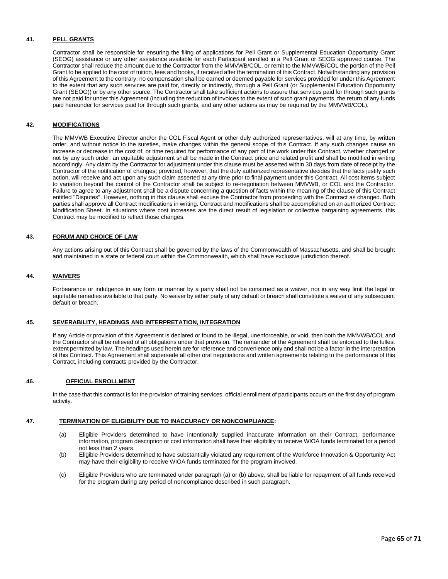### **41. PELL GRANTS**

Contractor shall be responsible for ensuring the filing of applications for Pell Grant or Supplemental Education Opportunity Grant (SEOG) assistance or any other assistance available for each Participant enrolled in a Pell Grant or SEOG approved course. The Contractor shall reduce the amount due to the Contractor from the MMVWB/COL, or remit to the MMVWB/COL the portion of the Pell Grant to be applied to the cost of tuition, fees and books, if received after the termination of this Contract. Notwithstanding any provision of this Agreement to the contrary, no compensation shall be earned or deemed payable for services provided for under this Agreement to the extent that any such services are paid for, directly or indirectly, through a Pell Grant (or Supplemental Education Opportunity Grant (SEOG)) or by any other source. The Contractor shall take sufficient actions to assure that services paid for through such grants are not paid for under this Agreement (including the reduction of invoices to the extent of such grant payments, the return of any funds paid hereunder for services paid for through such grants, and any other actions as may be required by the MMVWB/COL).

### **42. MODIFICATIONS**

The MMVWB Executive Director and/or the COL Fiscal Agent or other duly authorized representatives, will at any time, by written order, and without notice to the sureties, make changes within the general scope of this Contract. If any such changes cause an increase or decrease in the cost of, or time required for performance of any part of the work under this Contract, whether changed or not by any such order, an equitable adjustment shall be made in the Contract price and related profit and shall be modified in writing accordingly. Any claim by the Contractor for adjustment under this clause must be asserted within 30 days from date of receipt by the Contractor of the notification of changes; provided, however, that the duly authorized representative decides that the facts justify such action, will receive and act upon any such claim asserted at any time prior to final payment under this Contract. All cost items subject to variation beyond the control of the Contractor shall be subject to re-negotiation between MMVWB, or COL and the Contractor. Failure to agree to any adjustment shall be a dispute concerning a question of facts within the meaning of the clause of this Contract entitled "Disputes". However, nothing in this clause shall excuse the Contractor from proceeding with the Contract as changed. Both parties shall approve all Contract modifications in writing. Contract and modifications shall be accomplished on an authorized Contract Modification Sheet. In situations where cost increases are the direct result of legislation or collective bargaining agreements, this Contract may be modified to reflect those changes.

#### **43. FORUM AND CHOICE OF LAW**

Any actions arising out of this Contract shall be governed by the laws of the Commonwealth of Massachusetts, and shall be brought and maintained in a state or federal court within the Commonwealth, which shall have exclusive jurisdiction thereof.

### **44. WAIVERS**

Forbearance or indulgence in any form or manner by a party shall not be construed as a waiver, nor in any way limit the legal or equitable remedies available to that party. No waiver by either party of any default or breach shall constitute a waiver of any subsequent default or breach.

#### **45. SEVERABILITY, HEADINGS AND INTERPRETATION, INTEGRATION**

If any Article or provision of this Agreement is declared or found to be illegal, unenforceable, or void, then both the MMVWB/COL and the Contractor shall be relieved of all obligations under that provision. The remainder of the Agreement shall be enforced to the fullest extent permitted by law. The headings used herein are for reference and convenience only and shall not be a factor in the interpretation of this Contract. This Agreement shall supersede all other oral negotiations and written agreements relating to the performance of this Contract, including contracts provided by the Contractor.

#### **46. OFFICIAL ENROLLMENT**

In the case that this contract is for the provision of training services, official enrollment of participants occurs on the first day of program activity.

#### **47. TERMINATION OF ELIGIBILITY DUE TO INACCURACY OR NONCOMPLIANCE:**

- (a) Eligible Providers determined to have intentionally supplied inaccurate information on their Contract, performance information, program description or cost information shall have their eligibility to receive WIOA funds terminated for a period not less than 2 years.
- (b) Eligible Providers determined to have substantially violated any requirement of the Workforce Innovation & Opportunity Act may have their eligibility to receive WIOA funds terminated for the program involved.
- (c) Eligible Providers who are terminated under paragraph (a) or (b) above, shall be liable for repayment of all funds received for the program during any period of noncompliance described in such paragraph.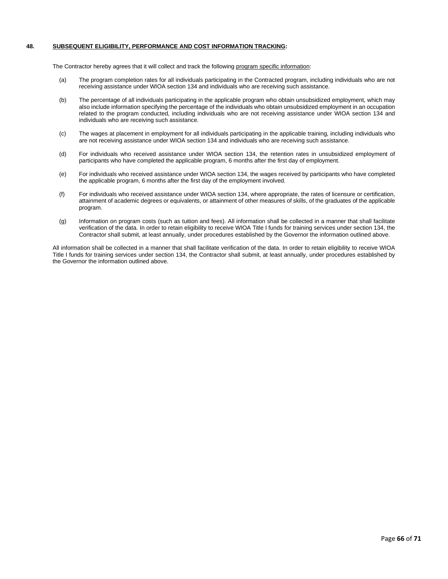### **48. SUBSEQUENT ELIGIBILITY, PERFORMANCE AND COST INFORMATION TRACKING:**

The Contractor hereby agrees that it will collect and track the following program specific information:

- (a) The program completion rates for all individuals participating in the Contracted program, including individuals who are not receiving assistance under WIOA section 134 and individuals who are receiving such assistance.
- (b) The percentage of all individuals participating in the applicable program who obtain unsubsidized employment, which may also include information specifying the percentage of the individuals who obtain unsubsidized employment in an occupation related to the program conducted, including individuals who are not receiving assistance under WIOA section 134 and individuals who are receiving such assistance.
- (c) The wages at placement in employment for all individuals participating in the applicable training, including individuals who are not receiving assistance under WIOA section 134 and individuals who are receiving such assistance.
- (d) For individuals who received assistance under WIOA section 134, the retention rates in unsubsidized employment of participants who have completed the applicable program, 6 months after the first day of employment.
- (e) For individuals who received assistance under WIOA section 134, the wages received by participants who have completed the applicable program, 6 months after the first day of the employment involved.
- (f) For individuals who received assistance under WIOA section 134, where appropriate, the rates of licensure or certification, attainment of academic degrees or equivalents, or attainment of other measures of skills, of the graduates of the applicable program.
- (g) Information on program costs (such as tuition and fees). All information shall be collected in a manner that shall facilitate verification of the data. In order to retain eligibility to receive WIOA Title I funds for training services under section 134, the Contractor shall submit, at least annually, under procedures established by the Governor the information outlined above.

All information shall be collected in a manner that shall facilitate verification of the data. In order to retain eligibility to receive WIOA Title I funds for training services under section 134, the Contractor shall submit, at least annually, under procedures established by the Governor the information outlined above.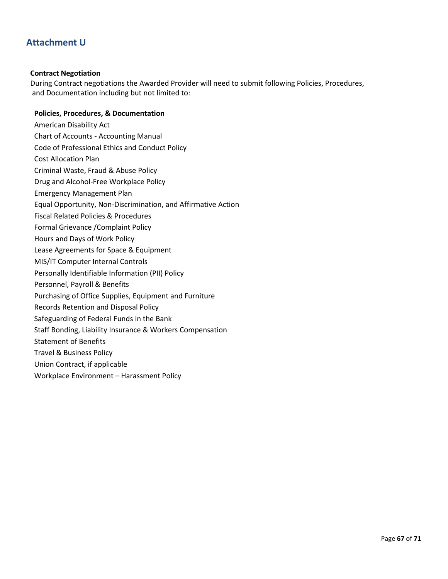## **Attachment U**

### **Contract Negotiation**

During Contract negotiations the Awarded Provider will need to submit following Policies, Procedures, and Documentation including but not limited to:

### **Policies, Procedures, & Documentation**

- American Disability Act
- Chart of Accounts Accounting Manual
- Code of Professional Ethics and Conduct Policy
- Cost Allocation Plan
- Criminal Waste, Fraud & Abuse Policy
- Drug and Alcohol-Free Workplace Policy
- Emergency Management Plan
- Equal Opportunity, Non-Discrimination, and Affirmative Action
- Fiscal Related Policies & Procedures
- Formal Grievance /Complaint Policy
- Hours and Days of Work Policy
- Lease Agreements for Space & Equipment
- MIS/IT Computer Internal Controls
- Personally Identifiable Information (PII) Policy
- Personnel, Payroll & Benefits
- Purchasing of Office Supplies, Equipment and Furniture
- Records Retention and Disposal Policy
- Safeguarding of Federal Funds in the Bank
- Staff Bonding, Liability Insurance & Workers Compensation
- Statement of Benefits
- Travel & Business Policy
- Union Contract, if applicable
- Workplace Environment Harassment Policy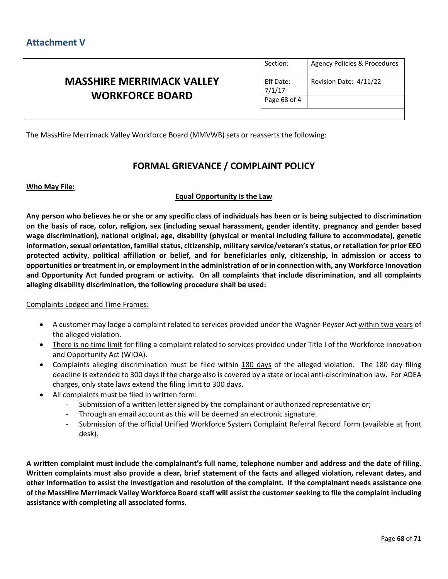|                                                            | Section:            | Agency Policies & Procedures |
|------------------------------------------------------------|---------------------|------------------------------|
| <b>MASSHIRE MERRIMACK VALLEY</b><br><b>WORKFORCE BOARD</b> | Eff Date:<br>7/1/17 | Revision Date: 4/11/22       |
|                                                            | Page 68 of 4        |                              |
|                                                            |                     |                              |

The MassHire Merrimack Valley Workforce Board (MMVWB) sets or reasserts the following:

## **FORMAL GRIEVANCE / COMPLAINT POLICY**

### **Who May File:**

### **Equal Opportunity Is the Law**

**Any person who believes he or she or any specific class of individuals has been or is being subjected to discrimination on the basis of race, color, religion, sex (including sexual harassment, gender identity**, **pregnancy and gender based wage discrimination), national original, age, disability (physical or mental including failure to accommodate), genetic information, sexual orientation, familial status, citizenship, military service/veteran's status, or retaliation for prior EEO protected activity, political affiliation or belief, and for beneficiaries only, citizenship, in admission or access to opportunities or treatment in, or employment in the administration of or in connection with, any Workforce Innovation and Opportunity Act funded program or activity. On all complaints that include discrimination, and all complaints alleging disability discrimination, the following procedure shall be used:**

### Complaints Lodged and Time Frames:

- A customer may lodge a complaint related to services provided under the Wagner-Peyser Act within two years of the alleged violation.
- There is no time limit for filing a complaint related to services provided under Title I of the Workforce Innovation and Opportunity Act (WIOA).
- Complaints alleging discrimination must be filed within 180 days of the alleged violation. The 180 day filing deadline is extended to 300 days if the charge also is covered by a state or local anti-discrimination law. For ADEA charges, only state laws extend the filing limit to 300 days.
- All complaints must be filed in written form:
	- Submission of a written letter signed by the complainant or authorized representative or;
	- Through an email account as this will be deemed an electronic signature.
	- Submission of the official Unified Workforce System Complaint Referral Record Form (available at front desk).

**A written complaint must include the complainant's full name, telephone number and address and the date of filing. Written complaints must also provide a clear, brief statement of the facts and alleged violation, relevant dates, and other information to assist the investigation and resolution of the complaint. If the complainant needs assistance one of the MassHire Merrimack Valley Workforce Board staff will assist the customer seeking to file the complaint including assistance with completing all associated forms.**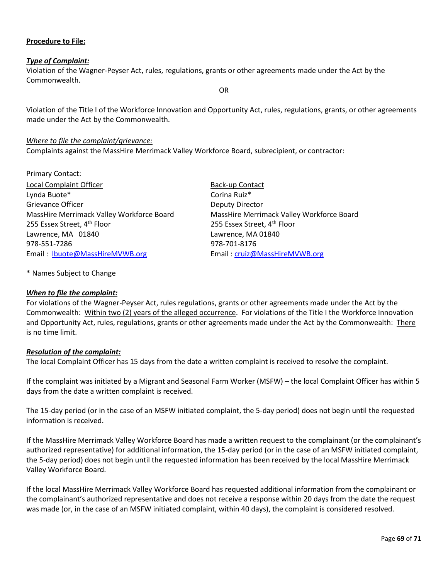## **Procedure to File:**

### *Type of Complaint:*

Violation of the Wagner-Peyser Act, rules, regulations, grants or other agreements made under the Act by the Commonwealth.

OR

Violation of the Title I of the Workforce Innovation and Opportunity Act, rules, regulations, grants, or other agreements made under the Act by the Commonwealth.

### *Where to file the complaint/grievance:*

Complaints against the MassHire Merrimack Valley Workforce Board, subrecipient, or contractor:

| <b>Primary Contact:</b>                   |                                           |
|-------------------------------------------|-------------------------------------------|
| <b>Local Complaint Officer</b>            | Back-up Contact                           |
| Lynda Buote*                              | Corina Ruiz*                              |
| Grievance Officer                         | Deputy Director                           |
| MassHire Merrimack Valley Workforce Board | MassHire Merrimack Valley Workforce Board |
| 255 Essex Street, 4 <sup>th</sup> Floor   | 255 Essex Street, 4 <sup>th</sup> Floor   |
| Lawrence, MA 01840                        | Lawrence, MA 01840                        |
| 978-551-7286                              | 978-701-8176                              |
| Email: lbuote@MassHireMVWB.org            | Email: cruiz@MassHireMVWB.org             |

\* Names Subject to Change

### *When to file the complaint:*

For violations of the Wagner-Peyser Act, rules regulations, grants or other agreements made under the Act by the Commonwealth: Within two (2) years of the alleged occurrence. For violations of the Title I the Workforce Innovation and Opportunity Act, rules, regulations, grants or other agreements made under the Act by the Commonwealth: There is no time limit.

### *Resolution of the complaint:*

The local Complaint Officer has 15 days from the date a written complaint is received to resolve the complaint.

If the complaint was initiated by a Migrant and Seasonal Farm Worker (MSFW) – the local Complaint Officer has within 5 days from the date a written complaint is received.

The 15-day period (or in the case of an MSFW initiated complaint, the 5-day period) does not begin until the requested information is received.

If the MassHire Merrimack Valley Workforce Board has made a written request to the complainant (or the complainant's authorized representative) for additional information, the 15-day period (or in the case of an MSFW initiated complaint, the 5-day period) does not begin until the requested information has been received by the local MassHire Merrimack Valley Workforce Board.

If the local MassHire Merrimack Valley Workforce Board has requested additional information from the complainant or the complainant's authorized representative and does not receive a response within 20 days from the date the request was made (or, in the case of an MSFW initiated complaint, within 40 days), the complaint is considered resolved.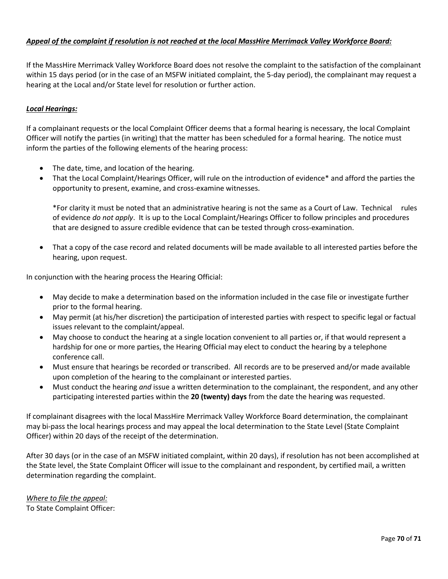## *Appeal of the complaint if resolution is not reached at the local MassHire Merrimack Valley Workforce Board:*

If the MassHire Merrimack Valley Workforce Board does not resolve the complaint to the satisfaction of the complainant within 15 days period (or in the case of an MSFW initiated complaint, the 5-day period), the complainant may request a hearing at the Local and/or State level for resolution or further action.

### *Local Hearings:*

If a complainant requests or the local Complaint Officer deems that a formal hearing is necessary, the local Complaint Officer will notify the parties (in writing) that the matter has been scheduled for a formal hearing. The notice must inform the parties of the following elements of the hearing process:

- The date, time, and location of the hearing.
- That the Local Complaint/Hearings Officer, will rule on the introduction of evidence\* and afford the parties the opportunity to present, examine, and cross-examine witnesses.

\*For clarity it must be noted that an administrative hearing is not the same as a Court of Law. Technical rules of evidence *do not apply*. It is up to the Local Complaint/Hearings Officer to follow principles and procedures that are designed to assure credible evidence that can be tested through cross-examination.

• That a copy of the case record and related documents will be made available to all interested parties before the hearing, upon request.

In conjunction with the hearing process the Hearing Official:

- May decide to make a determination based on the information included in the case file or investigate further prior to the formal hearing.
- May permit (at his/her discretion) the participation of interested parties with respect to specific legal or factual issues relevant to the complaint/appeal.
- May choose to conduct the hearing at a single location convenient to all parties or, if that would represent a hardship for one or more parties, the Hearing Official may elect to conduct the hearing by a telephone conference call.
- Must ensure that hearings be recorded or transcribed. All records are to be preserved and/or made available upon completion of the hearing to the complainant or interested parties.
- Must conduct the hearing *and* issue a written determination to the complainant, the respondent, and any other participating interested parties within the **20 (twenty) days** from the date the hearing was requested.

If complainant disagrees with the local MassHire Merrimack Valley Workforce Board determination, the complainant may bi-pass the local hearings process and may appeal the local determination to the State Level (State Complaint Officer) within 20 days of the receipt of the determination.

After 30 days (or in the case of an MSFW initiated complaint, within 20 days), if resolution has not been accomplished at the State level, the State Complaint Officer will issue to the complainant and respondent, by certified mail, a written determination regarding the complaint.

*Where to file the appeal:* To State Complaint Officer: